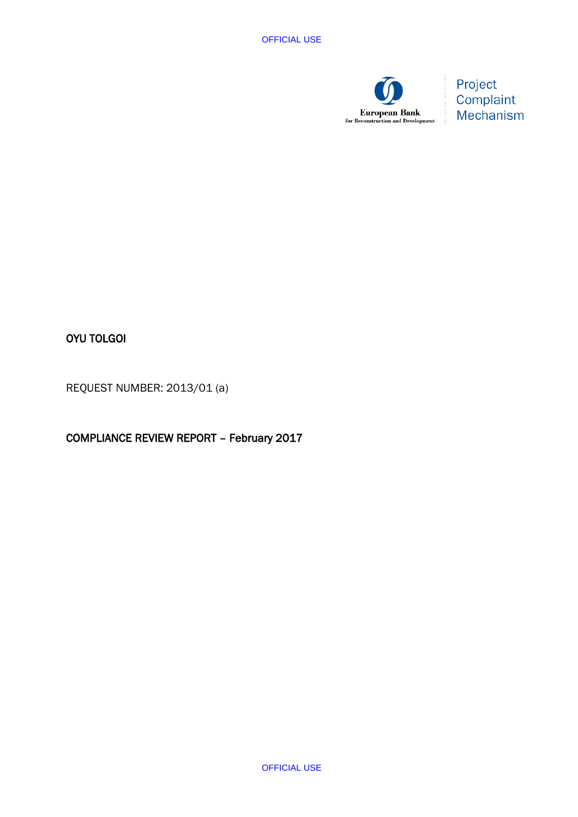

Project Complaint Mechanism

# OYU TOLGOI

REQUEST NUMBER: 2013/01 (a)

COMPLIANCE REVIEW REPORT – February 2017

OFFICIAL USE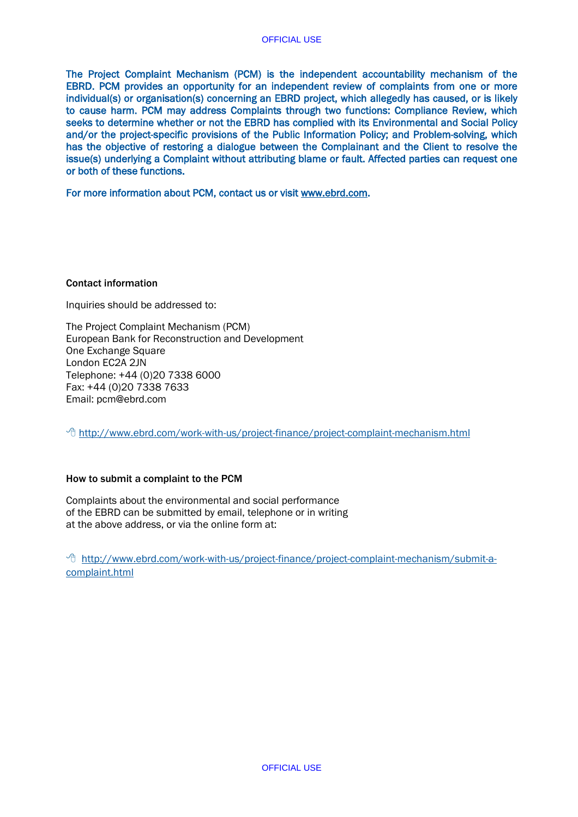[The Project Complaint Mechanism \(PCM\)](http://webcenter.ebrd.com/csman/Satellite?c=Content&cid=1395237695251&pagename=EBRD%2FContent%2FContentLayout&rendermode=preview) is the independent accountability mechanism of the EBRD. PCM provides an opportunity for an independent review of complaints from one or more individual(s) or organisation(s) concerning an EBRD project, which allegedly has caused, or is likely to cause harm. PCM may address Complaints through two functions: Compliance Review, which seeks to determine whether or not the EBRD has complied with its Environmental and Social Policy and/or the project-specific provisions of the Public Information Policy; and Problem-solving, which has the objective of restoring a dialogue between the Complainant and the Client to resolve the issue(s) underlying a Complaint without attributing blame or fault. Affected parties can request one or both of these functions.

For more information about PCM, contact us or visit [www.ebrd.com.](http://www.ebrd.com/)

## Contact information

Inquiries should be addressed to:

The Project Complaint Mechanism (PCM) European Bank for Reconstruction and Development One Exchange Square London EC2A 2JN Telephone: +44 (0)20 7338 6000 Fax: +44 (0)20 7338 7633 Email: pcm@ebrd.com

<sup>-</sup> <http://www.ebrd.com/work-with-us/project-finance/project-complaint-mechanism.html>

## How to submit a complaint to the PCM

Complaints about the environmental and social performance of the EBRD can be submitted by email, telephone or in writing at the above address, or via the online form at:

 [http://www.ebrd.com/work-with-us/project-finance/project-complaint-mechanism/submit-a](http://www.ebrd.com/work-with-us/project-finance/project-complaint-mechanism/submit-a-complaint.html)[complaint.html](http://www.ebrd.com/work-with-us/project-finance/project-complaint-mechanism/submit-a-complaint.html)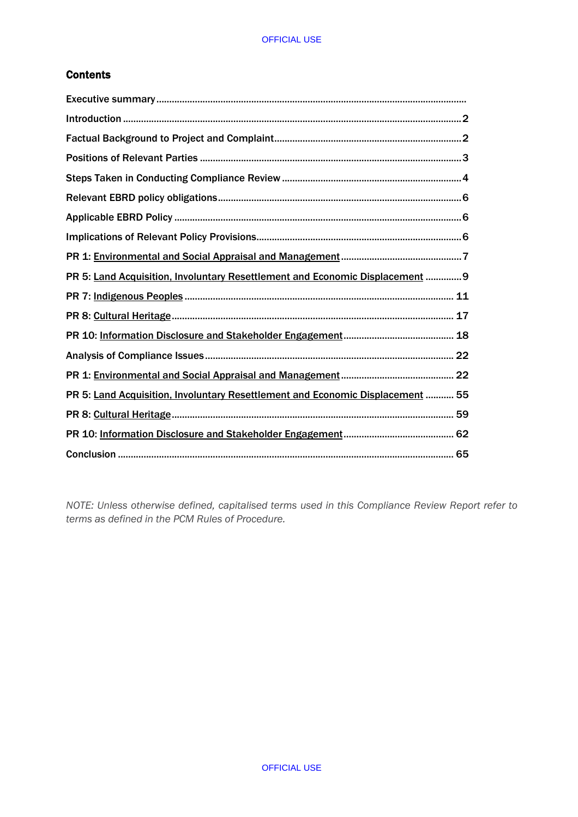# **Contents**

| PR 5: Land Acquisition, Involuntary Resettlement and Economic Displacement  9  |  |
|--------------------------------------------------------------------------------|--|
|                                                                                |  |
|                                                                                |  |
|                                                                                |  |
|                                                                                |  |
|                                                                                |  |
| PR 5: Land Acquisition, Involuntary Resettlement and Economic Displacement  55 |  |
|                                                                                |  |
|                                                                                |  |
|                                                                                |  |

*NOTE: Unless otherwise defined, capitalised terms used in this Compliance Review Report refer to terms as defined in the PCM Rules of Procedure.*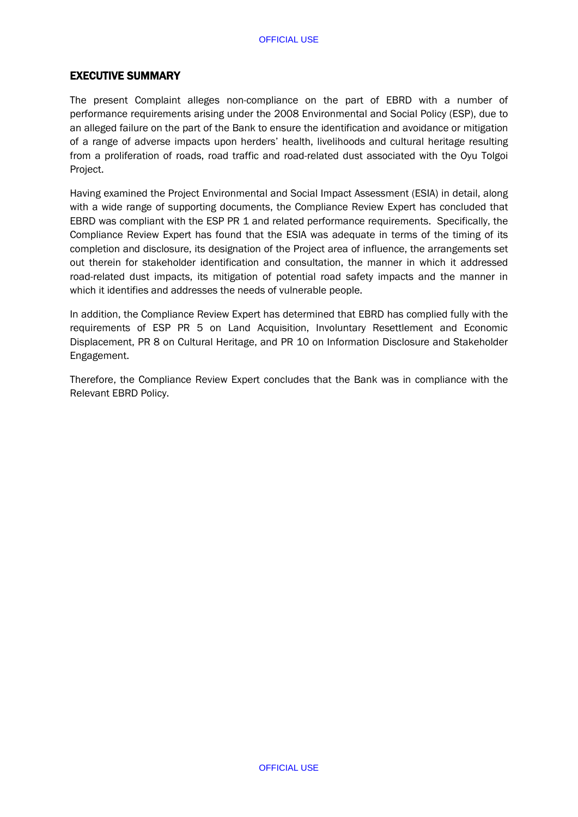# EXECUTIVE SUMMARY

The present Complaint alleges non-compliance on the part of EBRD with a number of performance requirements arising under the 2008 Environmental and Social Policy (ESP), due to an alleged failure on the part of the Bank to ensure the identification and avoidance or mitigation of a range of adverse impacts upon herders' health, livelihoods and cultural heritage resulting from a proliferation of roads, road traffic and road-related dust associated with the Oyu Tolgoi Project.

Having examined the Project Environmental and Social Impact Assessment (ESIA) in detail, along with a wide range of supporting documents, the Compliance Review Expert has concluded that EBRD was compliant with the ESP PR 1 and related performance requirements. Specifically, the Compliance Review Expert has found that the ESIA was adequate in terms of the timing of its completion and disclosure, its designation of the Project area of influence, the arrangements set out therein for stakeholder identification and consultation, the manner in which it addressed road-related dust impacts, its mitigation of potential road safety impacts and the manner in which it identifies and addresses the needs of vulnerable people.

In addition, the Compliance Review Expert has determined that EBRD has complied fully with the requirements of ESP PR 5 on Land Acquisition, Involuntary Resettlement and Economic Displacement, PR 8 on Cultural Heritage, and PR 10 on Information Disclosure and Stakeholder Engagement.

Therefore, the Compliance Review Expert concludes that the Bank was in compliance with the Relevant EBRD Policy.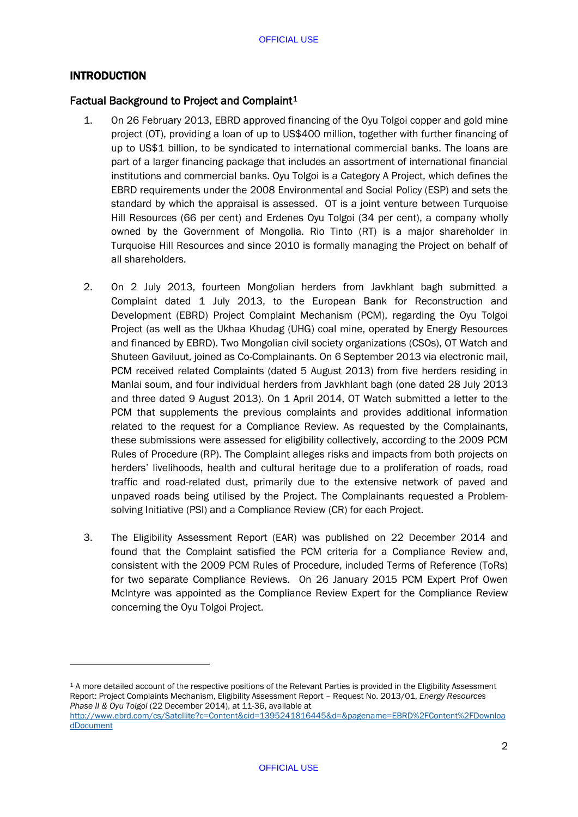# INTRODUCTION

-

# Factual Background to Project and Complaint<sup>[1](#page-4-0)</sup>

- 1. On 26 February 2013, EBRD approved financing of the Oyu Tolgoi copper and gold mine project (OT), providing a loan of up to US\$400 million, together with further financing of up to US\$1 billion, to be syndicated to international commercial banks. The loans are part of a larger financing package that includes an assortment of international financial institutions and commercial banks. Oyu Tolgoi is a Category A Project, which defines the EBRD requirements under the 2008 Environmental and Social Policy (ESP) and sets the standard by which the appraisal is assessed. OT is a joint venture between Turquoise Hill Resources (66 per cent) and Erdenes Oyu Tolgoi (34 per cent), a company wholly owned by the Government of Mongolia. Rio Tinto (RT) is a major shareholder in Turquoise Hill Resources and since 2010 is formally managing the Project on behalf of all shareholders.
- 2. On 2 July 2013, fourteen Mongolian herders from Javkhlant bagh submitted a Complaint dated 1 July 2013, to the European Bank for Reconstruction and Development (EBRD) Project Complaint Mechanism (PCM), regarding the Oyu Tolgoi Project (as well as the Ukhaa Khudag (UHG) coal mine, operated by Energy Resources and financed by EBRD). Two Mongolian civil society organizations (CSOs), OT Watch and Shuteen Gaviluut, joined as Co-Complainants. On 6 September 2013 via electronic mail, PCM received related Complaints (dated 5 August 2013) from five herders residing in Manlai soum, and four individual herders from Javkhlant bagh (one dated 28 July 2013 and three dated 9 August 2013). On 1 April 2014, OT Watch submitted a letter to the PCM that supplements the previous complaints and provides additional information related to the request for a Compliance Review. As requested by the Complainants, these submissions were assessed for eligibility collectively, according to the 2009 PCM Rules of Procedure (RP). The Complaint alleges risks and impacts from both projects on herders' livelihoods, health and cultural heritage due to a proliferation of roads, road traffic and road-related dust, primarily due to the extensive network of paved and unpaved roads being utilised by the Project. The Complainants requested a Problemsolving Initiative (PSI) and a Compliance Review (CR) for each Project.
- 3. The Eligibility Assessment Report (EAR) was published on 22 December 2014 and found that the Complaint satisfied the PCM criteria for a Compliance Review and, consistent with the 2009 PCM Rules of Procedure, included Terms of Reference (ToRs) for two separate Compliance Reviews. On 26 January 2015 PCM Expert Prof Owen McIntyre was appointed as the Compliance Review Expert for the Compliance Review concerning the Oyu Tolgoi Project.

<span id="page-4-0"></span><sup>1</sup> A more detailed account of the respective positions of the Relevant Parties is provided in the Eligibility Assessment Report: Project Complaints Mechanism, Eligibility Assessment Report – Request No. 2013/01, *Energy Resources Phase II & Oyu Tolgoi* (22 December 2014), at 11-36, available at

[http://www.ebrd.com/cs/Satellite?c=Content&cid=1395241816445&d=&pagename=EBRD%2FContent%2FDownloa](http://www.ebrd.com/cs/Satellite?c=Content&cid=1395241816445&d=&pagename=EBRD%2FContent%2FDownloadDocument) [dDocument](http://www.ebrd.com/cs/Satellite?c=Content&cid=1395241816445&d=&pagename=EBRD%2FContent%2FDownloadDocument)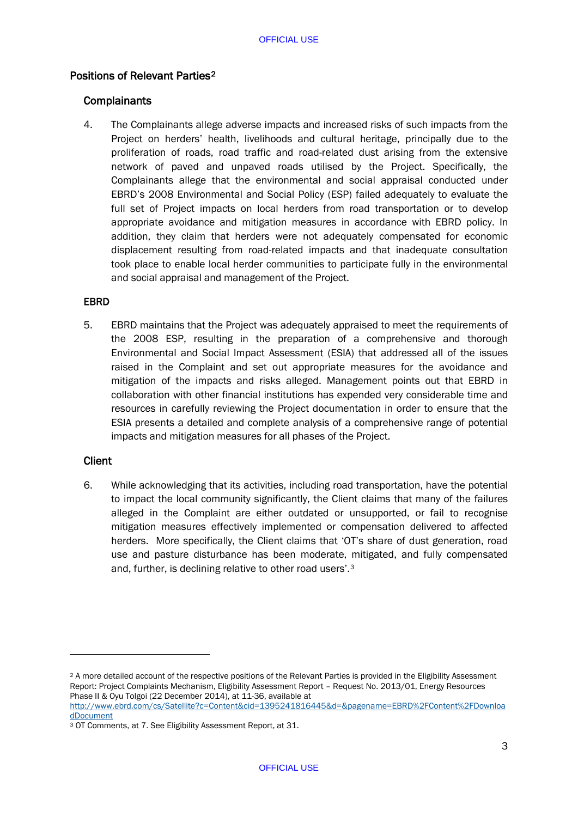# Positions of Relevant Parties[2](#page-5-0)

## **Complainants**

4. The Complainants allege adverse impacts and increased risks of such impacts from the Project on herders' health, livelihoods and cultural heritage, principally due to the proliferation of roads, road traffic and road-related dust arising from the extensive network of paved and unpaved roads utilised by the Project. Specifically, the Complainants allege that the environmental and social appraisal conducted under EBRD's 2008 Environmental and Social Policy (ESP) failed adequately to evaluate the full set of Project impacts on local herders from road transportation or to develop appropriate avoidance and mitigation measures in accordance with EBRD policy. In addition, they claim that herders were not adequately compensated for economic displacement resulting from road-related impacts and that inadequate consultation took place to enable local herder communities to participate fully in the environmental and social appraisal and management of the Project.

## EBRD

5. EBRD maintains that the Project was adequately appraised to meet the requirements of the 2008 ESP, resulting in the preparation of a comprehensive and thorough Environmental and Social Impact Assessment (ESIA) that addressed all of the issues raised in the Complaint and set out appropriate measures for the avoidance and mitigation of the impacts and risks alleged. Management points out that EBRD in collaboration with other financial institutions has expended very considerable time and resources in carefully reviewing the Project documentation in order to ensure that the ESIA presents a detailed and complete analysis of a comprehensive range of potential impacts and mitigation measures for all phases of the Project.

## Client

-

6. While acknowledging that its activities, including road transportation, have the potential to impact the local community significantly, the Client claims that many of the failures alleged in the Complaint are either outdated or unsupported, or fail to recognise mitigation measures effectively implemented or compensation delivered to affected herders. More specifically, the Client claims that 'OT's share of dust generation, road use and pasture disturbance has been moderate, mitigated, and fully compensated and, further, is declining relative to other road users'.[3](#page-5-1)

<span id="page-5-0"></span><sup>2</sup> A more detailed account of the respective positions of the Relevant Parties is provided in the Eligibility Assessment Report: Project Complaints Mechanism, Eligibility Assessment Report – Request No. 2013/01, Energy Resources Phase II & Oyu Tolgoi (22 December 2014), at 11-36, available at [http://www.ebrd.com/cs/Satellite?c=Content&cid=1395241816445&d=&pagename=EBRD%2FContent%2FDownloa](http://www.ebrd.com/cs/Satellite?c=Content&cid=1395241816445&d=&pagename=EBRD%2FContent%2FDownloadDocument)

[dDocument](http://www.ebrd.com/cs/Satellite?c=Content&cid=1395241816445&d=&pagename=EBRD%2FContent%2FDownloadDocument)

<span id="page-5-1"></span><sup>3</sup> OT Comments, at 7. See Eligibility Assessment Report, at 31.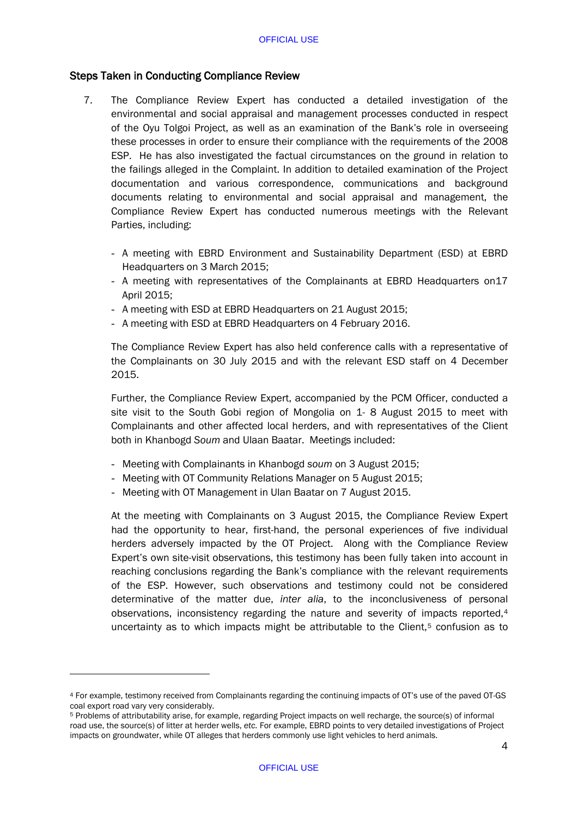## Steps Taken in Conducting Compliance Review

- 7. The Compliance Review Expert has conducted a detailed investigation of the environmental and social appraisal and management processes conducted in respect of the Oyu Tolgoi Project, as well as an examination of the Bank's role in overseeing these processes in order to ensure their compliance with the requirements of the 2008 ESP. He has also investigated the factual circumstances on the ground in relation to the failings alleged in the Complaint. In addition to detailed examination of the Project documentation and various correspondence, communications and background documents relating to environmental and social appraisal and management, the Compliance Review Expert has conducted numerous meetings with the Relevant Parties, including:
	- A meeting with EBRD Environment and Sustainability Department (ESD) at EBRD Headquarters on 3 March 2015;
	- A meeting with representatives of the Complainants at EBRD Headquarters on17 April 2015;
	- A meeting with ESD at EBRD Headquarters on 21 August 2015;
	- A meeting with ESD at EBRD Headquarters on 4 February 2016.

The Compliance Review Expert has also held conference calls with a representative of the Complainants on 30 July 2015 and with the relevant ESD staff on 4 December 2015.

Further, the Compliance Review Expert, accompanied by the PCM Officer, conducted a site visit to the South Gobi region of Mongolia on 1- 8 August 2015 to meet with Complainants and other affected local herders, and with representatives of the Client both in Khanbogd *Soum* and Ulaan Baatar. Meetings included:

- Meeting with Complainants in Khanbogd *soum* on 3 August 2015;
- Meeting with OT Community Relations Manager on 5 August 2015;
- Meeting with OT Management in Ulan Baatar on 7 August 2015.

At the meeting with Complainants on 3 August 2015, the Compliance Review Expert had the opportunity to hear, first-hand, the personal experiences of five individual herders adversely impacted by the OT Project. Along with the Compliance Review Expert's own site-visit observations, this testimony has been fully taken into account in reaching conclusions regarding the Bank's compliance with the relevant requirements of the ESP. However, such observations and testimony could not be considered determinative of the matter due, *inter alia*, to the inconclusiveness of personal observations, inconsistency regarding the nature and severity of impacts reported,[4](#page-6-0) uncertainty as to which impacts might be attributable to the Client, $5$  confusion as to

<span id="page-6-0"></span><sup>4</sup> For example, testimony received from Complainants regarding the continuing impacts of OT's use of the paved OT-GS coal export road vary very considerably.

<span id="page-6-1"></span><sup>5</sup> Problems of attributability arise, for example, regarding Project impacts on well recharge, the source(s) of informal road use, the source(s) of litter at herder wells, *etc.* For example, EBRD points to very detailed investigations of Project impacts on groundwater, while OT alleges that herders commonly use light vehicles to herd animals.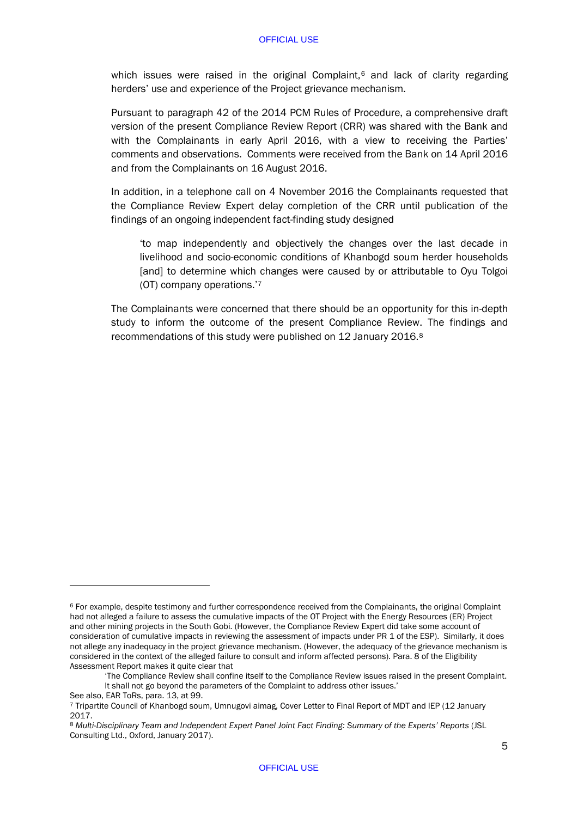which issues were raised in the original Complaint, $6$  and lack of clarity regarding herders' use and experience of the Project grievance mechanism.

Pursuant to paragraph 42 of the 2014 PCM Rules of Procedure, a comprehensive draft version of the present Compliance Review Report (CRR) was shared with the Bank and with the Complainants in early April 2016, with a view to receiving the Parties' comments and observations. Comments were received from the Bank on 14 April 2016 and from the Complainants on 16 August 2016.

In addition, in a telephone call on 4 November 2016 the Complainants requested that the Compliance Review Expert delay completion of the CRR until publication of the findings of an ongoing independent fact-finding study designed

'to map independently and objectively the changes over the last decade in livelihood and socio-economic conditions of Khanbogd soum herder households [and] to determine which changes were caused by or attributable to Oyu Tolgoi (OT) company operations.'[7](#page-7-1)

The Complainants were concerned that there should be an opportunity for this in-depth study to inform the outcome of the present Compliance Review. The findings and recommendations of this study were published on 12 January 2016.[8](#page-7-2)

<span id="page-7-0"></span><sup>6</sup> For example, despite testimony and further correspondence received from the Complainants, the original Complaint had not alleged a failure to assess the cumulative impacts of the OT Project with the Energy Resources (ER) Project and other mining projects in the South Gobi. (However, the Compliance Review Expert did take some account of consideration of cumulative impacts in reviewing the assessment of impacts under PR 1 of the ESP). Similarly, it does not allege any inadequacy in the project grievance mechanism. (However, the adequacy of the grievance mechanism is considered in the context of the alleged failure to consult and inform affected persons). Para. 8 of the Eligibility Assessment Report makes it quite clear that

<sup>&#</sup>x27;The Compliance Review shall confine itself to the Compliance Review issues raised in the present Complaint. It shall not go beyond the parameters of the Complaint to address other issues.'

See also, EAR ToRs, para. 13, at 99.

<span id="page-7-1"></span><sup>7</sup> Tripartite Council of Khanbogd soum, Umnugovi aimag, Cover Letter to Final Report of MDT and IEP (12 January 2017.

<span id="page-7-2"></span><sup>8</sup> *Multi-Disciplinary Team and Independent Expert Panel Joint Fact Finding: Summary of the Experts' Reports* (JSL Consulting Ltd., Oxford, January 2017).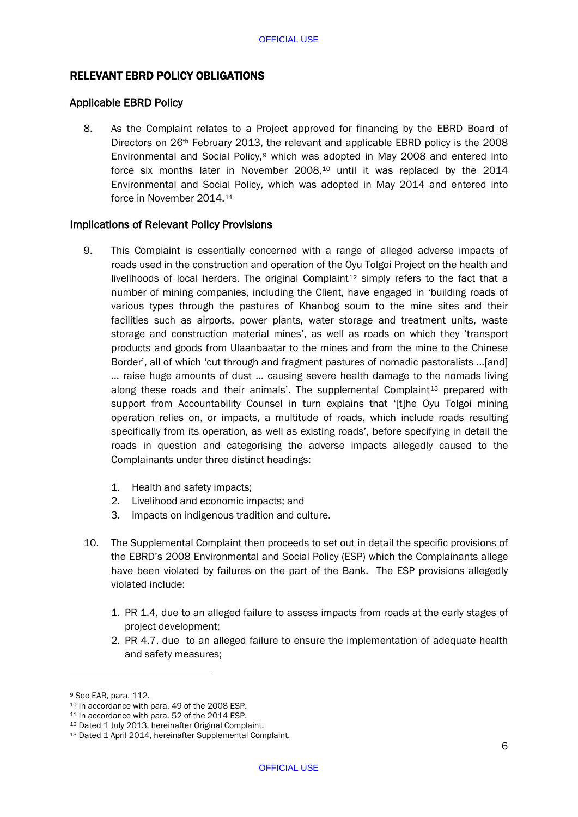# RELEVANT EBRD POLICY OBLIGATIONS

## Applicable EBRD Policy

8. As the Complaint relates to a Project approved for financing by the EBRD Board of Directors on 26th February 2013, the relevant and applicable EBRD policy is the 2008 Environmental and Social Policy,<sup>[9](#page-8-0)</sup> which was adopted in May 2008 and entered into force six months later in November 2008,[10](#page-8-1) until it was replaced by the 2014 Environmental and Social Policy, which was adopted in May 2014 and entered into force in November 2014.[11](#page-8-2)

# Implications of Relevant Policy Provisions

- 9. This Complaint is essentially concerned with a range of alleged adverse impacts of roads used in the construction and operation of the Oyu Tolgoi Project on the health and livelihoods of local herders. The original Complaint<sup>[12](#page-8-3)</sup> simply refers to the fact that a number of mining companies, including the Client, have engaged in 'building roads of various types through the pastures of Khanbog soum to the mine sites and their facilities such as airports, power plants, water storage and treatment units, waste storage and construction material mines', as well as roads on which they 'transport products and goods from Ulaanbaatar to the mines and from the mine to the Chinese Border', all of which 'cut through and fragment pastures of nomadic pastoralists …[and] … raise huge amounts of dust … causing severe health damage to the nomads living along these roads and their animals'. The supplemental Complaint<sup>[13](#page-8-4)</sup> prepared with support from Accountability Counsel in turn explains that '[t]he Oyu Tolgoi mining operation relies on, or impacts, a multitude of roads, which include roads resulting specifically from its operation, as well as existing roads', before specifying in detail the roads in question and categorising the adverse impacts allegedly caused to the Complainants under three distinct headings:
	- 1. Health and safety impacts;
	- 2. Livelihood and economic impacts; and
	- 3. Impacts on indigenous tradition and culture.
- 10. The Supplemental Complaint then proceeds to set out in detail the specific provisions of the EBRD's 2008 Environmental and Social Policy (ESP) which the Complainants allege have been violated by failures on the part of the Bank. The ESP provisions allegedly violated include:
	- 1. PR 1.4, due to an alleged failure to assess impacts from roads at the early stages of project development;
	- 2. PR 4.7, due to an alleged failure to ensure the implementation of adequate health and safety measures;

<span id="page-8-0"></span><sup>9</sup> See EAR, para. 112.<br><sup>10</sup> In accordance with para. 49 of the 2008 ESP.

<span id="page-8-2"></span><span id="page-8-1"></span><sup>11</sup> In accordance with para. 52 of the 2014 ESP.

<span id="page-8-3"></span><sup>12</sup> Dated 1 July 2013, hereinafter Original Complaint.

<span id="page-8-4"></span><sup>13</sup> Dated 1 April 2014, hereinafter Supplemental Complaint.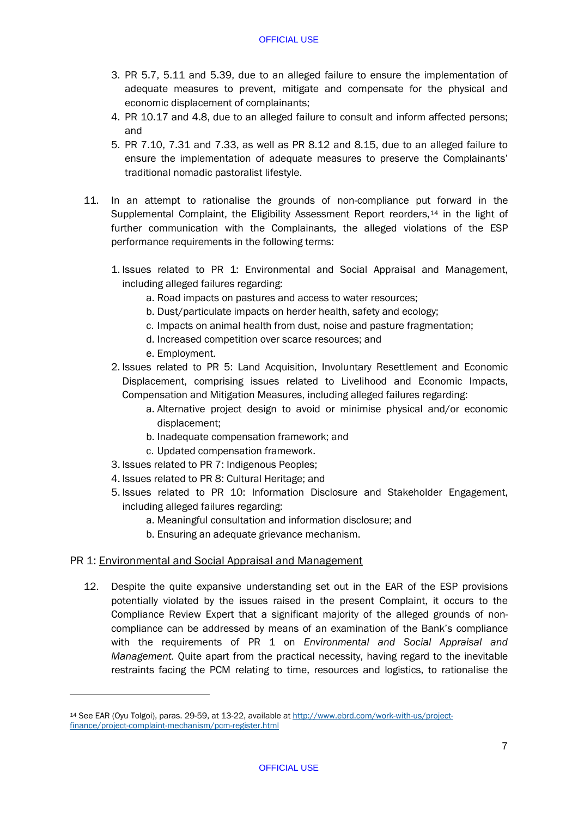- 3. PR 5.7, 5.11 and 5.39, due to an alleged failure to ensure the implementation of adequate measures to prevent, mitigate and compensate for the physical and economic displacement of complainants;
- 4. PR 10.17 and 4.8, due to an alleged failure to consult and inform affected persons; and
- 5. PR 7.10, 7.31 and 7.33, as well as PR 8.12 and 8.15, due to an alleged failure to ensure the implementation of adequate measures to preserve the Complainants' traditional nomadic pastoralist lifestyle.
- 11. In an attempt to rationalise the grounds of non-compliance put forward in the Supplemental Complaint, the Eligibility Assessment Report reorders, $14$  in the light of further communication with the Complainants, the alleged violations of the ESP performance requirements in the following terms:
	- 1. Issues related to PR 1: Environmental and Social Appraisal and Management, including alleged failures regarding:
		- a. Road impacts on pastures and access to water resources;
		- b. Dust/particulate impacts on herder health, safety and ecology;
		- c. Impacts on animal health from dust, noise and pasture fragmentation;
		- d. Increased competition over scarce resources; and
		- e. Employment.
	- 2. Issues related to PR 5: Land Acquisition, Involuntary Resettlement and Economic Displacement, comprising issues related to Livelihood and Economic Impacts, Compensation and Mitigation Measures, including alleged failures regarding:
		- a. Alternative project design to avoid or minimise physical and/or economic displacement;
		- b. Inadequate compensation framework; and
		- c. Updated compensation framework.
	- 3. Issues related to PR 7: Indigenous Peoples;
	- 4. Issues related to PR 8: Cultural Heritage; and
	- 5. Issues related to PR 10: Information Disclosure and Stakeholder Engagement, including alleged failures regarding:
		- a. Meaningful consultation and information disclosure; and
		- b. Ensuring an adequate grievance mechanism.

## PR 1: Environmental and Social Appraisal and Management

-

12. Despite the quite expansive understanding set out in the EAR of the ESP provisions potentially violated by the issues raised in the present Complaint, it occurs to the Compliance Review Expert that a significant majority of the alleged grounds of noncompliance can be addressed by means of an examination of the Bank's compliance with the requirements of PR 1 on *Environmental and Social Appraisal and Management.* Quite apart from the practical necessity, having regard to the inevitable restraints facing the PCM relating to time, resources and logistics, to rationalise the

<span id="page-9-0"></span><sup>14</sup> See EAR (Oyu Tolgoi), paras. 29-59, at 13-22, available a[t http://www.ebrd.com/work-with-us/project](http://www.ebrd.com/work-with-us/project-finance/project-complaint-mechanism/pcm-register.html)[finance/project-complaint-mechanism/pcm-register.html](http://www.ebrd.com/work-with-us/project-finance/project-complaint-mechanism/pcm-register.html)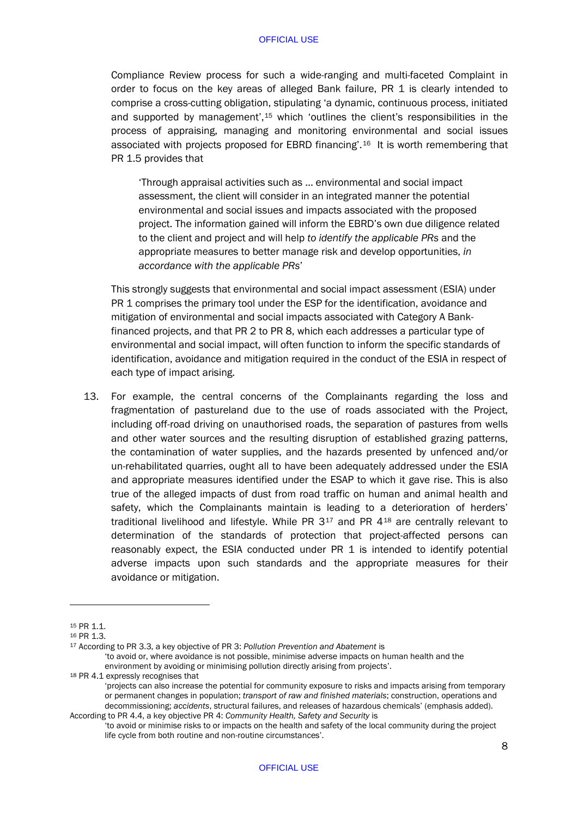Compliance Review process for such a wide-ranging and multi-faceted Complaint in order to focus on the key areas of alleged Bank failure, PR 1 is clearly intended to comprise a cross-cutting obligation, stipulating 'a dynamic, continuous process, initiated and supported by management',[15](#page-10-0) which 'outlines the client's responsibilities in the process of appraising, managing and monitoring environmental and social issues associated with projects proposed for EBRD financing'.[16](#page-10-1) It is worth remembering that PR 1.5 provides that

'Through appraisal activities such as … environmental and social impact assessment, the client will consider in an integrated manner the potential environmental and social issues and impacts associated with the proposed project. The information gained will inform the EBRD's own due diligence related to the client and project and will help *to identify the applicable PRs* and the appropriate measures to better manage risk and develop opportunities, *in accordance with the applicable PRs*'

This strongly suggests that environmental and social impact assessment (ESIA) under PR 1 comprises the primary tool under the ESP for the identification, avoidance and mitigation of environmental and social impacts associated with Category A Bankfinanced projects, and that PR 2 to PR 8, which each addresses a particular type of environmental and social impact, will often function to inform the specific standards of identification, avoidance and mitigation required in the conduct of the ESIA in respect of each type of impact arising.

13. For example, the central concerns of the Complainants regarding the loss and fragmentation of pastureland due to the use of roads associated with the Project, including off-road driving on unauthorised roads, the separation of pastures from wells and other water sources and the resulting disruption of established grazing patterns, the contamination of water supplies, and the hazards presented by unfenced and/or un-rehabilitated quarries, ought all to have been adequately addressed under the ESIA and appropriate measures identified under the ESAP to which it gave rise. This is also true of the alleged impacts of dust from road traffic on human and animal health and safety, which the Complainants maintain is leading to a deterioration of herders' traditional livelihood and lifestyle. While PR  $3^{17}$  $3^{17}$  $3^{17}$  and PR  $4^{18}$  $4^{18}$  $4^{18}$  are centrally relevant to determination of the standards of protection that project-affected persons can reasonably expect, the ESIA conducted under PR 1 is intended to identify potential adverse impacts upon such standards and the appropriate measures for their avoidance or mitigation.

<span id="page-10-0"></span><sup>15</sup> PR 1.1.

<span id="page-10-1"></span><sup>16</sup> PR 1.3.

<span id="page-10-2"></span><sup>17</sup> According to PR 3.3, a key objective of PR 3: *Pollution Prevention and Abatement* is 'to avoid or, where avoidance is not possible, minimise adverse impacts on human health and the environment by avoiding or minimising pollution directly arising from projects'.

<span id="page-10-3"></span><sup>18</sup> PR 4.1 expressly recognises that

<sup>&#</sup>x27;projects can also increase the potential for community exposure to risks and impacts arising from temporary or permanent changes in population; *transport of raw and finished materials*; construction, operations and decommissioning; *accidents*, structural failures, and releases of hazardous chemicals' (emphasis added). According to PR 4.4, a key objective PR 4: *Community Health, Safety and Security* is

<sup>&#</sup>x27;to avoid or minimise risks to or impacts on the health and safety of the local community during the project life cycle from both routine and non-routine circumstances'.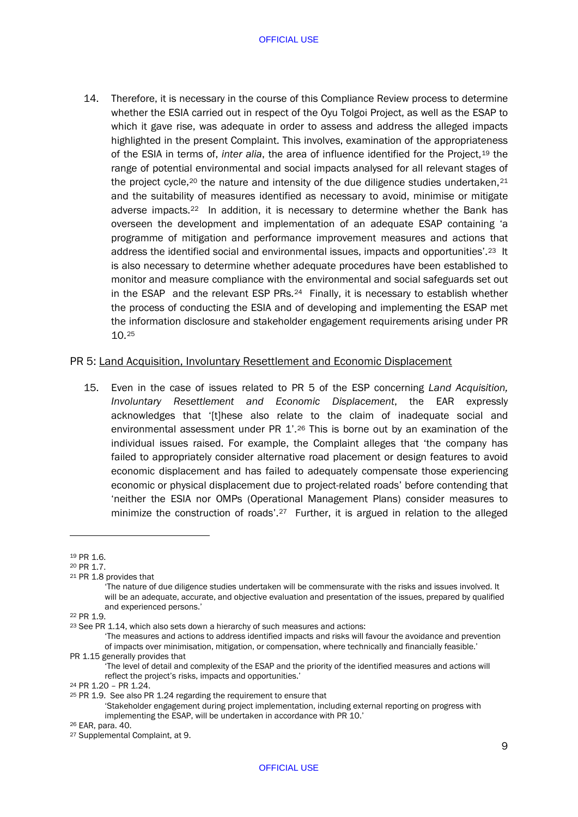14. Therefore, it is necessary in the course of this Compliance Review process to determine whether the ESIA carried out in respect of the Oyu Tolgoi Project, as well as the ESAP to which it gave rise, was adequate in order to assess and address the alleged impacts highlighted in the present Complaint. This involves, examination of the appropriateness of the ESIA in terms of, *inter alia*, the area of influence identified for the Project,[19](#page-11-0) the range of potential environmental and social impacts analysed for all relevant stages of the project cycle,<sup>[20](#page-11-1)</sup> the nature and intensity of the due diligence studies undertaken,<sup>[21](#page-11-2)</sup> and the suitability of measures identified as necessary to avoid, minimise or mitigate adverse impacts[.22](#page-11-3) In addition, it is necessary to determine whether the Bank has overseen the development and implementation of an adequate ESAP containing 'a programme of mitigation and performance improvement measures and actions that address the identified social and environmental issues, impacts and opportunities'.[23](#page-11-4) It is also necessary to determine whether adequate procedures have been established to monitor and measure compliance with the environmental and social safeguards set out in the ESAP and the relevant ESP PRs.[24](#page-11-5) Finally, it is necessary to establish whether the process of conducting the ESIA and of developing and implementing the ESAP met the information disclosure and stakeholder engagement requirements arising under PR 10.[25](#page-11-6)

## PR 5: Land Acquisition, Involuntary Resettlement and Economic Displacement

15. Even in the case of issues related to PR 5 of the ESP concerning *Land Acquisition, Involuntary Resettlement and Economic Displacement*, the EAR expressly acknowledges that '[t]hese also relate to the claim of inadequate social and environmental assessment under PR 1'.<sup>[26](#page-11-7)</sup> This is borne out by an examination of the individual issues raised. For example, the Complaint alleges that 'the company has failed to appropriately consider alternative road placement or design features to avoid economic displacement and has failed to adequately compensate those experiencing economic or physical displacement due to project-related roads' before contending that 'neither the ESIA nor OMPs (Operational Management Plans) consider measures to minimize the construction of roads'.[27](#page-11-8) Further, it is argued in relation to the alleged

<span id="page-11-0"></span><sup>19</sup> PR 1.6.

<span id="page-11-1"></span><sup>20</sup> PR 1.7.

<span id="page-11-2"></span><sup>21</sup> PR 1.8 provides that

<sup>&#</sup>x27;The nature of due diligence studies undertaken will be commensurate with the risks and issues involved. It will be an adequate, accurate, and objective evaluation and presentation of the issues, prepared by qualified and experienced persons.'

<span id="page-11-3"></span><sup>22</sup> PR 1.9.

<span id="page-11-4"></span><sup>&</sup>lt;sup>23</sup> See PR 1.14, which also sets down a hierarchy of such measures and actions:

<sup>&#</sup>x27;The measures and actions to address identified impacts and risks will favour the avoidance and prevention of impacts over minimisation, mitigation, or compensation, where technically and financially feasible.'

PR 1.15 generally provides that

<sup>&#</sup>x27;The level of detail and complexity of the ESAP and the priority of the identified measures and actions will reflect the project's risks, impacts and opportunities.' 24 PR 1.20 – PR 1.24.

<span id="page-11-5"></span>

<span id="page-11-6"></span><sup>25</sup> PR 1.9. See also PR 1.24 regarding the requirement to ensure that

<sup>&#</sup>x27;Stakeholder engagement during project implementation, including external reporting on progress with implementing the ESAP, will be undertaken in accordance with PR 10.'

<span id="page-11-7"></span><sup>26</sup> EAR, para. 40.

<span id="page-11-8"></span><sup>27</sup> Supplemental Complaint, at 9.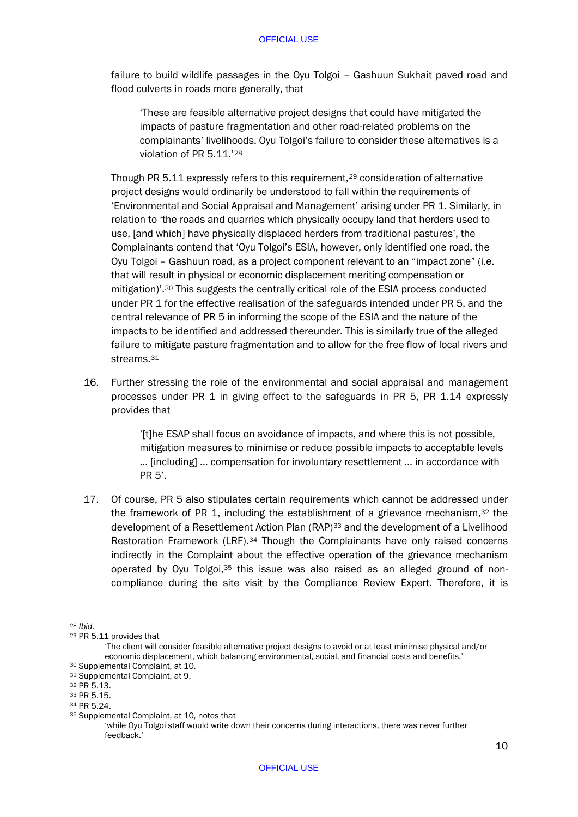failure to build wildlife passages in the Oyu Tolgoi – Gashuun Sukhait paved road and flood culverts in roads more generally, that

'These are feasible alternative project designs that could have mitigated the impacts of pasture fragmentation and other road-related problems on the complainants' livelihoods. Oyu Tolgoi's failure to consider these alternatives is a violation of PR 5.11.'[28](#page-12-0)

Though PR 5.11 expressly refers to this requirement,[29](#page-12-1) consideration of alternative project designs would ordinarily be understood to fall within the requirements of 'Environmental and Social Appraisal and Management' arising under PR 1. Similarly, in relation to 'the roads and quarries which physically occupy land that herders used to use, [and which] have physically displaced herders from traditional pastures', the Complainants contend that 'Oyu Tolgoi's ESIA, however, only identified one road, the Oyu Tolgoi – Gashuun road, as a project component relevant to an "impact zone" (i.e. that will result in physical or economic displacement meriting compensation or mitigation)'.[30](#page-12-2) This suggests the centrally critical role of the ESIA process conducted under PR 1 for the effective realisation of the safeguards intended under PR 5, and the central relevance of PR 5 in informing the scope of the ESIA and the nature of the impacts to be identified and addressed thereunder. This is similarly true of the alleged failure to mitigate pasture fragmentation and to allow for the free flow of local rivers and streams.[31](#page-12-3)

16. Further stressing the role of the environmental and social appraisal and management processes under PR 1 in giving effect to the safeguards in PR 5, PR 1.14 expressly provides that

> '[t]he ESAP shall focus on avoidance of impacts, and where this is not possible, mitigation measures to minimise or reduce possible impacts to acceptable levels … [including] … compensation for involuntary resettlement … in accordance with PR 5'.

17. Of course, PR 5 also stipulates certain requirements which cannot be addressed under the framework of PR 1, including the establishment of a grievance mechanism,[32](#page-12-4) the development of a Resettlement Action Plan (RAP)<sup>[33](#page-12-5)</sup> and the development of a Livelihood Restoration Framework (LRF).[34](#page-12-6) Though the Complainants have only raised concerns indirectly in the Complaint about the effective operation of the grievance mechanism operated by Oyu Tolgoi, $35$  this issue was also raised as an alleged ground of noncompliance during the site visit by the Compliance Review Expert. Therefore, it is

<span id="page-12-0"></span><sup>28</sup> *Ibid.*

<span id="page-12-1"></span><sup>29</sup> PR 5.11 provides that

<sup>&#</sup>x27;The client will consider feasible alternative project designs to avoid or at least minimise physical and/or economic displacement, which balancing environmental, social, and financial costs and benefits.' 30 Supplemental Complaint, at 10.

<span id="page-12-2"></span><sup>31</sup> Supplemental Complaint, at 9.

<span id="page-12-3"></span><sup>32</sup> PR 5.13.

<span id="page-12-4"></span><sup>33</sup> PR 5.15.

<span id="page-12-6"></span><span id="page-12-5"></span><sup>34</sup> PR 5.24

<span id="page-12-7"></span><sup>35</sup> Supplemental Complaint, at 10, notes that

<sup>&#</sup>x27;while Oyu Tolgoi staff would write down their concerns during interactions, there was never further feedback.'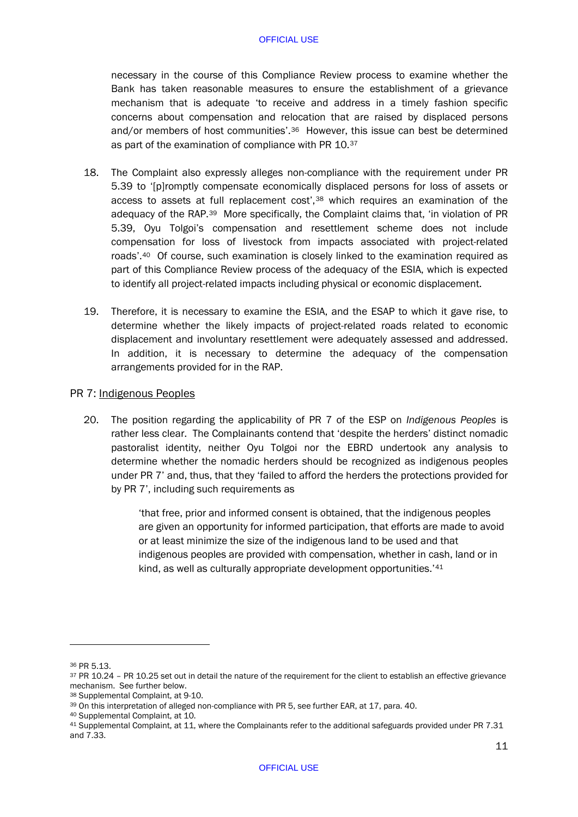necessary in the course of this Compliance Review process to examine whether the Bank has taken reasonable measures to ensure the establishment of a grievance mechanism that is adequate 'to receive and address in a timely fashion specific concerns about compensation and relocation that are raised by displaced persons and/or members of host communities'.<sup>[36](#page-13-0)</sup> However, this issue can best be determined as part of the examination of compliance with PR 10.[37](#page-13-1)

- 18. The Complaint also expressly alleges non-compliance with the requirement under PR 5.39 to '[p]romptly compensate economically displaced persons for loss of assets or access to assets at full replacement cost',[38](#page-13-2) which requires an examination of the adequacy of the RAP.[39](#page-13-3) More specifically, the Complaint claims that, 'in violation of PR 5.39, Oyu Tolgoi's compensation and resettlement scheme does not include compensation for loss of livestock from impacts associated with project-related roads'.[40](#page-13-4) Of course, such examination is closely linked to the examination required as part of this Compliance Review process of the adequacy of the ESIA, which is expected to identify all project-related impacts including physical or economic displacement.
- 19. Therefore, it is necessary to examine the ESIA, and the ESAP to which it gave rise, to determine whether the likely impacts of project-related roads related to economic displacement and involuntary resettlement were adequately assessed and addressed. In addition, it is necessary to determine the adequacy of the compensation arrangements provided for in the RAP.

# PR 7: Indigenous Peoples

20. The position regarding the applicability of PR 7 of the ESP on *Indigenous Peoples* is rather less clear. The Complainants contend that 'despite the herders' distinct nomadic pastoralist identity, neither Oyu Tolgoi nor the EBRD undertook any analysis to determine whether the nomadic herders should be recognized as indigenous peoples under PR 7' and, thus, that they 'failed to afford the herders the protections provided for by PR 7', including such requirements as

> 'that free, prior and informed consent is obtained, that the indigenous peoples are given an opportunity for informed participation, that efforts are made to avoid or at least minimize the size of the indigenous land to be used and that indigenous peoples are provided with compensation, whether in cash, land or in kind, as well as culturally appropriate development opportunities.<sup>'[41](#page-13-5)</sup>

<span id="page-13-0"></span><sup>36</sup> PR 5.13.

<span id="page-13-1"></span><sup>&</sup>lt;sup>37</sup> PR 10.24 – PR 10.25 set out in detail the nature of the requirement for the client to establish an effective grievance mechanism. See further below.

<span id="page-13-2"></span><sup>38</sup> Supplemental Complaint, at 9-10.

<span id="page-13-3"></span><sup>39</sup> On this interpretation of alleged non-compliance with PR 5, see further EAR, at 17, para. 40.

<span id="page-13-4"></span><sup>40</sup> Supplemental Complaint, at 10.

<span id="page-13-5"></span><sup>41</sup> Supplemental Complaint, at 11, where the Complainants refer to the additional safeguards provided under PR 7.31 and 7.33.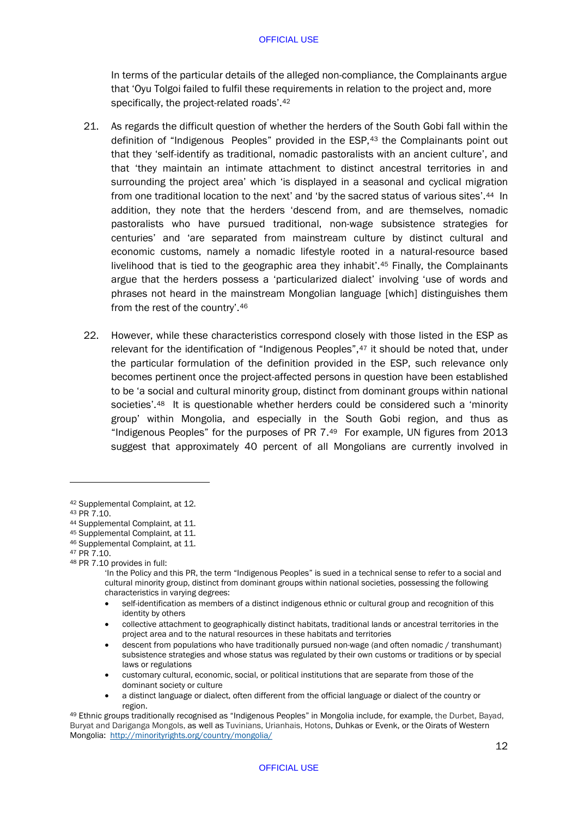In terms of the particular details of the alleged non-compliance, the Complainants argue that 'Oyu Tolgoi failed to fulfil these requirements in relation to the project and, more specifically, the project-related roads'.<sup>[42](#page-14-0)</sup>

- 21. As regards the difficult question of whether the herders of the South Gobi fall within the definition of "Indigenous Peoples" provided in the ESP,<sup>[43](#page-14-1)</sup> the Complainants point out that they 'self-identify as traditional, nomadic pastoralists with an ancient culture', and that 'they maintain an intimate attachment to distinct ancestral territories in and surrounding the project area' which 'is displayed in a seasonal and cyclical migration from one traditional location to the next' and 'by the sacred status of various sites'.[44](#page-14-2) In addition, they note that the herders 'descend from, and are themselves, nomadic pastoralists who have pursued traditional, non-wage subsistence strategies for centuries' and 'are separated from mainstream culture by distinct cultural and economic customs, namely a nomadic lifestyle rooted in a natural-resource based livelihood that is tied to the geographic area they inhabit'.[45](#page-14-3) Finally, the Complainants argue that the herders possess a 'particularized dialect' involving 'use of words and phrases not heard in the mainstream Mongolian language [which] distinguishes them from the rest of the country'.[46](#page-14-4)
- 22. However, while these characteristics correspond closely with those listed in the ESP as relevant for the identification of "Indigenous Peoples",<sup>[47](#page-14-5)</sup> it should be noted that, under the particular formulation of the definition provided in the ESP, such relevance only becomes pertinent once the project-affected persons in question have been established to be 'a social and cultural minority group, distinct from dominant groups within national societies'.<sup>48</sup> It is questionable whether herders could be considered such a 'minority group' within Mongolia, and especially in the South Gobi region, and thus as "Indigenous Peoples" for the purposes of PR  $7.49$  For example. UN figures from 2013 suggest that approximately 40 percent of all Mongolians are currently involved in

1

<span id="page-14-4"></span><sup>46</sup> Supplemental Complaint, at 11.

<span id="page-14-0"></span><sup>42</sup> Supplemental Complaint, at 12.

<span id="page-14-1"></span><sup>43</sup> PR 7.10.

<span id="page-14-2"></span><sup>44</sup> Supplemental Complaint, at 11.

<span id="page-14-3"></span><sup>45</sup> Supplemental Complaint, at 11.

<span id="page-14-5"></span><sup>47</sup> PR 7.10.

<span id="page-14-6"></span><sup>48</sup> PR 7.10 provides in full:

<sup>&#</sup>x27;In the Policy and this PR, the term "Indigenous Peoples" is sued in a technical sense to refer to a social and cultural minority group, distinct from dominant groups within national societies, possessing the following characteristics in varying degrees:

<sup>•</sup> self-identification as members of a distinct indigenous ethnic or cultural group and recognition of this identity by others

<sup>•</sup> collective attachment to geographically distinct habitats, traditional lands or ancestral territories in the project area and to the natural resources in these habitats and territories

<sup>•</sup> descent from populations who have traditionally pursued non-wage (and often nomadic / transhumant) subsistence strategies and whose status was regulated by their own customs or traditions or by special laws or regulations

<sup>•</sup> customary cultural, economic, social, or political institutions that are separate from those of the dominant society or culture

<sup>•</sup> a distinct language or dialect, often different from the official language or dialect of the country or

<span id="page-14-7"></span>region. 49 Ethnic groups traditionally recognised as "Indigenous Peoples" in Mongolia include, for example, the Durbet, Bayad, Buryat and Dariganga Mongols, as well as Tuvinians, Urianhais, Hotons, Duhkas or Evenk, or the Oirats of Western Mongolia:<http://minorityrights.org/country/mongolia/>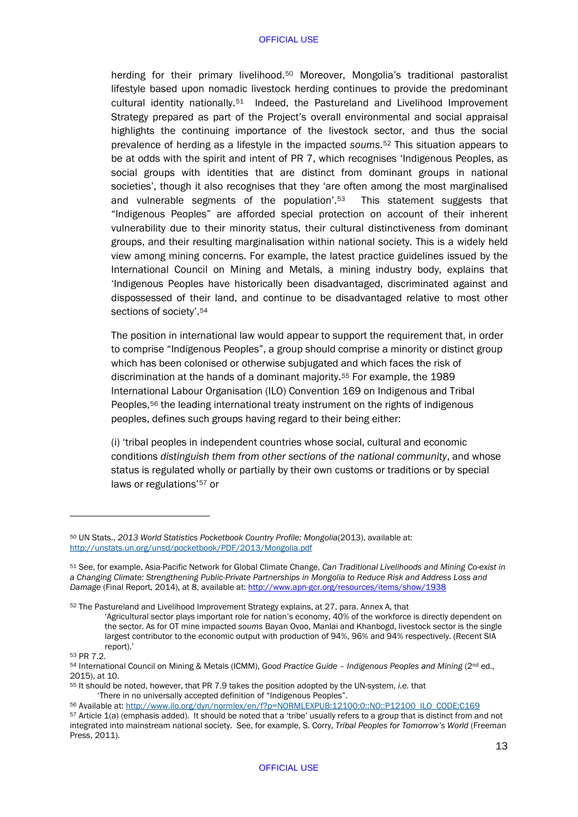herding for their primary livelihood.<sup>[50](#page-15-0)</sup> Moreover, Mongolia's traditional pastoralist lifestyle based upon nomadic livestock herding continues to provide the predominant cultural identity nationally.[51](#page-15-1) Indeed, the Pastureland and Livelihood Improvement Strategy prepared as part of the Project's overall environmental and social appraisal highlights the continuing importance of the livestock sector, and thus the social prevalence of herding as a lifestyle in the impacted *soums*.[52](#page-15-2) This situation appears to be at odds with the spirit and intent of PR 7, which recognises 'Indigenous Peoples, as social groups with identities that are distinct from dominant groups in national societies', though it also recognises that they 'are often among the most marginalised and vulnerable segments of the population'.[53](#page-15-3) This statement suggests that "Indigenous Peoples" are afforded special protection on account of their inherent vulnerability due to their minority status, their cultural distinctiveness from dominant groups, and their resulting marginalisation within national society. This is a widely held view among mining concerns. For example, the latest practice guidelines issued by the International Council on Mining and Metals, a mining industry body, explains that 'Indigenous Peoples have historically been disadvantaged, discriminated against and dispossessed of their land, and continue to be disadvantaged relative to most other sections of society'.[54](#page-15-4)

The position in international law would appear to support the requirement that, in order to comprise "Indigenous Peoples", a group should comprise a minority or distinct group which has been colonised or otherwise subjugated and which faces the risk of discrimination at the hands of a dominant majority.[55](#page-15-5) For example, the 1989 International Labour Organisation (ILO) Convention 169 on Indigenous and Tribal Peoples,<sup>[56](#page-15-6)</sup> the leading international treaty instrument on the rights of indigenous peoples, defines such groups having regard to their being either:

(i) 'tribal peoples in independent countries whose social, cultural and economic conditions *distinguish them from other sections of the national community*, and whose status is regulated wholly or partially by their own customs or traditions or by special laws or regulations'[57](#page-15-7) or

<span id="page-15-2"></span><sup>52</sup> The Pastureland and Livelihood Improvement Strategy explains, at 27, para. Annex A, that

'Agricultural sector plays important role for nation's economy, 40% of the workforce is directly dependent on the sector. As for OT mine impacted *soums* Bayan Ovoo, Manlai and Khanbogd, livestock sector is the single largest contributor to the economic output with production of 94%, 96% and 94% respectively. (Recent SIA report)

<span id="page-15-3"></span>53 PR 7.2.

-

<span id="page-15-5"></span><sup>55</sup> It should be noted, however, that PR 7.9 takes the position adopted by the UN-system, *i.e.* that

<span id="page-15-6"></span>56 Available at[: http://www.ilo.org/dyn/normlex/en/f?p=NORMLEXPUB:12100:0::NO::P12100\\_ILO\\_CODE:C169](http://www.ilo.org/dyn/normlex/en/f?p=NORMLEXPUB:12100:0::NO::P12100_ILO_CODE:C169)

<span id="page-15-0"></span><sup>50</sup> UN Stats., *2013 World Statistics Pocketbook Country Profile: Mongolia*(2013), available at: <http://unstats.un.org/unsd/pocketbook/PDF/2013/Mongolia.pdf>

<span id="page-15-1"></span><sup>51</sup> See, for example, Asia-Pacific Network for Global Climate Change, *Can Traditional Livelihoods and Mining Co-exist in a Changing Climate: Strengthening Public-Private Partnerships in Mongolia to Reduce Risk and Address Loss and Damage* (Final Report, 2014), at 8, available at[: http://www.apn-gcr.org/resources/items/show/1938](https://email.ucc.ie/owa/redir.aspx?SURL=oN6_Tg-St_82a1XtEQ9LHkM3jhtoKlmMZ7rWclKTJszNQxx0SNPSCGgAdAB0AHAAOgAvAC8AdwB3AHcALgBhAHAAbgAtAGcAYwByAC4AbwByAGcALwByAGUAcwBvAHUAcgBjAGUAcwAvAGkAdABlAG0AcwAvAHMAaABvAHcALwAxADkAMwA4AA..&URL=http%3a%2f%2fwww.apn-gcr.org%2fresources%2fitems%2fshow%2f1938)

<span id="page-15-4"></span><sup>54</sup> International Council on Mining & Metals (ICMM), *Good Practice Guide – Indigenous Peoples and Mining* (2nd ed., 2015), at 10.

<span id="page-15-7"></span><sup>57</sup> Article 1(a) (emphasis added). It should be noted that a 'tribe' usually refers to a group that is distinct from and not integrated into mainstream national society. See, for example, S. Corry, *Tribal Peoples for Tomorrow's World* (Freeman Press, 2011).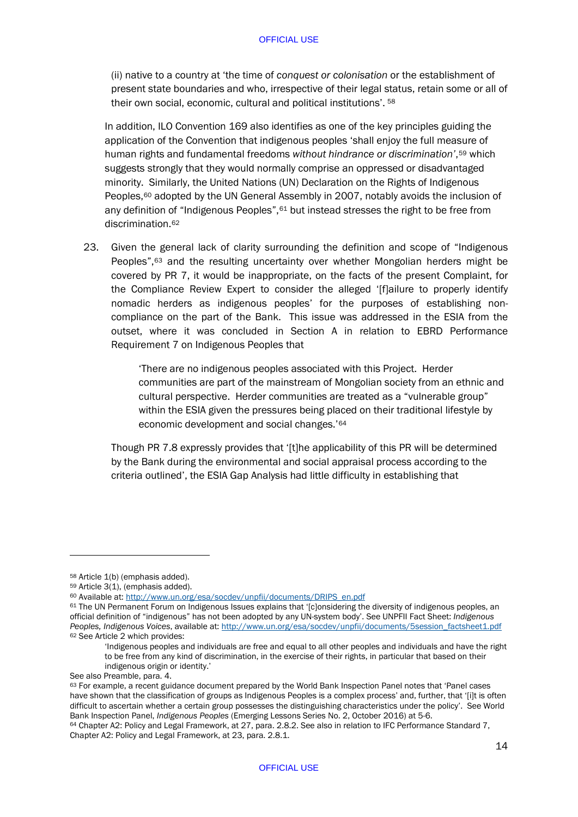(ii) native to a country at 'the time of *conquest or colonisation* or the establishment of present state boundaries and who, irrespective of their legal status, retain some or all of their own social, economic, cultural and political institutions'. [58](#page-16-0)

In addition, ILO Convention 169 also identifies as one of the key principles guiding the application of the Convention that indigenous peoples 'shall enjoy the full measure of human rights and fundamental freedoms *without hindrance or discrimination'*,[59](#page-16-1) which suggests strongly that they would normally comprise an oppressed or disadvantaged minority. Similarly, the United Nations (UN) Declaration on the Rights of Indigenous Peoples,<sup>[60](#page-16-2)</sup> adopted by the UN General Assembly in 2007, notably avoids the inclusion of any definition of "Indigenous Peoples", [61](#page-16-3) but instead stresses the right to be free from discrimination.[62](#page-16-4)

<span id="page-16-7"></span>23. Given the general lack of clarity surrounding the definition and scope of "Indigenous Peoples",[63](#page-16-5) and the resulting uncertainty over whether Mongolian herders might be covered by PR 7, it would be inappropriate, on the facts of the present Complaint, for the Compliance Review Expert to consider the alleged '[f]ailure to properly identify nomadic herders as indigenous peoples' for the purposes of establishing noncompliance on the part of the Bank. This issue was addressed in the ESIA from the outset, where it was concluded in Section A in relation to EBRD Performance Requirement 7 on Indigenous Peoples that

> 'There are no indigenous peoples associated with this Project. Herder communities are part of the mainstream of Mongolian society from an ethnic and cultural perspective. Herder communities are treated as a "vulnerable group" within the ESIA given the pressures being placed on their traditional lifestyle by economic development and social changes.'[64](#page-16-6)

Though PR 7.8 expressly provides that '[t]he applicability of this PR will be determined by the Bank during the environmental and social appraisal process according to the criteria outlined', the ESIA Gap Analysis had little difficulty in establishing that

<span id="page-16-0"></span><sup>58</sup> Article 1(b) (emphasis added).

<span id="page-16-1"></span><sup>59</sup> Article 3(1), (emphasis added).

<span id="page-16-2"></span><sup>60</sup> Available at[: http://www.un.org/esa/socdev/unpfii/documents/DRIPS\\_en.pdf](http://www.un.org/esa/socdev/unpfii/documents/DRIPS_en.pdf)

<span id="page-16-4"></span><span id="page-16-3"></span><sup>61</sup> The UN Permanent Forum on Indigenous Issues explains that '[c]onsidering the diversity of indigenous peoples, an official definition of "indigenous" has not been adopted by any UN-system body'. See UNPFII Fact Sheet: *Indigenous Peoples, Indigenous Voices*, available at: [http://www.un.org/esa/socdev/unpfii/documents/5session\\_factsheet1.pdf](http://www.un.org/esa/socdev/unpfii/documents/5session_factsheet1.pdf) <sup>62</sup> See Article 2 which provides:

<sup>&#</sup>x27;Indigenous peoples and individuals are free and equal to all other peoples and individuals and have the right to be free from any kind of discrimination, in the exercise of their rights, in particular that based on their indigenous origin or identity.'

See also Preamble, para. 4.

<span id="page-16-5"></span><sup>63</sup> For example, a recent guidance document prepared by the World Bank Inspection Panel notes that 'Panel cases have shown that the classification of groups as Indigenous Peoples is a complex process' and, further, that '[i]t is often difficult to ascertain whether a certain group possesses the distinguishing characteristics under the policy'. See World Bank Inspection Panel, *Indigenous Peoples* (Emerging Lessons Series No. 2, October 2016) at 5-6.

<span id="page-16-6"></span><sup>&</sup>lt;sup>64</sup> Chapter A2: Policy and Legal Framework, at 27, para. 2.8.2. See also in relation to IFC Performance Standard 7, Chapter A2: Policy and Legal Framework, at 23, para. 2.8.1.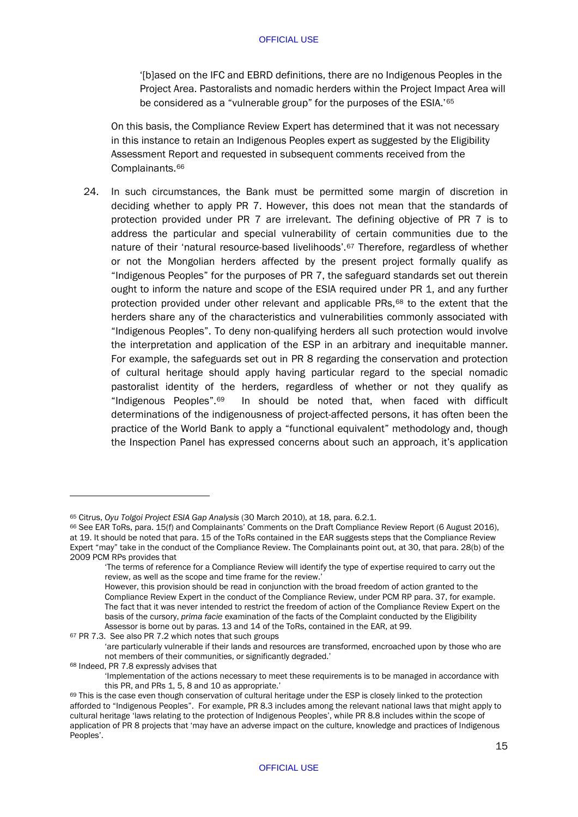'[b]ased on the IFC and EBRD definitions, there are no Indigenous Peoples in the Project Area. Pastoralists and nomadic herders within the Project Impact Area will be considered as a "vulnerable group" for the purposes of the ESIA.'[65](#page-17-0)

On this basis, the Compliance Review Expert has determined that it was not necessary in this instance to retain an Indigenous Peoples expert as suggested by the Eligibility Assessment Report and requested in subsequent comments received from the Complainants.[66](#page-17-1)

24. In such circumstances, the Bank must be permitted some margin of discretion in deciding whether to apply PR 7. However, this does not mean that the standards of protection provided under PR 7 are irrelevant. The defining objective of PR 7 is to address the particular and special vulnerability of certain communities due to the nature of their 'natural resource-based livelihoods'.<sup>[67](#page-17-2)</sup> Therefore, regardless of whether or not the Mongolian herders affected by the present project formally qualify as "Indigenous Peoples" for the purposes of PR 7, the safeguard standards set out therein ought to inform the nature and scope of the ESIA required under PR 1, and any further protection provided under other relevant and applicable  $PRs$ ,<sup>[68](#page-17-3)</sup> to the extent that the herders share any of the characteristics and vulnerabilities commonly associated with "Indigenous Peoples". To deny non-qualifying herders all such protection would involve the interpretation and application of the ESP in an arbitrary and inequitable manner. For example, the safeguards set out in PR 8 regarding the conservation and protection of cultural heritage should apply having particular regard to the special nomadic pastoralist identity of the herders, regardless of whether or not they qualify as "Indigenous Peoples".[69](#page-17-4) In should be noted that, when faced with difficult determinations of the indigenousness of project-affected persons, it has often been the practice of the World Bank to apply a "functional equivalent" methodology and, though the Inspection Panel has expressed concerns about such an approach, it's application

<span id="page-17-0"></span><sup>65</sup> Citrus, *Oyu Tolgoi Project ESIA Gap Analysis* (30 March 2010), at 18, para. 6.2.1.

<span id="page-17-1"></span><sup>66</sup> See EAR ToRs, para. 15(f) and Complainants' Comments on the Draft Compliance Review Report (6 August 2016), at 19. It should be noted that para. 15 of the ToRs contained in the EAR suggests steps that the Compliance Review Expert "may" take in the conduct of the Compliance Review. The Complainants point out, at 30, that para. 28(b) of the 2009 PCM RPs provides that

<sup>&#</sup>x27;The terms of reference for a Compliance Review will identify the type of expertise required to carry out the review, as well as the scope and time frame for the review.'

However, this provision should be read in conjunction with the broad freedom of action granted to the Compliance Review Expert in the conduct of the Compliance Review, under PCM RP para. 37, for example. The fact that it was never intended to restrict the freedom of action of the Compliance Review Expert on the basis of the cursory, *prima facie* examination of the facts of the Complaint conducted by the Eligibility Assessor is borne out by paras. 13 and 14 of the ToRs, contained in the EAR, at 99. 67 PR 7.3. See also PR 7.2 which notes that such groups

<span id="page-17-3"></span><span id="page-17-2"></span><sup>&#</sup>x27;are particularly vulnerable if their lands and resources are transformed, encroached upon by those who are not members of their communities, or significantly degraded.' <sup>68</sup> Indeed, PR 7.8 expressly advises that

<sup>&#</sup>x27;Implementation of the actions necessary to meet these requirements is to be managed in accordance with this PR, and PRs 1, 5, 8 and 10 as appropriate.'

<span id="page-17-4"></span><sup>69</sup> This is the case even though conservation of cultural heritage under the ESP is closely linked to the protection afforded to "Indigenous Peoples". For example, PR 8.3 includes among the relevant national laws that might apply to cultural heritage 'laws relating to the protection of Indigenous Peoples', while PR 8.8 includes within the scope of application of PR 8 projects that 'may have an adverse impact on the culture, knowledge and practices of Indigenous Peoples'.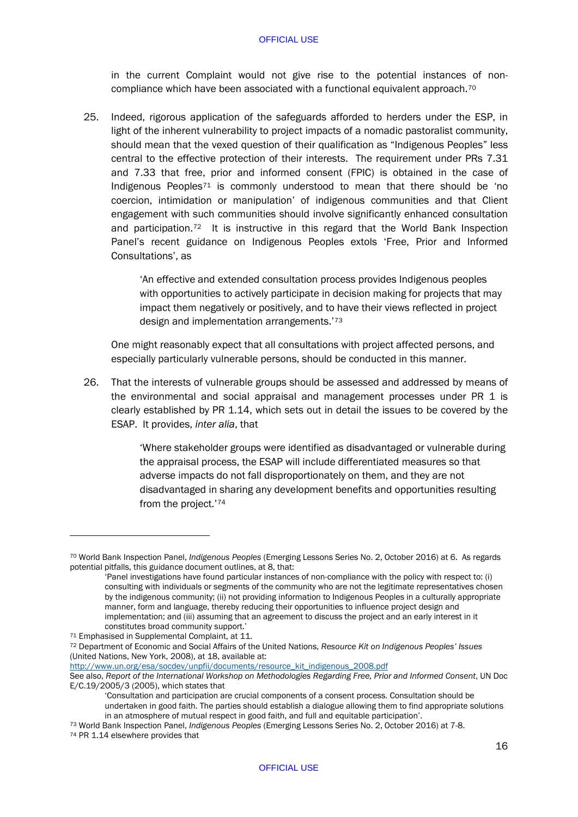in the current Complaint would not give rise to the potential instances of noncompliance which have been associated with a functional equivalent approach.[70](#page-18-0)

25. Indeed, rigorous application of the safeguards afforded to herders under the ESP, in light of the inherent vulnerability to project impacts of a nomadic pastoralist community, should mean that the vexed question of their qualification as "Indigenous Peoples" less central to the effective protection of their interests. The requirement under PRs 7.31 and 7.33 that free, prior and informed consent (FPIC) is obtained in the case of Indigenous Peoples[71](#page-18-1) is commonly understood to mean that there should be 'no coercion, intimidation or manipulation' of indigenous communities and that Client engagement with such communities should involve significantly enhanced consultation and participation.[72](#page-18-2) It is instructive in this regard that the World Bank Inspection Panel's recent guidance on Indigenous Peoples extols 'Free, Prior and Informed Consultations', as

> 'An effective and extended consultation process provides Indigenous peoples with opportunities to actively participate in decision making for projects that may impact them negatively or positively, and to have their views reflected in project design and implementation arrangements.'[73](#page-18-3)

One might reasonably expect that all consultations with project affected persons, and especially particularly vulnerable persons, should be conducted in this manner.

26. That the interests of vulnerable groups should be assessed and addressed by means of the environmental and social appraisal and management processes under PR 1 is clearly established by PR 1.14, which sets out in detail the issues to be covered by the ESAP. It provides, *inter alia*, that

> 'Where stakeholder groups were identified as disadvantaged or vulnerable during the appraisal process, the ESAP will include differentiated measures so that adverse impacts do not fall disproportionately on them, and they are not disadvantaged in sharing any development benefits and opportunities resulting from the project.'[74](#page-18-4)

[http://www.un.org/esa/socdev/unpfii/documents/resource\\_kit\\_indigenous\\_2008.pdf](http://www.un.org/esa/socdev/unpfii/documents/resource_kit_indigenous_2008.pdf)

<span id="page-18-0"></span><sup>70</sup> World Bank Inspection Panel, *Indigenous Peoples* (Emerging Lessons Series No. 2, October 2016) at 6. As regards potential pitfalls, this guidance document outlines, at 8, that:

<sup>&#</sup>x27;Panel investigations have found particular instances of non-compliance with the policy with respect to: (i) consulting with individuals or segments of the community who are not the legitimate representatives chosen by the indigenous community; (ii) not providing information to Indigenous Peoples in a culturally appropriate manner, form and language, thereby reducing their opportunities to influence project design and implementation; and (iii) assuming that an agreement to discuss the project and an early interest in it

constitutes broad community support.' 71 Emphasised in Supplemental Complaint, at 11.

<span id="page-18-2"></span><span id="page-18-1"></span><sup>72</sup> Department of Economic and Social Affairs of the United Nations, *Resource Kit on Indigenous Peoples' Issues* (United Nations, New York, 2008), at 18, available at:

See also, *Report of the International Workshop on Methodologies Regarding Free, Prior and Informed Consent*, UN Doc E/C.19/2005/3 (2005), which states that

<sup>&#</sup>x27;Consultation and participation are crucial components of a consent process. Consultation should be undertaken in good faith. The parties should establish a dialogue allowing them to find appropriate solutions in an atmosphere of mutual respect in good faith, and full and equitable participation'.

<span id="page-18-4"></span><span id="page-18-3"></span><sup>73</sup> World Bank Inspection Panel, *Indigenous Peoples* (Emerging Lessons Series No. 2, October 2016) at 7-8. 74 PR 1.14 elsewhere provides that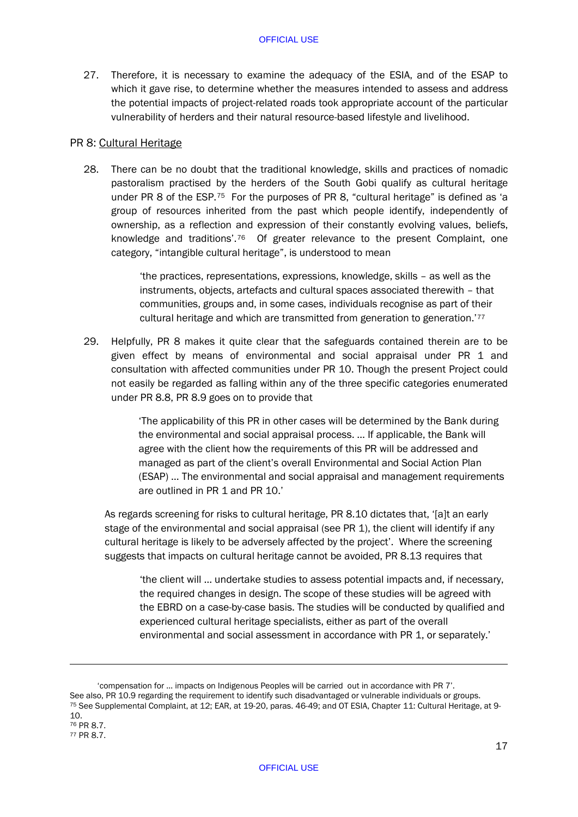<span id="page-19-3"></span>27. Therefore, it is necessary to examine the adequacy of the ESIA, and of the ESAP to which it gave rise, to determine whether the measures intended to assess and address the potential impacts of project-related roads took appropriate account of the particular vulnerability of herders and their natural resource-based lifestyle and livelihood.

## PR 8: Cultural Heritage

-

28. There can be no doubt that the traditional knowledge, skills and practices of nomadic pastoralism practised by the herders of the South Gobi qualify as cultural heritage under PR 8 of the  $ESP^{75}$  For the purposes of PR 8, "cultural heritage" is defined as 'a group of resources inherited from the past which people identify, independently of ownership, as a reflection and expression of their constantly evolving values, beliefs, knowledge and traditions'.<sup>76</sup> Of greater relevance to the present Complaint, one category, "intangible cultural heritage", is understood to mean

> 'the practices, representations, expressions, knowledge, skills – as well as the instruments, objects, artefacts and cultural spaces associated therewith – that communities, groups and, in some cases, individuals recognise as part of their cultural heritage and which are transmitted from generation to generation.'[77](#page-19-2)

29. Helpfully, PR 8 makes it quite clear that the safeguards contained therein are to be given effect by means of environmental and social appraisal under PR 1 and consultation with affected communities under PR 10. Though the present Project could not easily be regarded as falling within any of the three specific categories enumerated under PR 8.8, PR 8.9 goes on to provide that

> 'The applicability of this PR in other cases will be determined by the Bank during the environmental and social appraisal process. … If applicable, the Bank will agree with the client how the requirements of this PR will be addressed and managed as part of the client's overall Environmental and Social Action Plan (ESAP) … The environmental and social appraisal and management requirements are outlined in PR 1 and PR 10.'

As regards screening for risks to cultural heritage, PR 8.10 dictates that, '[a]t an early stage of the environmental and social appraisal (see PR 1), the client will identify if any cultural heritage is likely to be adversely affected by the project'. Where the screening suggests that impacts on cultural heritage cannot be avoided, PR 8.13 requires that

'the client will … undertake studies to assess potential impacts and, if necessary, the required changes in design. The scope of these studies will be agreed with the EBRD on a case-by-case basis. The studies will be conducted by qualified and experienced cultural heritage specialists, either as part of the overall environmental and social assessment in accordance with PR 1, or separately.'

<span id="page-19-2"></span><span id="page-19-1"></span><span id="page-19-0"></span><sup>&#</sup>x27;compensation for … impacts on Indigenous Peoples will be carried out in accordance with PR 7'. 75 See Supplemental Complaint, at 12; EAR, at 19-20, paras. 46-49; and OT ESIA, Chapter 11: Cultural Heritage, at 9-10. <sup>76</sup> PR 8.7. <sup>77</sup> PR 8.7.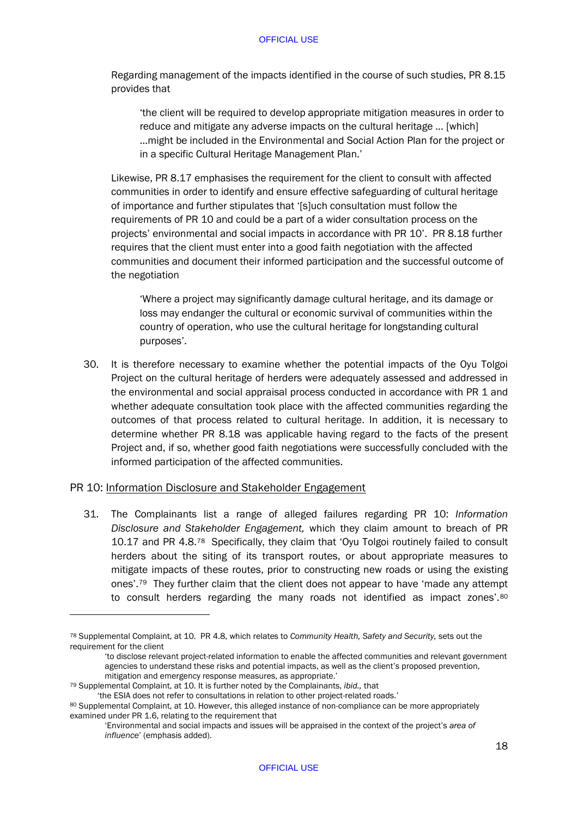Regarding management of the impacts identified in the course of such studies, PR 8.15 provides that

'the client will be required to develop appropriate mitigation measures in order to reduce and mitigate any adverse impacts on the cultural heritage … [which] …might be included in the Environmental and Social Action Plan for the project or in a specific Cultural Heritage Management Plan.'

Likewise, PR 8.17 emphasises the requirement for the client to consult with affected communities in order to identify and ensure effective safeguarding of cultural heritage of importance and further stipulates that '[s]uch consultation must follow the requirements of PR 10 and could be a part of a wider consultation process on the projects' environmental and social impacts in accordance with PR 10'. PR 8.18 further requires that the client must enter into a good faith negotiation with the affected communities and document their informed participation and the successful outcome of the negotiation

'Where a project may significantly damage cultural heritage, and its damage or loss may endanger the cultural or economic survival of communities within the country of operation, who use the cultural heritage for longstanding cultural purposes'.

30. It is therefore necessary to examine whether the potential impacts of the Oyu Tolgoi Project on the cultural heritage of herders were adequately assessed and addressed in the environmental and social appraisal process conducted in accordance with PR 1 and whether adequate consultation took place with the affected communities regarding the outcomes of that process related to cultural heritage. In addition, it is necessary to determine whether PR 8.18 was applicable having regard to the facts of the present Project and, if so, whether good faith negotiations were successfully concluded with the informed participation of the affected communities.

## PR 10: Information Disclosure and Stakeholder Engagement

31. The Complainants list a range of alleged failures regarding PR 10: *Information Disclosure and Stakeholder Engagement,* which they claim amount to breach of PR 10.17 and PR 4.8.[78](#page-20-0) Specifically, they claim that 'Oyu Tolgoi routinely failed to consult herders about the siting of its transport routes, or about appropriate measures to mitigate impacts of these routes, prior to constructing new roads or using the existing ones'.[79](#page-20-1) They further claim that the client does not appear to have 'made any attempt to consult herders regarding the many roads not identified as impact zones'.<sup>[80](#page-20-2)</sup>

<span id="page-20-0"></span><sup>78</sup> Supplemental Complaint, at 10. PR 4.8, which relates to *Community Health, Safety and Security,* sets out the requirement for the client

<sup>&#</sup>x27;to disclose relevant project-related information to enable the affected communities and relevant government agencies to understand these risks and potential impacts, as well as the client's proposed prevention, mitigation and emergency response measures, as appropriate.'

<span id="page-20-1"></span><sup>79</sup> Supplemental Complaint, at 10. It is further noted by the Complainants, *ibid.,* that

<sup>&#</sup>x27;the ESIA does not refer to consultations in relation to other project-related roads.'

<span id="page-20-2"></span><sup>80</sup> Supplemental Complaint, at 10. However, this alleged instance of non-compliance can be more appropriately examined under PR 1.6, relating to the requirement that

<sup>&#</sup>x27;Environmental and social impacts and issues will be appraised in the context of the project's *area of influence*' (emphasis added).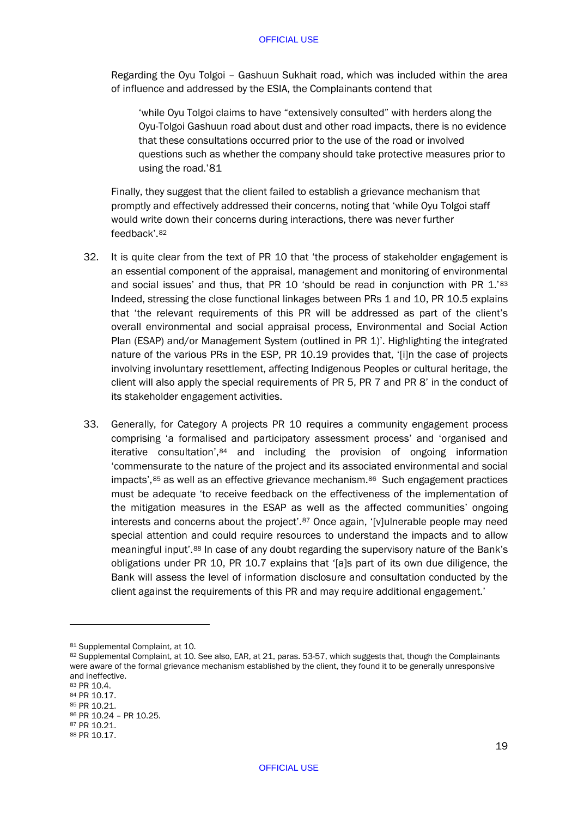Regarding the Oyu Tolgoi – Gashuun Sukhait road, which was included within the area of influence and addressed by the ESIA, the Complainants contend that

'while Oyu Tolgoi claims to have "extensively consulted" with herders along the Oyu-Tolgoi Gashuun road about dust and other road impacts, there is no evidence that these consultations occurred prior to the use of the road or involved questions such as whether the company should take protective measures prior to using the road.'[81](#page-21-0)

Finally, they suggest that the client failed to establish a grievance mechanism that promptly and effectively addressed their concerns, noting that 'while Oyu Tolgoi staff would write down their concerns during interactions, there was never further feedback'.[82](#page-21-1) 

- 32. It is quite clear from the text of PR 10 that 'the process of stakeholder engagement is an essential component of the appraisal, management and monitoring of environmental and social issues' and thus, that PR 10 'should be read in conjunction with PR 1.'[83](#page-21-2) Indeed, stressing the close functional linkages between PRs 1 and 10, PR 10.5 explains that 'the relevant requirements of this PR will be addressed as part of the client's overall environmental and social appraisal process, Environmental and Social Action Plan (ESAP) and/or Management System (outlined in PR 1)'. Highlighting the integrated nature of the various PRs in the ESP, PR 10.19 provides that, '[i]n the case of projects involving involuntary resettlement, affecting Indigenous Peoples or cultural heritage, the client will also apply the special requirements of PR 5, PR 7 and PR 8' in the conduct of its stakeholder engagement activities.
- 33. Generally, for Category A projects PR 10 requires a community engagement process comprising 'a formalised and participatory assessment process' and 'organised and iterative consultation', [84](#page-21-3) and including the provision of ongoing information 'commensurate to the nature of the project and its associated environmental and social impacts', [85](#page-21-4) as well as an effective grievance mechanism. [86](#page-21-5) Such engagement practices must be adequate 'to receive feedback on the effectiveness of the implementation of the mitigation measures in the ESAP as well as the affected communities' ongoing interests and concerns about the project'.[87](#page-21-6) Once again, '[v]ulnerable people may need special attention and could require resources to understand the impacts and to allow meaningful input'.[88](#page-21-7) In case of any doubt regarding the supervisory nature of the Bank's obligations under PR 10, PR 10.7 explains that '[a]s part of its own due diligence, the Bank will assess the level of information disclosure and consultation conducted by the client against the requirements of this PR and may require additional engagement.'

<span id="page-21-0"></span><sup>81</sup> Supplemental Complaint, at 10.

<span id="page-21-1"></span><sup>82</sup> Supplemental Complaint, at 10. See also, EAR, at 21, paras. 53-57, which suggests that, though the Complainants were aware of the formal grievance mechanism established by the client, they found it to be generally unresponsive and ineffective.

<span id="page-21-2"></span><sup>83</sup> PR 10.4.

<span id="page-21-3"></span><sup>84</sup> PR 10.17.

<span id="page-21-4"></span><sup>85</sup> PR 10.21.

<span id="page-21-5"></span><sup>86</sup> PR 10.24 – PR 10.25.

<span id="page-21-7"></span><span id="page-21-6"></span><sup>87</sup> PR 10.21. <sup>88</sup> PR 10.17.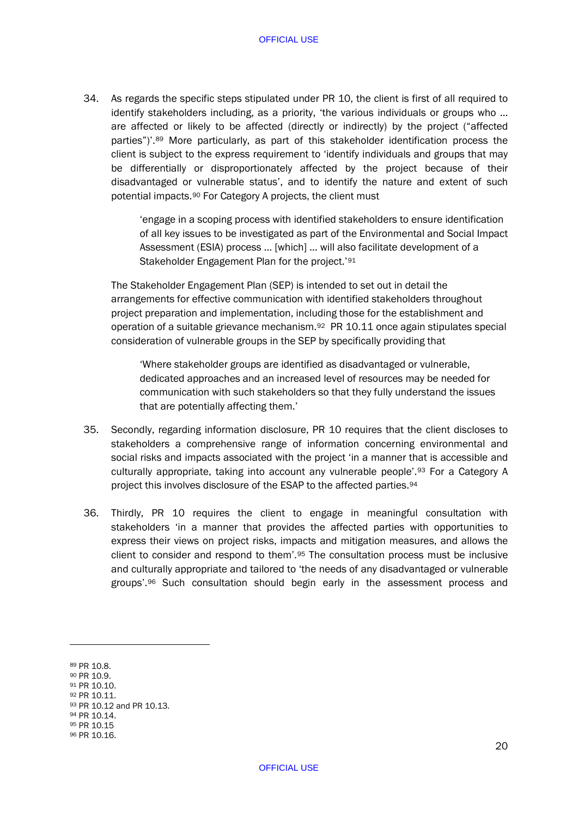34. As regards the specific steps stipulated under PR 10, the client is first of all required to identify stakeholders including, as a priority, 'the various individuals or groups who … are affected or likely to be affected (directly or indirectly) by the project ("affected parties")'.[89](#page-22-0) More particularly, as part of this stakeholder identification process the client is subject to the express requirement to 'identify individuals and groups that may be differentially or disproportionately affected by the project because of their disadvantaged or vulnerable status', and to identify the nature and extent of such potential impacts.[90](#page-22-1) For Category A projects, the client must

> 'engage in a scoping process with identified stakeholders to ensure identification of all key issues to be investigated as part of the Environmental and Social Impact Assessment (ESIA) process … [which] … will also facilitate development of a Stakeholder Engagement Plan for the project.'[91](#page-22-2)

The Stakeholder Engagement Plan (SEP) is intended to set out in detail the arrangements for effective communication with identified stakeholders throughout project preparation and implementation, including those for the establishment and operation of a suitable grievance mechanism.[92](#page-22-3) PR 10.11 once again stipulates special consideration of vulnerable groups in the SEP by specifically providing that

'Where stakeholder groups are identified as disadvantaged or vulnerable, dedicated approaches and an increased level of resources may be needed for communication with such stakeholders so that they fully understand the issues that are potentially affecting them.'

- 35. Secondly, regarding information disclosure, PR 10 requires that the client discloses to stakeholders a comprehensive range of information concerning environmental and social risks and impacts associated with the project 'in a manner that is accessible and culturally appropriate, taking into account any vulnerable people'.[93](#page-22-4) For a Category A project this involves disclosure of the ESAP to the affected parties.[94](#page-22-5)
- 36. Thirdly, PR 10 requires the client to engage in meaningful consultation with stakeholders 'in a manner that provides the affected parties with opportunities to express their views on project risks, impacts and mitigation measures, and allows the client to consider and respond to them'.[95](#page-22-6) The consultation process must be inclusive and culturally appropriate and tailored to 'the needs of any disadvantaged or vulnerable groups'.[96](#page-22-7) Such consultation should begin early in the assessment process and

-

- <span id="page-22-2"></span><sup>92</sup> PR 10.11.
- <span id="page-22-3"></span>93 PR 10.12 and PR 10.13.

<span id="page-22-6"></span><sup>95</sup> PR 10.15

<span id="page-22-0"></span><sup>89</sup> PR 10.8.

<span id="page-22-1"></span><sup>90</sup> PR 10.9. 91 PR 10.10.

<span id="page-22-5"></span><span id="page-22-4"></span><sup>94</sup> PR 10.14.

<span id="page-22-7"></span><sup>96</sup> PR 10.16.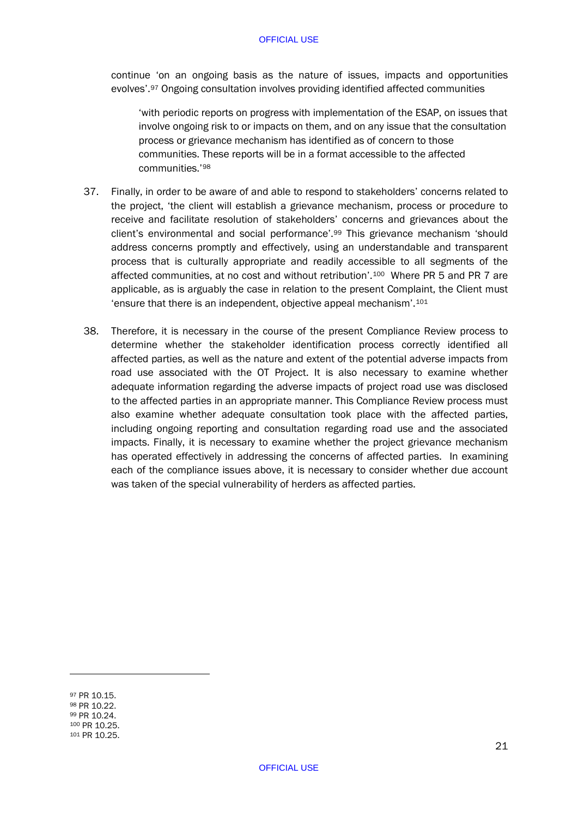continue 'on an ongoing basis as the nature of issues, impacts and opportunities evolves'.[97](#page-23-0) Ongoing consultation involves providing identified affected communities

'with periodic reports on progress with implementation of the ESAP, on issues that involve ongoing risk to or impacts on them, and on any issue that the consultation process or grievance mechanism has identified as of concern to those communities. These reports will be in a format accessible to the affected communities.'[98](#page-23-1)

- <span id="page-23-6"></span>37. Finally, in order to be aware of and able to respond to stakeholders' concerns related to the project, 'the client will establish a grievance mechanism, process or procedure to receive and facilitate resolution of stakeholders' concerns and grievances about the client's environmental and social performance'.[99](#page-23-2) This grievance mechanism 'should address concerns promptly and effectively, using an understandable and transparent process that is culturally appropriate and readily accessible to all segments of the affected communities, at no cost and without retribution'.[100](#page-23-3) Where PR 5 and PR 7 are applicable, as is arguably the case in relation to the present Complaint, the Client must 'ensure that there is an independent, objective appeal mechanism'.[101](#page-23-4)
- <span id="page-23-5"></span>38. Therefore, it is necessary in the course of the present Compliance Review process to determine whether the stakeholder identification process correctly identified all affected parties, as well as the nature and extent of the potential adverse impacts from road use associated with the OT Project. It is also necessary to examine whether adequate information regarding the adverse impacts of project road use was disclosed to the affected parties in an appropriate manner. This Compliance Review process must also examine whether adequate consultation took place with the affected parties, including ongoing reporting and consultation regarding road use and the associated impacts. Finally, it is necessary to examine whether the project grievance mechanism has operated effectively in addressing the concerns of affected parties. In examining each of the compliance issues above, it is necessary to consider whether due account was taken of the special vulnerability of herders as affected parties.

<span id="page-23-4"></span><span id="page-23-3"></span><span id="page-23-2"></span><span id="page-23-1"></span><span id="page-23-0"></span> PR 10.15. PR 10.22. PR 10.24. PR 10.25. <sup>101</sup> PR 10.25.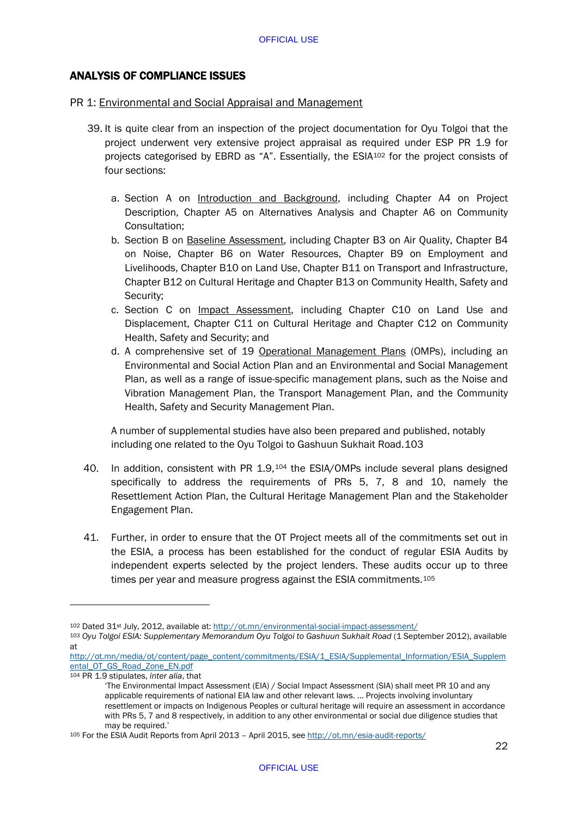# ANALYSIS OF COMPLIANCE ISSUES

## PR 1: Environmental and Social Appraisal and Management

- 39. It is quite clear from an inspection of the project documentation for Oyu Tolgoi that the project underwent very extensive project appraisal as required under ESP PR 1.9 for projects categorised by EBRD as "A". Essentially, the ESIA[102](#page-24-0) for the project consists of four sections:
	- a. Section A on Introduction and Background, including Chapter A4 on Project Description, Chapter A5 on Alternatives Analysis and Chapter A6 on Community Consultation;
	- b. Section B on Baseline Assessment, including Chapter B3 on Air Quality, Chapter B4 on Noise, Chapter B6 on Water Resources, Chapter B9 on Employment and Livelihoods, Chapter B10 on Land Use, Chapter B11 on Transport and Infrastructure, Chapter B12 on Cultural Heritage and Chapter B13 on Community Health, Safety and Security;
	- c. Section C on Impact Assessment, including Chapter C10 on Land Use and Displacement, Chapter C11 on Cultural Heritage and Chapter C12 on Community Health, Safety and Security; and
	- d. A comprehensive set of 19 Operational Management Plans (OMPs), including an Environmental and Social Action Plan and an Environmental and Social Management Plan, as well as a range of issue-specific management plans, such as the Noise and Vibration Management Plan, the Transport Management Plan, and the Community Health, Safety and Security Management Plan.

A number of supplemental studies have also been prepared and published, notably including one related to the Oyu Tolgoi to Gashuun Sukhait Road.[103](#page-24-1)

- 40. In addition, consistent with PR 1.9,[104](#page-24-2) the ESIA/OMPs include several plans designed specifically to address the requirements of PRs 5, 7, 8 and 10, namely the Resettlement Action Plan, the Cultural Heritage Management Plan and the Stakeholder Engagement Plan.
- 41. Further, in order to ensure that the OT Project meets all of the commitments set out in the ESIA, a process has been established for the conduct of regular ESIA Audits by independent experts selected by the project lenders. These audits occur up to three times per year and measure progress against the ESIA commitments.<sup>[105](#page-24-3)</sup>

<sup>104</sup> PR 1.9 stipulates, *inter alia*, that

<sup>102</sup> Dated 31<sup>st</sup> July, 2012, available at:<http://ot.mn/environmental-social-impact-assessment/>

<span id="page-24-1"></span><span id="page-24-0"></span><sup>103</sup> *Oyu Tolgoi ESIA: Supplementary Memorandum Oyu Tolgoi to Gashuun Sukhait Road* (1 September 2012), available at

[http://ot.mn/media/ot/content/page\\_content/commitments/ESIA/1\\_ESIA/Supplemental\\_Information/ESIA\\_Supplem](http://ot.mn/media/ot/content/page_content/commitments/ESIA/1_ESIA/Supplemental_Information/ESIA_Supplemental_OT_GS_Road_Zone_EN.pdf) [ental\\_OT\\_GS\\_Road\\_Zone\\_EN.pdf](http://ot.mn/media/ot/content/page_content/commitments/ESIA/1_ESIA/Supplemental_Information/ESIA_Supplemental_OT_GS_Road_Zone_EN.pdf)

<span id="page-24-2"></span><sup>&#</sup>x27;The Environmental Impact Assessment (EIA) / Social Impact Assessment (SIA) shall meet PR 10 and any applicable requirements of national EIA law and other relevant laws. … Projects involving involuntary resettlement or impacts on Indigenous Peoples or cultural heritage will require an assessment in accordance with PRs 5, 7 and 8 respectively, in addition to any other environmental or social due diligence studies that may be required.'<br><sup>105</sup> For the ESIA Audit Reports from April 2013 – April 2015, see<http://ot.mn/esia-audit-reports/>

<span id="page-24-3"></span>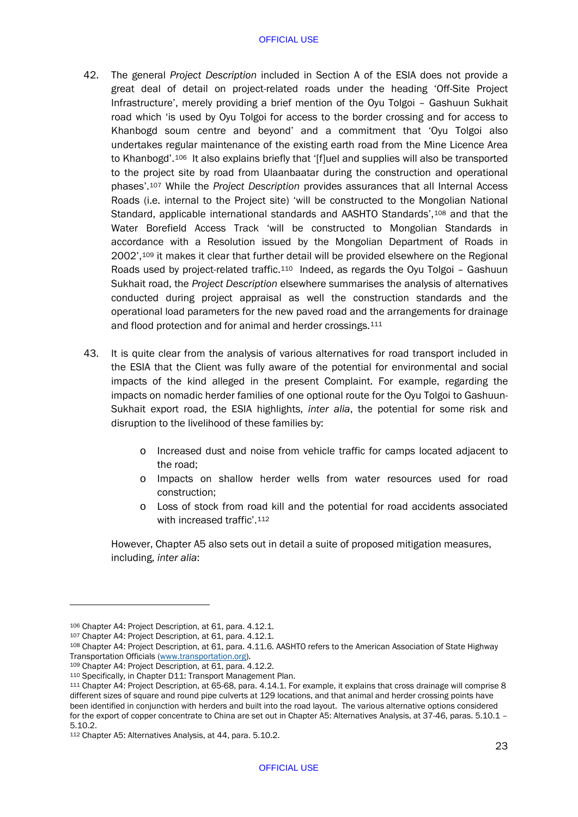- 42. The general *Project Description* included in Section A of the ESIA does not provide a great deal of detail on project-related roads under the heading 'Off-Site Project Infrastructure', merely providing a brief mention of the Oyu Tolgoi – Gashuun Sukhait road which 'is used by Oyu Tolgoi for access to the border crossing and for access to Khanbogd soum centre and beyond' and a commitment that 'Oyu Tolgoi also undertakes regular maintenance of the existing earth road from the Mine Licence Area to Khanbogd'.<sup>[106](#page-25-0)</sup> It also explains briefly that '[f]uel and supplies will also be transported to the project site by road from Ulaanbaatar during the construction and operational phases'.[107](#page-25-1) While the *Project Description* provides assurances that all Internal Access Roads (i.e. internal to the Project site) 'will be constructed to the Mongolian National Standard, applicable international standards and AASHTO Standards',[108](#page-25-2) and that the Water Borefield Access Track 'will be constructed to Mongolian Standards in accordance with a Resolution issued by the Mongolian Department of Roads in 2002'[,109](#page-25-3) it makes it clear that further detail will be provided elsewhere on the Regional Roads used by project-related traffic[.110](#page-25-4) Indeed, as regards the Oyu Tolgoi – Gashuun Sukhait road, the *Project Description* elsewhere summarises the analysis of alternatives conducted during project appraisal as well the construction standards and the operational load parameters for the new paved road and the arrangements for drainage and flood protection and for animal and herder crossings.<sup>[111](#page-25-5)</sup>
- 43. It is quite clear from the analysis of various alternatives for road transport included in the ESIA that the Client was fully aware of the potential for environmental and social impacts of the kind alleged in the present Complaint. For example, regarding the impacts on nomadic herder families of one optional route for the Oyu Tolgoi to Gashuun-Sukhait export road, the ESIA highlights, *inter alia*, the potential for some risk and disruption to the livelihood of these families by:
	- o Increased dust and noise from vehicle traffic for camps located adjacent to the road;
	- o Impacts on shallow herder wells from water resources used for road construction;
	- o Loss of stock from road kill and the potential for road accidents associated with increased traffic'.<sup>[112](#page-25-6)</sup>

However, Chapter A5 also sets out in detail a suite of proposed mitigation measures, including, *inter alia*:

<span id="page-25-0"></span><sup>106</sup> Chapter A4: Project Description, at 61, para. 4.12.1.<br><sup>107</sup> Chapter A4: Project Description, at 61, para. 4.12.1.

<span id="page-25-2"></span><span id="page-25-1"></span><sup>108</sup> Chapter A4: Project Description, at 61, para. 4.11.6. AASHTO refers to the American Association of State Highway<br>Transportation Officials (www.transportation.org).

<span id="page-25-3"></span><sup>109</sup> Chapter A4: Project Description, at 61, para. 4.12.2.

<span id="page-25-4"></span><sup>110</sup> Specifically, in Chapter D11: Transport Management Plan.

<span id="page-25-5"></span><sup>111</sup> Chapter A4: Project Description, at 65-68, para. 4.14.1. For example, it explains that cross drainage will comprise 8 different sizes of square and round pipe culverts at 129 locations, and that animal and herder crossing points have been identified in conjunction with herders and built into the road layout. The various alternative options considered for the export of copper concentrate to China are set out in Chapter A5: Alternatives Analysis, at 37-46, paras. 5.10.1 – 5.10.2.

<span id="page-25-6"></span><sup>112</sup> Chapter A5: Alternatives Analysis, at 44, para. 5.10.2.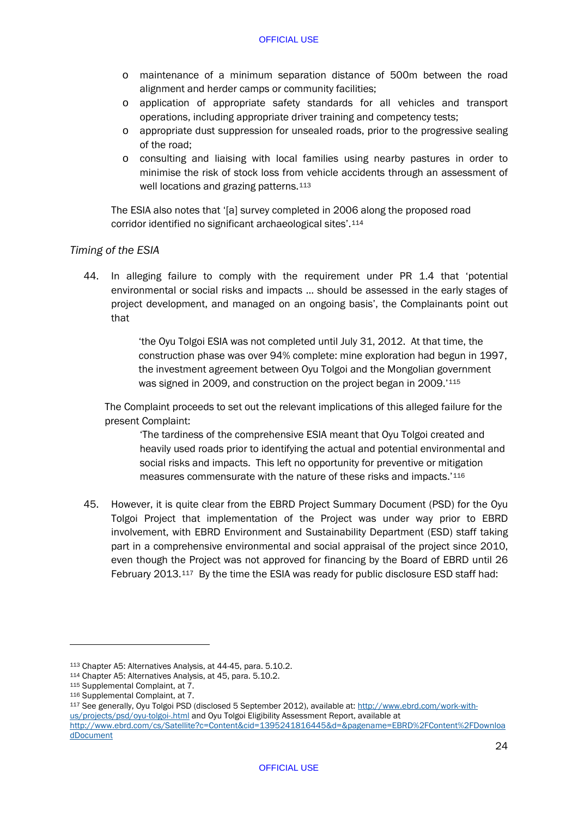- o maintenance of a minimum separation distance of 500m between the road alignment and herder camps or community facilities;
- o application of appropriate safety standards for all vehicles and transport operations, including appropriate driver training and competency tests;
- o appropriate dust suppression for unsealed roads, prior to the progressive sealing of the road;
- o consulting and liaising with local families using nearby pastures in order to minimise the risk of stock loss from vehicle accidents through an assessment of well locations and grazing patterns.<sup>[113](#page-26-0)</sup>

The ESIA also notes that '[a] survey completed in 2006 along the proposed road corridor identified no significant archaeological sites'.[114](#page-26-1)

# *Timing of the ESIA*

44. In alleging failure to comply with the requirement under PR 1.4 that 'potential environmental or social risks and impacts … should be assessed in the early stages of project development, and managed on an ongoing basis', the Complainants point out that

> 'the Oyu Tolgoi ESIA was not completed until July 31, 2012. At that time, the construction phase was over 94% complete: mine exploration had begun in 1997, the investment agreement between Oyu Tolgoi and the Mongolian government was signed in 2009, and construction on the project began in 2009.'[115](#page-26-2)

The Complaint proceeds to set out the relevant implications of this alleged failure for the present Complaint:

'The tardiness of the comprehensive ESIA meant that Oyu Tolgoi created and heavily used roads prior to identifying the actual and potential environmental and social risks and impacts. This left no opportunity for preventive or mitigation measures commensurate with the nature of these risks and impacts.'[116](#page-26-3)

45. However, it is quite clear from the EBRD Project Summary Document (PSD) for the Oyu Tolgoi Project that implementation of the Project was under way prior to EBRD involvement, with EBRD Environment and Sustainability Department (ESD) staff taking part in a comprehensive environmental and social appraisal of the project since 2010, even though the Project was not approved for financing by the Board of EBRD until 26 February 2013.[117](#page-26-4) By the time the ESIA was ready for public disclosure ESD staff had:

-

<span id="page-26-4"></span><sup>117</sup> See generally, Oyu Tolgoi PSD (disclosed 5 September 2012), available at[: http://www.ebrd.com/work-with](http://www.ebrd.com/work-with-us/projects/psd/oyu-tolgoi-.html)[us/projects/psd/oyu-tolgoi-.html](http://www.ebrd.com/work-with-us/projects/psd/oyu-tolgoi-.html) and Oyu Tolgoi Eligibility Assessment Report, available at [http://www.ebrd.com/cs/Satellite?c=Content&cid=1395241816445&d=&pagename=EBRD%2FContent%2FDownloa](http://www.ebrd.com/cs/Satellite?c=Content&cid=1395241816445&d=&pagename=EBRD%2FContent%2FDownloadDocument) [dDocument](http://www.ebrd.com/cs/Satellite?c=Content&cid=1395241816445&d=&pagename=EBRD%2FContent%2FDownloadDocument)

<span id="page-26-0"></span><sup>113</sup> Chapter A5: Alternatives Analysis, at 44-45, para. 5.10.2.

<span id="page-26-1"></span><sup>114</sup> Chapter A5: Alternatives Analysis, at 45, para. 5.10.2.

<span id="page-26-2"></span><sup>115</sup> Supplemental Complaint, at 7.

<span id="page-26-3"></span><sup>116</sup> Supplemental Complaint, at 7.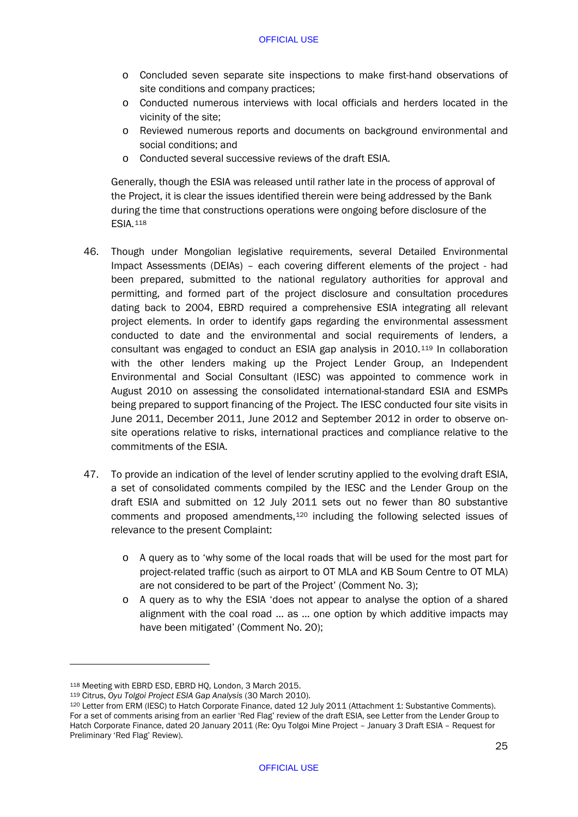- o Concluded seven separate site inspections to make first-hand observations of site conditions and company practices;
- o Conducted numerous interviews with local officials and herders located in the vicinity of the site;
- o Reviewed numerous reports and documents on background environmental and social conditions; and
- o Conducted several successive reviews of the draft ESIA.

Generally, though the ESIA was released until rather late in the process of approval of the Project, it is clear the issues identified therein were being addressed by the Bank during the time that constructions operations were ongoing before disclosure of the ESIA.[118](#page-27-0)

- 46. Though under Mongolian legislative requirements, several Detailed Environmental Impact Assessments (DEIAs) – each covering different elements of the project - had been prepared, submitted to the national regulatory authorities for approval and permitting, and formed part of the project disclosure and consultation procedures dating back to 2004, EBRD required a comprehensive ESIA integrating all relevant project elements. In order to identify gaps regarding the environmental assessment conducted to date and the environmental and social requirements of lenders, a consultant was engaged to conduct an ESIA gap analysis in 2010.[119](#page-27-1) In collaboration with the other lenders making up the Project Lender Group, an Independent Environmental and Social Consultant (IESC) was appointed to commence work in August 2010 on assessing the consolidated international-standard ESIA and ESMPs being prepared to support financing of the Project. The IESC conducted four site visits in June 2011, December 2011, June 2012 and September 2012 in order to observe onsite operations relative to risks, international practices and compliance relative to the commitments of the ESIA.
- 47. To provide an indication of the level of lender scrutiny applied to the evolving draft ESIA, a set of consolidated comments compiled by the IESC and the Lender Group on the draft ESIA and submitted on 12 July 2011 sets out no fewer than 80 substantive comments and proposed amendments,[120](#page-27-2) including the following selected issues of relevance to the present Complaint:
	- o A query as to 'why some of the local roads that will be used for the most part for project-related traffic (such as airport to OT MLA and KB Soum Centre to OT MLA) are not considered to be part of the Project' (Comment No. 3);
	- o A query as to why the ESIA 'does not appear to analyse the option of a shared alignment with the coal road … as … one option by which additive impacts may have been mitigated' (Comment No. 20);

<span id="page-27-0"></span><sup>118</sup> Meeting with EBRD ESD, EBRD HQ, London, 3 March 2015.

<span id="page-27-1"></span><sup>119</sup> Citrus, *Oyu Tolgoi Project ESIA Gap Analysis* (30 March 2010).

<span id="page-27-2"></span><sup>120</sup> Letter from ERM (IESC) to Hatch Corporate Finance, dated 12 July 2011 (Attachment 1: Substantive Comments). For a set of comments arising from an earlier 'Red Flag' review of the draft ESIA, see Letter from the Lender Group to Hatch Corporate Finance, dated 20 January 2011 (Re: Oyu Tolgoi Mine Project – January 3 Draft ESIA – Request for Preliminary 'Red Flag' Review).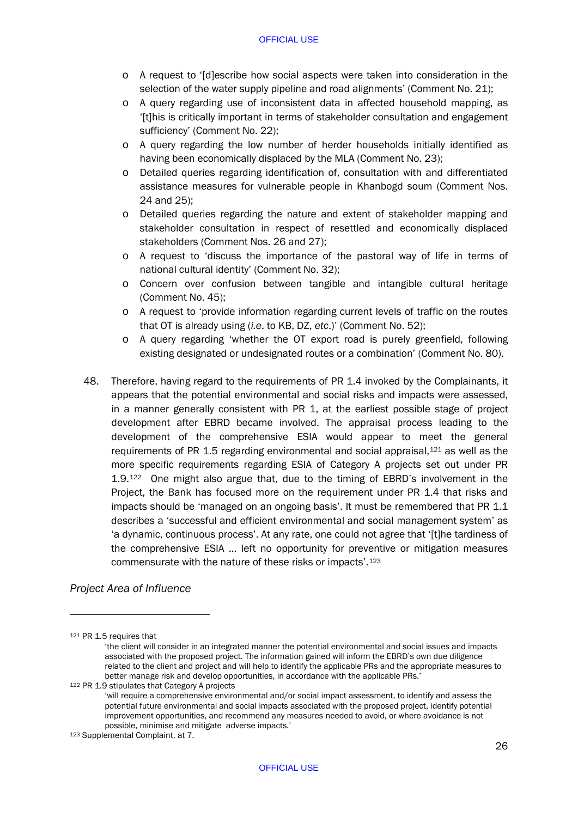- o A request to '[d]escribe how social aspects were taken into consideration in the selection of the water supply pipeline and road alignments' (Comment No. 21);
- o A query regarding use of inconsistent data in affected household mapping, as '[t]his is critically important in terms of stakeholder consultation and engagement sufficiency' (Comment No. 22);
- o A query regarding the low number of herder households initially identified as having been economically displaced by the MLA (Comment No. 23);
- o Detailed queries regarding identification of, consultation with and differentiated assistance measures for vulnerable people in Khanbogd soum (Comment Nos. 24 and 25);
- o Detailed queries regarding the nature and extent of stakeholder mapping and stakeholder consultation in respect of resettled and economically displaced stakeholders (Comment Nos. 26 and 27);
- o A request to 'discuss the importance of the pastoral way of life in terms of national cultural identity' (Comment No. 32);
- o Concern over confusion between tangible and intangible cultural heritage (Comment No. 45);
- o A request to 'provide information regarding current levels of traffic on the routes that OT is already using (*i.e*. to KB, DZ, *etc*.)' (Comment No. 52);
- o A query regarding 'whether the OT export road is purely greenfield, following existing designated or undesignated routes or a combination' (Comment No. 80).
- 48. Therefore, having regard to the requirements of PR 1.4 invoked by the Complainants, it appears that the potential environmental and social risks and impacts were assessed, in a manner generally consistent with PR 1, at the earliest possible stage of project development after EBRD became involved. The appraisal process leading to the development of the comprehensive ESIA would appear to meet the general requirements of PR 1.5 regarding environmental and social appraisal, $121$  as well as the more specific requirements regarding ESIA of Category A projects set out under PR 1.9.[122](#page-28-1) One might also argue that, due to the timing of EBRD's involvement in the Project, the Bank has focused more on the requirement under PR 1.4 that risks and impacts should be 'managed on an ongoing basis'. It must be remembered that PR 1.1 describes a 'successful and efficient environmental and social management system' as 'a dynamic, continuous process'. At any rate, one could not agree that '[t]he tardiness of the comprehensive ESIA … left no opportunity for preventive or mitigation measures commensurate with the nature of these risks or impacts'.[123](#page-28-2)

# *Project Area of Influence*

<span id="page-28-0"></span><sup>121</sup> PR 1.5 requires that

<sup>&#</sup>x27;the client will consider in an integrated manner the potential environmental and social issues and impacts associated with the proposed project. The information gained will inform the EBRD's own due diligence related to the client and project and will help to identify the applicable PRs and the appropriate measures to better manage risk and develop opportunities, in accordance with the applicable PRs.' 122 PR 1.9 stipulates that Category A projects

<span id="page-28-1"></span>

<sup>&#</sup>x27;will require a comprehensive environmental and/or social impact assessment, to identify and assess the potential future environmental and social impacts associated with the proposed project, identify potential improvement opportunities, and recommend any measures needed to avoid, or where avoidance is not possible, minimise and mitigate adverse impacts.'

<span id="page-28-2"></span><sup>123</sup> Supplemental Complaint, at 7.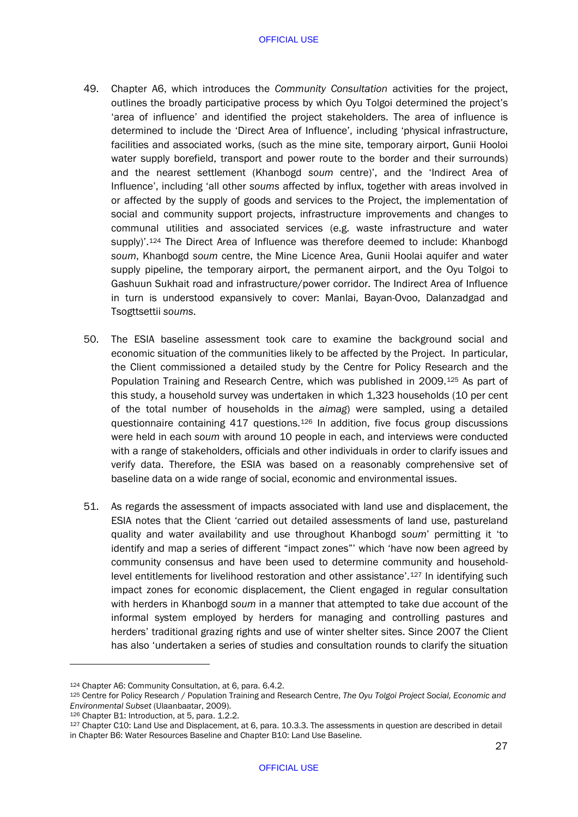- 49. Chapter A6, which introduces the *Community Consultation* activities for the project, outlines the broadly participative process by which Oyu Tolgoi determined the project's 'area of influence' and identified the project stakeholders. The area of influence is determined to include the 'Direct Area of Influence', including 'physical infrastructure, facilities and associated works, (such as the mine site, temporary airport, Gunii Hooloi water supply borefield, transport and power route to the border and their surrounds) and the nearest settlement (Khanbogd *soum* centre)', and the 'Indirect Area of Influence', including 'all other *soums* affected by influx, together with areas involved in or affected by the supply of goods and services to the Project, the implementation of social and community support projects, infrastructure improvements and changes to communal utilities and associated services (e.g. waste infrastructure and water supply)'.[124](#page-29-0) The Direct Area of Influence was therefore deemed to include: Khanbogd *soum*, Khanbogd *soum* centre, the Mine Licence Area, Gunii Hoolai aquifer and water supply pipeline, the temporary airport, the permanent airport, and the Oyu Tolgoi to Gashuun Sukhait road and infrastructure/power corridor. The Indirect Area of Influence in turn is understood expansively to cover: Manlai, Bayan-Ovoo, Dalanzadgad and Tsogttsettii *soums*.
- 50. The ESIA baseline assessment took care to examine the background social and economic situation of the communities likely to be affected by the Project. In particular, the Client commissioned a detailed study by the Centre for Policy Research and the Population Training and Research Centre, which was published in 2009.[125](#page-29-1) As part of this study, a household survey was undertaken in which 1,323 households (10 per cent of the total number of households in the *aimag*) were sampled, using a detailed questionnaire containing  $417$  questions.<sup>[126](#page-29-2)</sup> In addition, five focus group discussions were held in each *soum* with around 10 people in each, and interviews were conducted with a range of stakeholders, officials and other individuals in order to clarify issues and verify data. Therefore, the ESIA was based on a reasonably comprehensive set of baseline data on a wide range of social, economic and environmental issues.
- 51. As regards the assessment of impacts associated with land use and displacement, the ESIA notes that the Client 'carried out detailed assessments of land use, pastureland quality and water availability and use throughout Khanbogd *soum*' permitting it 'to identify and map a series of different "impact zones"' which 'have now been agreed by community consensus and have been used to determine community and householdlevel entitlements for livelihood restoration and other assistance'.[127](#page-29-3) In identifying such impact zones for economic displacement, the Client engaged in regular consultation with herders in Khanbogd *soum* in a manner that attempted to take due account of the informal system employed by herders for managing and controlling pastures and herders' traditional grazing rights and use of winter shelter sites. Since 2007 the Client has also 'undertaken a series of studies and consultation rounds to clarify the situation

<span id="page-29-0"></span><sup>124</sup> Chapter A6: Community Consultation, at 6, para. 6.4.2.

<span id="page-29-1"></span><sup>125</sup> Centre for Policy Research / Population Training and Research Centre, *The Oyu Tolgoi Project Social, Economic and Environmental Subset* (Ulaanbaatar, 2009).

<span id="page-29-2"></span><sup>126</sup> Chapter B1: Introduction, at 5, para. 1.2.2.

<span id="page-29-3"></span><sup>127</sup> Chapter C10: Land Use and Displacement, at 6, para. 10.3.3. The assessments in question are described in detail in Chapter B6: Water Resources Baseline and Chapter B10: Land Use Baseline.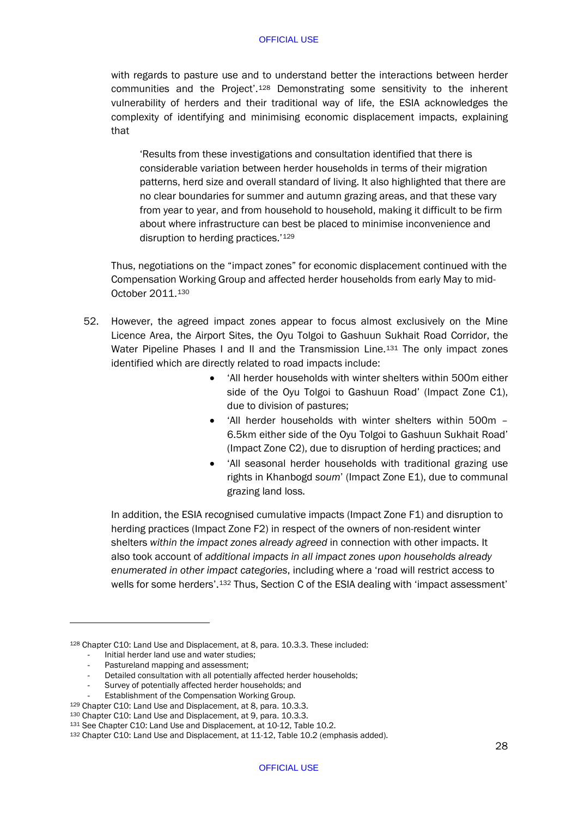with regards to pasture use and to understand better the interactions between herder communities and the Project'.[128](#page-30-0) Demonstrating some sensitivity to the inherent vulnerability of herders and their traditional way of life, the ESIA acknowledges the complexity of identifying and minimising economic displacement impacts, explaining that

'Results from these investigations and consultation identified that there is considerable variation between herder households in terms of their migration patterns, herd size and overall standard of living. It also highlighted that there are no clear boundaries for summer and autumn grazing areas, and that these vary from year to year, and from household to household, making it difficult to be firm about where infrastructure can best be placed to minimise inconvenience and disruption to herding practices.'<sup>[129](#page-30-1)</sup>

Thus, negotiations on the "impact zones" for economic displacement continued with the Compensation Working Group and affected herder households from early May to mid-October 2011.[130](#page-30-2)

- 52. However, the agreed impact zones appear to focus almost exclusively on the Mine Licence Area, the Airport Sites, the Oyu Tolgoi to Gashuun Sukhait Road Corridor, the Water Pipeline Phases I and II and the Transmission Line.<sup>[131](#page-30-3)</sup> The only impact zones identified which are directly related to road impacts include:
	- 'All herder households with winter shelters within 500m either side of the Oyu Tolgoi to Gashuun Road' (Impact Zone C1), due to division of pastures;
	- 'All herder households with winter shelters within 500m 6.5km either side of the Oyu Tolgoi to Gashuun Sukhait Road' (Impact Zone C2), due to disruption of herding practices; and
	- 'All seasonal herder households with traditional grazing use rights in Khanbogd *soum*' (Impact Zone E1), due to communal grazing land loss.

In addition, the ESIA recognised cumulative impacts (Impact Zone F1) and disruption to herding practices (Impact Zone F2) in respect of the owners of non-resident winter shelters *within the impact zones already agreed* in connection with other impacts. It also took account of *additional impacts in all impact zones upon households already enumerated in other impact categories*, including where a 'road will restrict access to wells for some herders'.[132](#page-30-4) Thus, Section C of the ESIA dealing with 'impact assessment'

- Initial herder land use and water studies;
- Pastureland mapping and assessment:

<span id="page-30-0"></span><sup>128</sup> Chapter C10: Land Use and Displacement, at 8, para. 10.3.3. These included:

Detailed consultation with all potentially affected herder households;

Survey of potentially affected herder households; and

<sup>-</sup> Establishment of the Compensation Working Group.<br><sup>129</sup> Chapter C10: Land Use and Displacement, at 8, para. 10.3.3.

<span id="page-30-3"></span><span id="page-30-2"></span><span id="page-30-1"></span><sup>&</sup>lt;sup>130</sup> Chapter C10: Land Use and Displacement, at 9, para. 10.3.3.<br><sup>131</sup> See Chapter C10: Land Use and Displacement, at 10-12, Table 10.2.

<span id="page-30-4"></span><sup>132</sup> Chapter C10: Land Use and Displacement, at 11-12, Table 10.2 (emphasis added).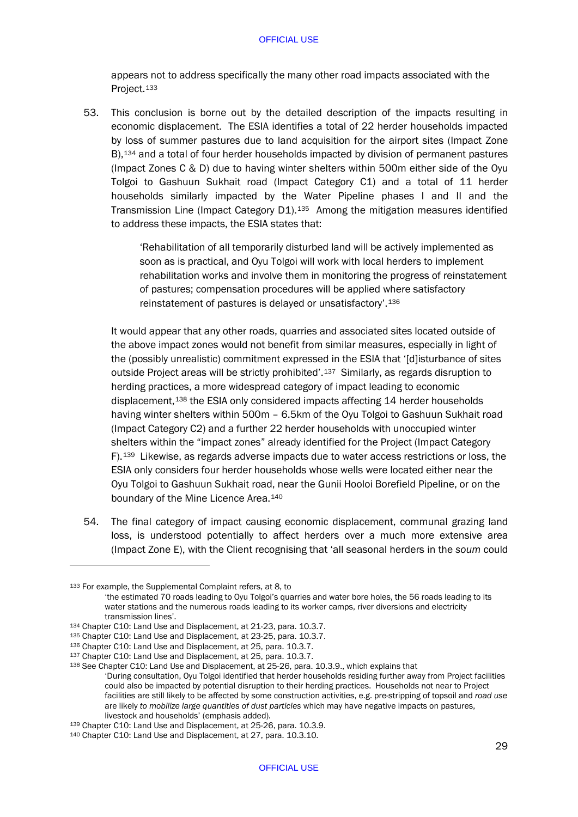appears not to address specifically the many other road impacts associated with the Project.<sup>[133](#page-31-0)</sup>

53. This conclusion is borne out by the detailed description of the impacts resulting in economic displacement. The ESIA identifies a total of 22 herder households impacted by loss of summer pastures due to land acquisition for the airport sites (Impact Zone B),[134](#page-31-1) and a total of four herder households impacted by division of permanent pastures (Impact Zones C & D) due to having winter shelters within 500m either side of the Oyu Tolgoi to Gashuun Sukhait road (Impact Category C1) and a total of 11 herder households similarly impacted by the Water Pipeline phases I and II and the Transmission Line (Impact Category D1).[135](#page-31-2) Among the mitigation measures identified to address these impacts, the ESIA states that:

> 'Rehabilitation of all temporarily disturbed land will be actively implemented as soon as is practical, and Oyu Tolgoi will work with local herders to implement rehabilitation works and involve them in monitoring the progress of reinstatement of pastures; compensation procedures will be applied where satisfactory reinstatement of pastures is delayed or unsatisfactory'.[136](#page-31-3)

It would appear that any other roads, quarries and associated sites located outside of the above impact zones would not benefit from similar measures, especially in light of the (possibly unrealistic) commitment expressed in the ESIA that '[d]isturbance of sites outside Project areas will be strictly prohibited'.[137](#page-31-4) Similarly, as regards disruption to herding practices, a more widespread category of impact leading to economic displacement,<sup>138</sup> the ESIA only considered impacts affecting 14 herder households having winter shelters within 500m – 6.5km of the Oyu Tolgoi to Gashuun Sukhait road (Impact Category C2) and a further 22 herder households with unoccupied winter shelters within the "impact zones" already identified for the Project (Impact Category F).[139](#page-31-6) Likewise, as regards adverse impacts due to water access restrictions or loss, the ESIA only considers four herder households whose wells were located either near the Oyu Tolgoi to Gashuun Sukhait road, near the Gunii Hooloi Borefield Pipeline, or on the boundary of the Mine Licence Area.[140](#page-31-7)

54. The final category of impact causing economic displacement, communal grazing land loss, is understood potentially to affect herders over a much more extensive area (Impact Zone E), with the Client recognising that 'all seasonal herders in the *soum* could

<span id="page-31-0"></span><sup>133</sup> For example, the Supplemental Complaint refers, at 8, to

<sup>&#</sup>x27;the estimated 70 roads leading to Oyu Tolgoi's quarries and water bore holes, the 56 roads leading to its water stations and the numerous roads leading to its worker camps, river diversions and electricity transmission lines'.

<span id="page-31-1"></span> $134$  Chapter C10: Land Use and Displacement, at 21-23, para. 10.3.7.

<span id="page-31-2"></span><sup>135</sup> Chapter C10: Land Use and Displacement, at 23-25, para. 10.3.7.

<span id="page-31-3"></span><sup>136</sup> Chapter C10: Land Use and Displacement, at 25, para. 10.3.7.

<span id="page-31-4"></span><sup>137</sup> Chapter C10: Land Use and Displacement, at 25, para. 10.3.7.

<span id="page-31-5"></span><sup>138</sup> See Chapter C10: Land Use and Displacement, at 25-26, para. 10.3.9., which explains that 'During consultation, Oyu Tolgoi identified that herder households residing further away from Project facilities could also be impacted by potential disruption to their herding practices. Households not near to Project facilities are still likely to be affected by some construction activities, e.g. pre-stripping of topsoil and *road use* are likely *to mobilize large quantities of dust particles* which may have negative impacts on pastures, livestock and households' (emphasis added).

<span id="page-31-6"></span><sup>&</sup>lt;sup>139</sup> Chapter C10: Land Use and Displacement, at 25-26, para. 10.3.9.<br><sup>140</sup> Chapter C10: Land Use and Displacement, at 27, para. 10.3.10.

<span id="page-31-7"></span>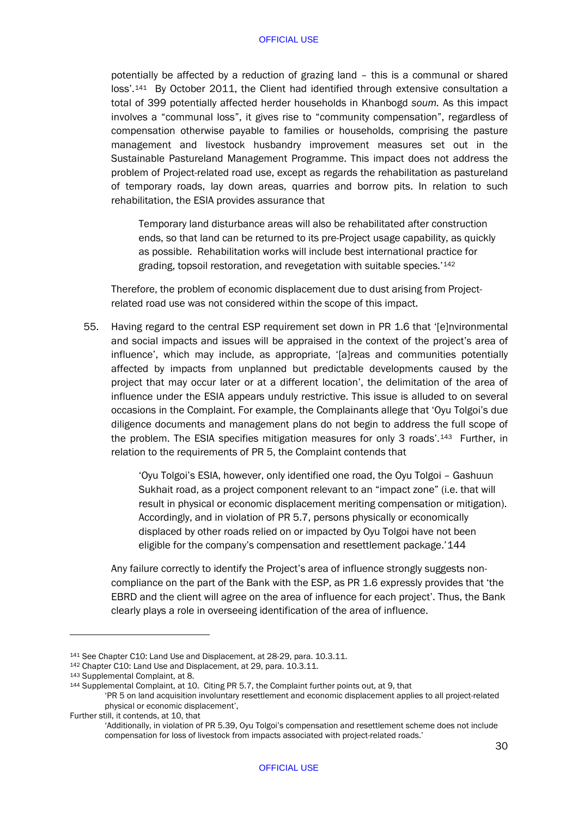potentially be affected by a reduction of grazing land – this is a communal or shared loss'.[141](#page-32-0) By October 2011, the Client had identified through extensive consultation a total of 399 potentially affected herder households in Khanbogd *soum.* As this impact involves a "communal loss", it gives rise to "community compensation", regardless of compensation otherwise payable to families or households, comprising the pasture management and livestock husbandry improvement measures set out in the Sustainable Pastureland Management Programme. This impact does not address the problem of Project-related road use, except as regards the rehabilitation as pastureland of temporary roads, lay down areas, quarries and borrow pits. In relation to such rehabilitation, the ESIA provides assurance that

Temporary land disturbance areas will also be rehabilitated after construction ends, so that land can be returned to its pre-Project usage capability, as quickly as possible. Rehabilitation works will include best international practice for grading, topsoil restoration, and revegetation with suitable species.'[142](#page-32-1)

Therefore, the problem of economic displacement due to dust arising from Projectrelated road use was not considered within the scope of this impact.

55. Having regard to the central ESP requirement set down in PR 1.6 that '[e]nvironmental and social impacts and issues will be appraised in the context of the project's area of influence', which may include, as appropriate, '[a]reas and communities potentially affected by impacts from unplanned but predictable developments caused by the project that may occur later or at a different location', the delimitation of the area of influence under the ESIA appears unduly restrictive. This issue is alluded to on several occasions in the Complaint. For example, the Complainants allege that 'Oyu Tolgoi's due diligence documents and management plans do not begin to address the full scope of the problem. The ESIA specifies mitigation measures for only 3 roads'.[143](#page-32-2) Further, in relation to the requirements of PR 5, the Complaint contends that

> 'Oyu Tolgoi's ESIA, however, only identified one road, the Oyu Tolgoi – Gashuun Sukhait road, as a project component relevant to an "impact zone" (i.e. that will result in physical or economic displacement meriting compensation or mitigation). Accordingly, and in violation of PR 5.7, persons physically or economically displaced by other roads relied on or impacted by Oyu Tolgoi have not been eligible for the company's compensation and resettlement package.'[144](#page-32-3)

Any failure correctly to identify the Project's area of influence strongly suggests noncompliance on the part of the Bank with the ESP, as PR 1.6 expressly provides that 'the EBRD and the client will agree on the area of influence for each project'. Thus, the Bank clearly plays a role in overseeing identification of the area of influence.

<span id="page-32-0"></span><sup>141</sup> See Chapter C10: Land Use and Displacement, at 28-29, para. 10.3.11.

<span id="page-32-1"></span><sup>142</sup> Chapter C10: Land Use and Displacement, at 29, para. 10.3.11.

<span id="page-32-2"></span><sup>143</sup> Supplemental Complaint, at 8.

<span id="page-32-3"></span><sup>144</sup> Supplemental Complaint, at 10. Citing PR 5.7, the Complaint further points out, at 9, that

<sup>&#</sup>x27;PR 5 on land acquisition involuntary resettlement and economic displacement applies to all project-related physical or economic displacement',

Further still, it contends, at 10, that

<sup>&#</sup>x27;Additionally, in violation of PR 5.39, Oyu Tolgoi's compensation and resettlement scheme does not include compensation for loss of livestock from impacts associated with project-related roads.'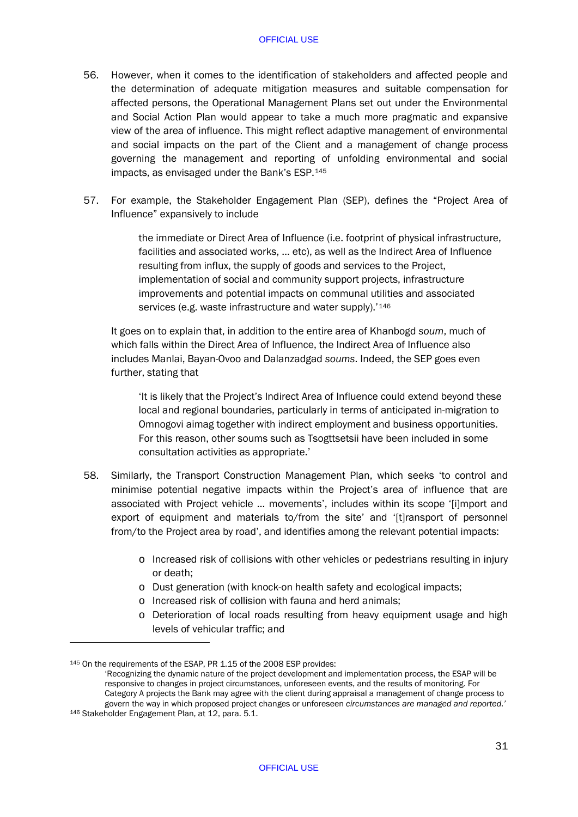- 56. However, when it comes to the identification of stakeholders and affected people and the determination of adequate mitigation measures and suitable compensation for affected persons, the Operational Management Plans set out under the Environmental and Social Action Plan would appear to take a much more pragmatic and expansive view of the area of influence. This might reflect adaptive management of environmental and social impacts on the part of the Client and a management of change process governing the management and reporting of unfolding environmental and social impacts, as envisaged under the Bank's ESP.[145](#page-33-0)
- 57. For example, the Stakeholder Engagement Plan (SEP), defines the "Project Area of Influence" expansively to include

the immediate or Direct Area of Influence (i.e. footprint of physical infrastructure, facilities and associated works, … etc), as well as the Indirect Area of Influence resulting from influx, the supply of goods and services to the Project, implementation of social and community support projects, infrastructure improvements and potential impacts on communal utilities and associated services (e.g. waste infrastructure and water supply).<sup>'[146](#page-33-1)</sup>

It goes on to explain that, in addition to the entire area of Khanbogd *soum*, much of which falls within the Direct Area of Influence, the Indirect Area of Influence also includes Manlai, Bayan-Ovoo and Dalanzadgad *soums*. Indeed, the SEP goes even further, stating that

'It is likely that the Project's Indirect Area of Influence could extend beyond these local and regional boundaries, particularly in terms of anticipated in-migration to Omnogovi aimag together with indirect employment and business opportunities. For this reason, other soums such as Tsogttsetsii have been included in some consultation activities as appropriate.'

- 58. Similarly, the Transport Construction Management Plan, which seeks 'to control and minimise potential negative impacts within the Project's area of influence that are associated with Project vehicle … movements', includes within its scope '[i]mport and export of equipment and materials to/from the site' and '[t]ransport of personnel from/to the Project area by road', and identifies among the relevant potential impacts:
	- o Increased risk of collisions with other vehicles or pedestrians resulting in injury or death;
	- o Dust generation (with knock-on health safety and ecological impacts;
	- o Increased risk of collision with fauna and herd animals;
	- o Deterioration of local roads resulting from heavy equipment usage and high levels of vehicular traffic; and

<span id="page-33-0"></span><sup>145</sup> On the requirements of the ESAP, PR 1.15 of the 2008 ESP provides:

<span id="page-33-1"></span><sup>&#</sup>x27;Recognizing the dynamic nature of the project development and implementation process, the ESAP will be responsive to changes in project circumstances, unforeseen events, and the results of monitoring. For Category A projects the Bank may agree with the client during appraisal a management of change process to govern the way in which proposed project changes or unforeseen *circumstances are managed and reported.'* <sup>146</sup> Stakeholder Engagement Plan, at 12, para. 5.1.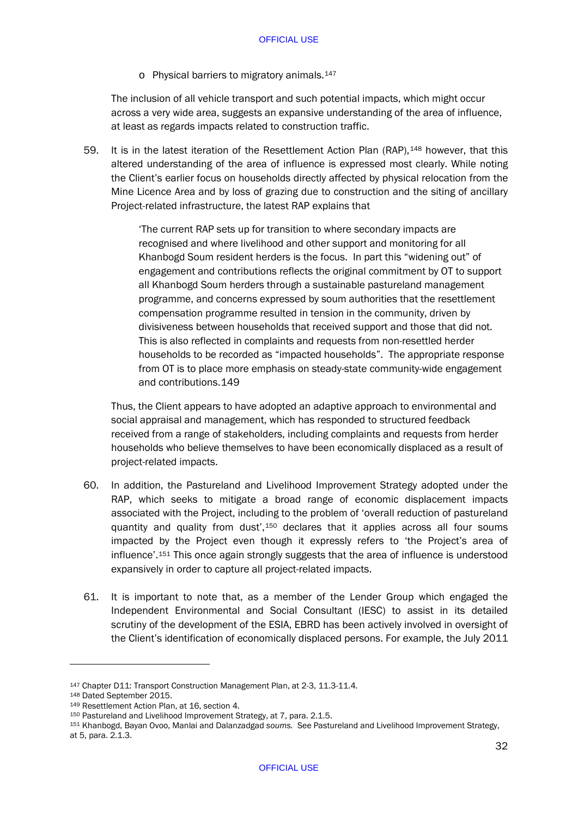o Physical barriers to migratory animals[.147](#page-34-0)

The inclusion of all vehicle transport and such potential impacts, which might occur across a very wide area, suggests an expansive understanding of the area of influence, at least as regards impacts related to construction traffic.

59. It is in the latest iteration of the Resettlement Action Plan (RAP), <sup>[148](#page-34-1)</sup> however, that this altered understanding of the area of influence is expressed most clearly. While noting the Client's earlier focus on households directly affected by physical relocation from the Mine Licence Area and by loss of grazing due to construction and the siting of ancillary Project-related infrastructure, the latest RAP explains that

> 'The current RAP sets up for transition to where secondary impacts are recognised and where livelihood and other support and monitoring for all Khanbogd Soum resident herders is the focus. In part this "widening out" of engagement and contributions reflects the original commitment by OT to support all Khanbogd Soum herders through a sustainable pastureland management programme, and concerns expressed by soum authorities that the resettlement compensation programme resulted in tension in the community, driven by divisiveness between households that received support and those that did not. This is also reflected in complaints and requests from non-resettled herder households to be recorded as "impacted households". The appropriate response from OT is to place more emphasis on steady-state community-wide engagement and contributions.[149](#page-34-2)

Thus, the Client appears to have adopted an adaptive approach to environmental and social appraisal and management, which has responded to structured feedback received from a range of stakeholders, including complaints and requests from herder households who believe themselves to have been economically displaced as a result of project-related impacts.

- 60. In addition, the Pastureland and Livelihood Improvement Strategy adopted under the RAP, which seeks to mitigate a broad range of economic displacement impacts associated with the Project, including to the problem of 'overall reduction of pastureland quantity and quality from dust',<sup>[150](#page-34-3)</sup> declares that it applies across all four soums impacted by the Project even though it expressly refers to 'the Project's area of influence'[.151](#page-34-4) This once again strongly suggests that the area of influence is understood expansively in order to capture all project-related impacts.
- 61. It is important to note that, as a member of the Lender Group which engaged the Independent Environmental and Social Consultant (IESC) to assist in its detailed scrutiny of the development of the ESIA, EBRD has been actively involved in oversight of the Client's identification of economically displaced persons. For example, the July 2011

<span id="page-34-0"></span><sup>147</sup> Chapter D11: Transport Construction Management Plan, at 2-3, 11.3-11.4. 148 Dated September 2015.

<span id="page-34-2"></span><span id="page-34-1"></span><sup>149</sup> Resettlement Action Plan, at 16, section 4.

<span id="page-34-3"></span><sup>150</sup> Pastureland and Livelihood Improvement Strategy, at 7, para. 2.1.5.

<span id="page-34-4"></span><sup>151</sup> Khanbogd, Bayan Ovoo, Manlai and Dalanzadgad *soums.* See Pastureland and Livelihood Improvement Strategy, at 5, para. 2.1.3.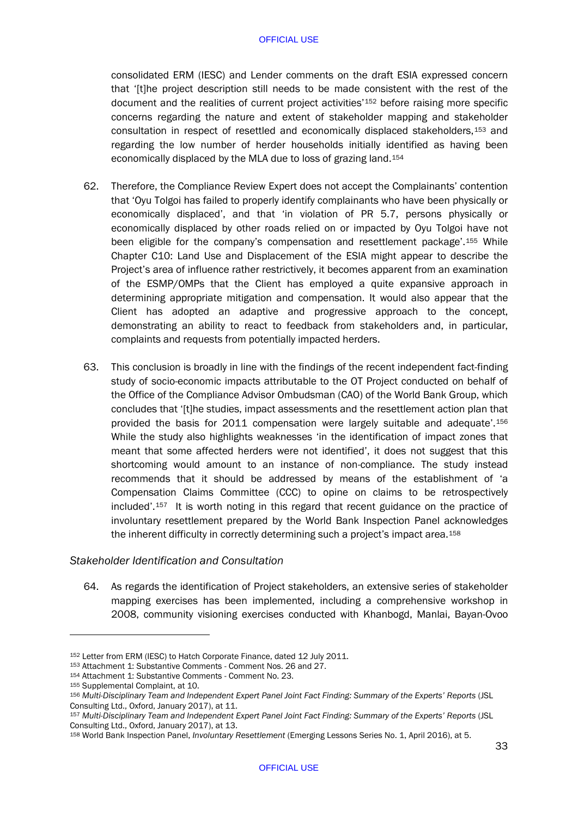consolidated ERM (IESC) and Lender comments on the draft ESIA expressed concern that '[t]he project description still needs to be made consistent with the rest of the document and the realities of current project activities'[152](#page-35-0) before raising more specific concerns regarding the nature and extent of stakeholder mapping and stakeholder consultation in respect of resettled and economically displaced stakeholders,[153](#page-35-1) and regarding the low number of herder households initially identified as having been economically displaced by the MLA due to loss of grazing land.[154](#page-35-2)

- 62. Therefore, the Compliance Review Expert does not accept the Complainants' contention that 'Oyu Tolgoi has failed to properly identify complainants who have been physically or economically displaced', and that 'in violation of PR 5.7, persons physically or economically displaced by other roads relied on or impacted by Oyu Tolgoi have not been eligible for the company's compensation and resettlement package'.[155](#page-35-3) While Chapter C10: Land Use and Displacement of the ESIA might appear to describe the Project's area of influence rather restrictively, it becomes apparent from an examination of the ESMP/OMPs that the Client has employed a quite expansive approach in determining appropriate mitigation and compensation. It would also appear that the Client has adopted an adaptive and progressive approach to the concept, demonstrating an ability to react to feedback from stakeholders and, in particular, complaints and requests from potentially impacted herders.
- 63. This conclusion is broadly in line with the findings of the recent independent fact-finding study of socio-economic impacts attributable to the OT Project conducted on behalf of the Office of the Compliance Advisor Ombudsman (CAO) of the World Bank Group, which concludes that '[t]he studies, impact assessments and the resettlement action plan that provided the basis for 2011 compensation were largely suitable and adequate'.[156](#page-35-4) While the study also highlights weaknesses 'in the identification of impact zones that meant that some affected herders were not identified', it does not suggest that this shortcoming would amount to an instance of non-compliance. The study instead recommends that it should be addressed by means of the establishment of 'a Compensation Claims Committee (CCC) to opine on claims to be retrospectively included'.[157](#page-35-5) It is worth noting in this regard that recent guidance on the practice of involuntary resettlement prepared by the World Bank Inspection Panel acknowledges the inherent difficulty in correctly determining such a project's impact area.[158](#page-35-6)

# *Stakeholder Identification and Consultation*

<span id="page-35-7"></span>64. As regards the identification of Project stakeholders, an extensive series of stakeholder mapping exercises has been implemented, including a comprehensive workshop in 2008, community visioning exercises conducted with Khanbogd, Manlai, Bayan-Ovoo

<span id="page-35-0"></span><sup>152</sup> Letter from ERM (IESC) to Hatch Corporate Finance, dated 12 July 2011.<br>153 Attachment 1: Substantive Comments - Comment Nos. 26 and 27.

<span id="page-35-2"></span><span id="page-35-1"></span><sup>154</sup> Attachment 1: Substantive Comments - Comment No. 23.

<span id="page-35-3"></span><sup>155</sup> Supplemental Complaint, at 10.

<span id="page-35-4"></span><sup>156</sup> *Multi-Disciplinary Team and Independent Expert Panel Joint Fact Finding: Summary of the Experts' Reports* (JSL Consulting Ltd., Oxford, January 2017), at 11.

<span id="page-35-5"></span><sup>157</sup> *Multi-Disciplinary Team and Independent Expert Panel Joint Fact Finding: Summary of the Experts' Reports* (JSL Consulting Ltd., Oxford, January 2017), at 13.

<span id="page-35-6"></span><sup>158</sup> World Bank Inspection Panel, *Involuntary Resettlement* (Emerging Lessons Series No. 1, April 2016), at 5.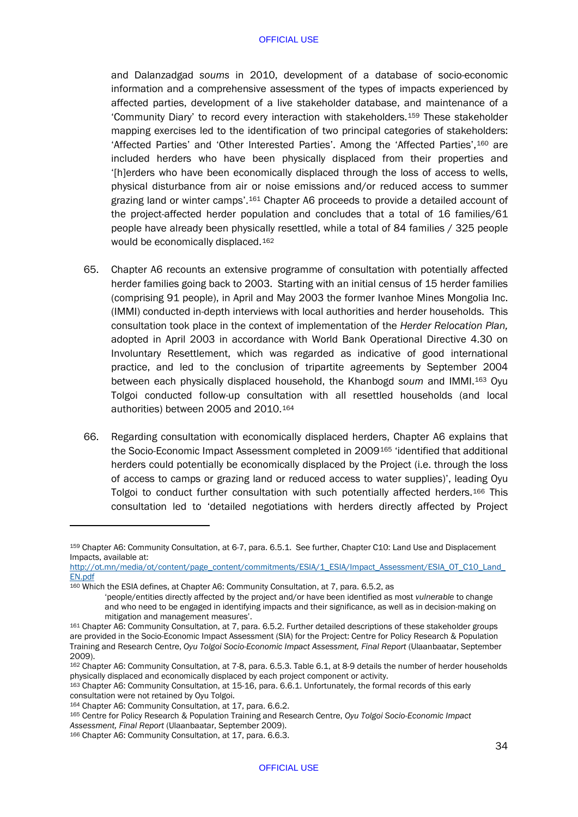and Dalanzadgad *soums* in 2010, development of a database of socio-economic information and a comprehensive assessment of the types of impacts experienced by affected parties, development of a live stakeholder database, and maintenance of a 'Community Diary' to record every interaction with stakeholders.[159](#page-36-0) These stakeholder mapping exercises led to the identification of two principal categories of stakeholders: 'Affected Parties' and 'Other Interested Parties'. Among the 'Affected Parties',[160](#page-36-1) are included herders who have been physically displaced from their properties and '[h]erders who have been economically displaced through the loss of access to wells, physical disturbance from air or noise emissions and/or reduced access to summer grazing land or winter camps'.[161](#page-36-2) Chapter A6 proceeds to provide a detailed account of the project-affected herder population and concludes that a total of 16 families/61 people have already been physically resettled, while a total of 84 families / 325 people would be economically displaced.[162](#page-36-3)

- 65. Chapter A6 recounts an extensive programme of consultation with potentially affected herder families going back to 2003. Starting with an initial census of 15 herder families (comprising 91 people), in April and May 2003 the former Ivanhoe Mines Mongolia Inc. (IMMI) conducted in-depth interviews with local authorities and herder households. This consultation took place in the context of implementation of the *Herder Relocation Plan,*  adopted in April 2003 in accordance with World Bank Operational Directive 4.30 on Involuntary Resettlement, which was regarded as indicative of good international practice, and led to the conclusion of tripartite agreements by September 2004 between each physically displaced household, the Khanbogd *soum* and IMMI.[163](#page-36-4) Oyu Tolgoi conducted follow-up consultation with all resettled households (and local authorities) between 2005 and 2010.[164](#page-36-5)
- 66. Regarding consultation with economically displaced herders, Chapter A6 explains that the Socio-Economic Impact Assessment completed in 2009[165](#page-36-6) 'identified that additional herders could potentially be economically displaced by the Project (i.e. through the loss of access to camps or grazing land or reduced access to water supplies)', leading Oyu Tolgoi to conduct further consultation with such potentially affected herders.[166](#page-36-7) This consultation led to 'detailed negotiations with herders directly affected by Project

<span id="page-36-0"></span><sup>159</sup> Chapter A6: Community Consultation, at 6-7, para. 6.5.1. See further, Chapter C10: Land Use and Displacement Impacts, available at:

[http://ot.mn/media/ot/content/page\\_content/commitments/ESIA/1\\_ESIA/Impact\\_Assessment/ESIA\\_OT\\_C10\\_Land\\_](http://ot.mn/media/ot/content/page_content/commitments/ESIA/1_ESIA/Impact_Assessment/ESIA_OT_C10_Land_EN.pdf) [EN.pdf](http://ot.mn/media/ot/content/page_content/commitments/ESIA/1_ESIA/Impact_Assessment/ESIA_OT_C10_Land_EN.pdf)

<span id="page-36-1"></span><sup>160</sup> Which the ESIA defines, at Chapter A6: Community Consultation, at 7, para. 6.5.2, as

<sup>&#</sup>x27;people/entities directly affected by the project and/or have been identified as most *vulnerable* to change and who need to be engaged in identifying impacts and their significance, as well as in decision-making on mitigation and management measures'.

<span id="page-36-2"></span><sup>161</sup> Chapter A6: Community Consultation, at 7, para. 6.5.2. Further detailed descriptions of these stakeholder groups are provided in the Socio-Economic Impact Assessment (SIA) for the Project: Centre for Policy Research & Population Training and Research Centre, *Oyu Tolgoi Socio-Economic Impact Assessment, Final Report* (Ulaanbaatar, September 2009).

<span id="page-36-3"></span><sup>162</sup> Chapter A6: Community Consultation, at 7-8, para. 6.5.3. Table 6.1, at 8-9 details the number of herder households physically displaced and economically displaced by each project component or activity.

<span id="page-36-4"></span><sup>163</sup> Chapter A6: Community Consultation, at 15-16, para. 6.6.1. Unfortunately, the formal records of this early consultation were not retained by Oyu Tolgoi.

<span id="page-36-5"></span><sup>164</sup> Chapter A6: Community Consultation, at 17, para. 6.6.2.

<span id="page-36-6"></span><sup>165</sup> Centre for Policy Research & Population Training and Research Centre, *Oyu Tolgoi Socio-Economic Impact Assessment, Final Report* (Ulaanbaatar, September 2009).

<span id="page-36-7"></span><sup>166</sup> Chapter A6: Community Consultation, at 17, para. 6.6.3.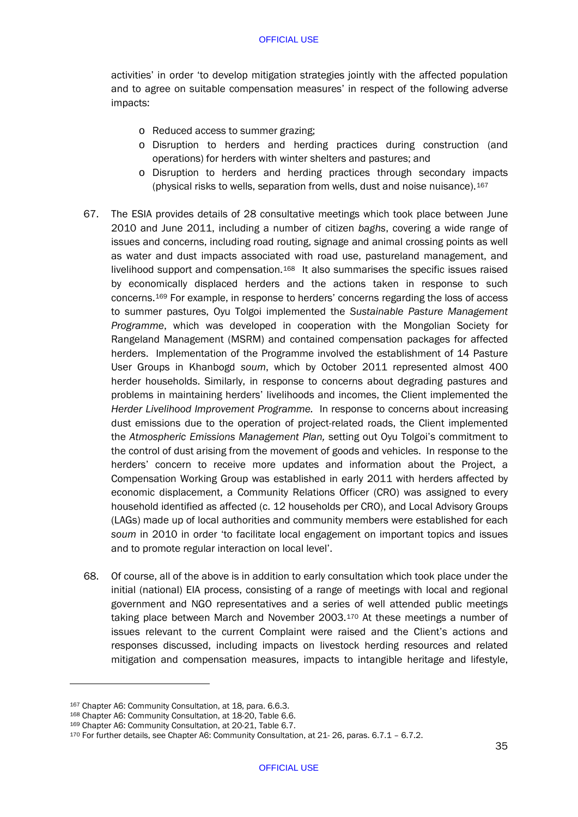activities' in order 'to develop mitigation strategies jointly with the affected population and to agree on suitable compensation measures' in respect of the following adverse impacts:

- o Reduced access to summer grazing;
- o Disruption to herders and herding practices during construction (and operations) for herders with winter shelters and pastures; and
- o Disruption to herders and herding practices through secondary impacts (physical risks to wells, separation from wells, dust and noise nuisance).<sup>[167](#page-37-0)</sup>
- 67. The ESIA provides details of 28 consultative meetings which took place between June 2010 and June 2011, including a number of citizen *baghs*, covering a wide range of issues and concerns, including road routing, signage and animal crossing points as well as water and dust impacts associated with road use, pastureland management, and livelihood support and compensation.[168](#page-37-1) It also summarises the specific issues raised by economically displaced herders and the actions taken in response to such concerns.[169](#page-37-2) For example, in response to herders' concerns regarding the loss of access to summer pastures, Oyu Tolgoi implemented the *Sustainable Pasture Management Programme*, which was developed in cooperation with the Mongolian Society for Rangeland Management (MSRM) and contained compensation packages for affected herders. Implementation of the Programme involved the establishment of 14 Pasture User Groups in Khanbogd *soum*, which by October 2011 represented almost 400 herder households. Similarly, in response to concerns about degrading pastures and problems in maintaining herders' livelihoods and incomes, the Client implemented the *Herder Livelihood Improvement Programme.* In response to concerns about increasing dust emissions due to the operation of project-related roads, the Client implemented the *Atmospheric Emissions Management Plan,* setting out Oyu Tolgoi's commitment to the control of dust arising from the movement of goods and vehicles. In response to the herders' concern to receive more updates and information about the Project, a Compensation Working Group was established in early 2011 with herders affected by economic displacement, a Community Relations Officer (CRO) was assigned to every household identified as affected (c. 12 households per CRO), and Local Advisory Groups (LAGs) made up of local authorities and community members were established for each *soum* in 2010 in order 'to facilitate local engagement on important topics and issues and to promote regular interaction on local level'.
- 68. Of course, all of the above is in addition to early consultation which took place under the initial (national) EIA process, consisting of a range of meetings with local and regional government and NGO representatives and a series of well attended public meetings taking place between March and November 2003.[170](#page-37-3) At these meetings a number of issues relevant to the current Complaint were raised and the Client's actions and responses discussed, including impacts on livestock herding resources and related mitigation and compensation measures, impacts to intangible heritage and lifestyle,

<span id="page-37-0"></span><sup>167</sup> Chapter A6: Community Consultation, at 18, para. 6.6.3.

<span id="page-37-1"></span><sup>168</sup> Chapter A6: Community Consultation, at 18-20, Table 6.6.

<span id="page-37-2"></span><sup>169</sup> Chapter A6: Community Consultation, at 20-21, Table 6.7.

<span id="page-37-3"></span><sup>170</sup> For further details, see Chapter A6: Community Consultation, at 21- 26, paras. 6.7.1 – 6.7.2.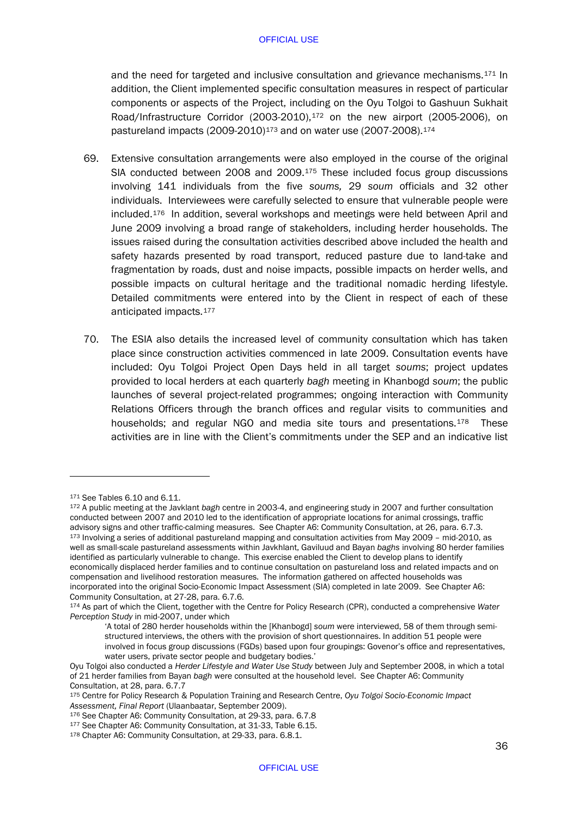and the need for targeted and inclusive consultation and grievance mechanisms.[171](#page-38-0) In addition, the Client implemented specific consultation measures in respect of particular components or aspects of the Project, including on the Oyu Tolgoi to Gashuun Sukhait Road/Infrastructure Corridor (2003-2010),[172](#page-38-1) on the new airport (2005-2006), on pastureland impacts (2009-2010)<sup>[173](#page-38-2)</sup> and on water use (2007-2008).<sup>[174](#page-38-3)</sup>

- 69. Extensive consultation arrangements were also employed in the course of the original SIA conducted between 2008 and 2009.[175](#page-38-4) These included focus group discussions involving 141 individuals from the five *soums,* 29 *soum* officials and 32 other individuals. Interviewees were carefully selected to ensure that vulnerable people were included.[176](#page-38-5) In addition, several workshops and meetings were held between April and June 2009 involving a broad range of stakeholders, including herder households. The issues raised during the consultation activities described above included the health and safety hazards presented by road transport, reduced pasture due to land-take and fragmentation by roads, dust and noise impacts, possible impacts on herder wells, and possible impacts on cultural heritage and the traditional nomadic herding lifestyle. Detailed commitments were entered into by the Client in respect of each of these anticipated impacts.[177](#page-38-6)
- 70. The ESIA also details the increased level of community consultation which has taken place since construction activities commenced in late 2009. Consultation events have included: Oyu Tolgoi Project Open Days held in all target *soums*; project updates provided to local herders at each quarterly *bagh* meeting in Khanbogd *soum*; the public launches of several project-related programmes; ongoing interaction with Community Relations Officers through the branch offices and regular visits to communities and households; and regular NGO and media site tours and presentations.[178](#page-38-7) These activities are in line with the Client's commitments under the SEP and an indicative list

<span id="page-38-0"></span><sup>171</sup> See Tables 6.10 and 6.11.

<span id="page-38-2"></span><span id="page-38-1"></span><sup>172</sup> A public meeting at the Javklant *bagh* centre in 2003-4, and engineering study in 2007 and further consultation conducted between 2007 and 2010 led to the identification of appropriate locations for animal crossings, traffic advisory signs and other traffic-calming measures. See Chapter A6: Community Consultation, at 26, para. 6.7.3. <sup>173</sup> Involving a series of additional pastureland mapping and consultation activities from May 2009 – mid-2010, as well as small-scale pastureland assessments within Javkhlant, Gaviluud and Bayan *baghs* involving 80 herder families identified as particularly vulnerable to change. This exercise enabled the Client to develop plans to identify economically displaced herder families and to continue consultation on pastureland loss and related impacts and on compensation and livelihood restoration measures. The information gathered on affected households was incorporated into the original Socio-Economic Impact Assessment (SIA) completed in late 2009. See Chapter A6:

<span id="page-38-3"></span>Community Consultation, at 27-28, para. 6.7.6.<br><sup>174</sup> As part of which the Client, together with the Centre for Policy Research (CPR), conducted a comprehensive *Water Perception Study* in mid-2007, under which

<sup>&#</sup>x27;A total of 280 herder households within the [Khanbogd] *soum* were interviewed, 58 of them through semistructured interviews, the others with the provision of short questionnaires. In addition 51 people were involved in focus group discussions (FGDs) based upon four groupings: Govenor's office and representatives, water users, private sector people and budgetary bodies.'

Oyu Tolgoi also conducted a *Herder Lifestyle and Water Use Study* between July and September 2008, in which a total of 21 herder families from Bayan *bagh* were consulted at the household level. See Chapter A6: Community Consultation, at 28, para. 6.7.7

<span id="page-38-4"></span><sup>175</sup> Centre for Policy Research & Population Training and Research Centre, *Oyu Tolgoi Socio-Economic Impact* 

*Assessment, Final Report* (Ulaanbaatar, September 2009).

<span id="page-38-7"></span><span id="page-38-6"></span><span id="page-38-5"></span><sup>&</sup>lt;sup>177</sup> See Chapter A6: Community Consultation, at 31-33, Table 6.15.<br><sup>178</sup> Chapter A6: Community Consultation, at 29-33, para. 6.8.1.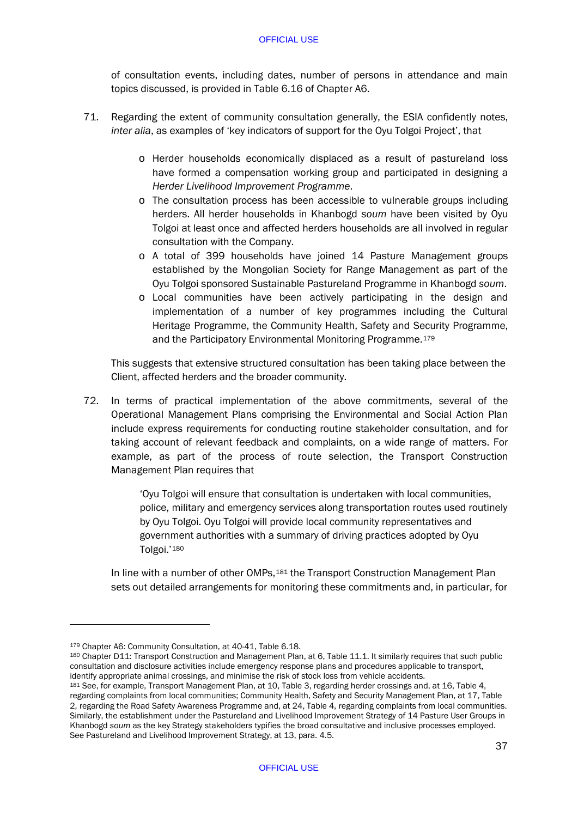of consultation events, including dates, number of persons in attendance and main topics discussed, is provided in Table 6.16 of Chapter A6.

- 71. Regarding the extent of community consultation generally, the ESIA confidently notes, *inter alia*, as examples of 'key indicators of support for the Oyu Tolgoi Project', that
	- o Herder households economically displaced as a result of pastureland loss have formed a compensation working group and participated in designing a *Herder Livelihood Improvement Programme*.
	- o The consultation process has been accessible to vulnerable groups including herders. All herder households in Khanbogd *soum* have been visited by Oyu Tolgoi at least once and affected herders households are all involved in regular consultation with the Company.
	- o A total of 399 households have joined 14 Pasture Management groups established by the Mongolian Society for Range Management as part of the Oyu Tolgoi sponsored Sustainable Pastureland Programme in Khanbogd *soum*.
	- o Local communities have been actively participating in the design and implementation of a number of key programmes including the Cultural Heritage Programme, the Community Health, Safety and Security Programme, and the Participatory Environmental Monitoring Programme.[179](#page-39-0)

This suggests that extensive structured consultation has been taking place between the Client, affected herders and the broader community.

72. In terms of practical implementation of the above commitments, several of the Operational Management Plans comprising the Environmental and Social Action Plan include express requirements for conducting routine stakeholder consultation, and for taking account of relevant feedback and complaints, on a wide range of matters. For example, as part of the process of route selection, the Transport Construction Management Plan requires that

> 'Oyu Tolgoi will ensure that consultation is undertaken with local communities, police, military and emergency services along transportation routes used routinely by Oyu Tolgoi. Oyu Tolgoi will provide local community representatives and government authorities with a summary of driving practices adopted by Oyu Tolgoi.'[180](#page-39-1)

In line with a number of other OMPs,[181](#page-39-2) the Transport Construction Management Plan sets out detailed arrangements for monitoring these commitments and, in particular, for

<span id="page-39-0"></span><sup>179</sup> Chapter A6: Community Consultation, at 40-41, Table 6.18.

<span id="page-39-1"></span><sup>180</sup> Chapter D11: Transport Construction and Management Plan, at 6, Table 11.1. It similarly requires that such public consultation and disclosure activities include emergency response plans and procedures applicable to transport, identify appropriate animal crossings, and minimise the risk of stock loss from vehicle accidents.

<span id="page-39-2"></span><sup>181</sup> See, for example, Transport Management Plan, at 10, Table 3, regarding herder crossings and, at 16, Table 4, regarding complaints from local communities; Community Health, Safety and Security Management Plan, at 17, Table 2, regarding the Road Safety Awareness Programme and, at 24, Table 4, regarding complaints from local communities. Similarly, the establishment under the Pastureland and Livelihood Improvement Strategy of 14 Pasture User Groups in Khanbogd *soum* as the key Strategy stakeholders typifies the broad consultative and inclusive processes employed. See Pastureland and Livelihood Improvement Strategy, at 13, para. 4.5.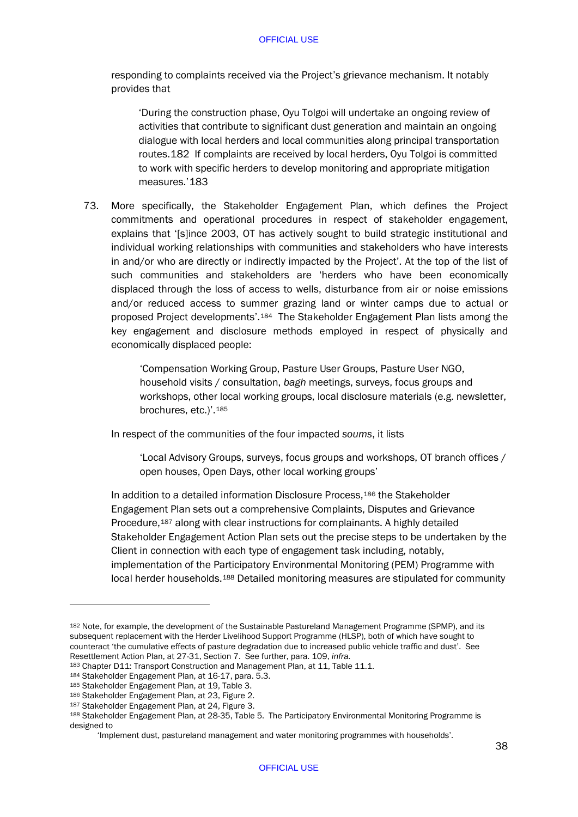responding to complaints received via the Project's grievance mechanism. It notably provides that

'During the construction phase, Oyu Tolgoi will undertake an ongoing review of activities that contribute to significant dust generation and maintain an ongoing dialogue with local herders and local communities along principal transportation routes.[182](#page-40-0) If complaints are received by local herders, Oyu Tolgoi is committed to work with specific herders to develop monitoring and appropriate mitigation measures.'[183](#page-40-1)

73. More specifically, the Stakeholder Engagement Plan, which defines the Project commitments and operational procedures in respect of stakeholder engagement, explains that '[s]ince 2003, OT has actively sought to build strategic institutional and individual working relationships with communities and stakeholders who have interests in and/or who are directly or indirectly impacted by the Project'. At the top of the list of such communities and stakeholders are 'herders who have been economically displaced through the loss of access to wells, disturbance from air or noise emissions and/or reduced access to summer grazing land or winter camps due to actual or proposed Project developments'.[184](#page-40-2) The Stakeholder Engagement Plan lists among the key engagement and disclosure methods employed in respect of physically and economically displaced people:

> 'Compensation Working Group, Pasture User Groups, Pasture User NGO, household visits / consultation, *bagh* meetings, surveys, focus groups and workshops, other local working groups, local disclosure materials (e.g. newsletter, brochures, etc.)'[.185](#page-40-3)

In respect of the communities of the four impacted *soums*, it lists

'Local Advisory Groups, surveys, focus groups and workshops, OT branch offices / open houses, Open Days, other local working groups'

In addition to a detailed information Disclosure Process,[186](#page-40-4) the Stakeholder Engagement Plan sets out a comprehensive Complaints, Disputes and Grievance Procedure,<sup>[187](#page-40-5)</sup> along with clear instructions for complainants. A highly detailed Stakeholder Engagement Action Plan sets out the precise steps to be undertaken by the Client in connection with each type of engagement task including, notably, implementation of the Participatory Environmental Monitoring (PEM) Programme with local herder households.[188](#page-40-6) Detailed monitoring measures are stipulated for community

<span id="page-40-0"></span><sup>182</sup> Note, for example, the development of the Sustainable Pastureland Management Programme (SPMP), and its subsequent replacement with the Herder Livelihood Support Programme (HLSP), both of which have sought to counteract 'the cumulative effects of pasture degradation due to increased public vehicle traffic and dust'. See Resettlement Action Plan, at 27-31, Section 7. See further, para[. 109,](#page-58-0) *infra.*

<span id="page-40-1"></span><sup>183</sup> Chapter D11: Transport Construction and Management Plan, at 11, Table 11.1.

<span id="page-40-2"></span><sup>184</sup> Stakeholder Engagement Plan, at 16-17, para. 5.3.

<span id="page-40-3"></span><sup>185</sup> Stakeholder Engagement Plan, at 19, Table 3.

<span id="page-40-4"></span><sup>186</sup> Stakeholder Engagement Plan, at 23, Figure 2.

<span id="page-40-5"></span><sup>187</sup> Stakeholder Engagement Plan, at 24, Figure 3.

<span id="page-40-6"></span><sup>188</sup> Stakeholder Engagement Plan, at 28-35, Table 5. The Participatory Environmental Monitoring Programme is designed to

<sup>&#</sup>x27;Implement dust, pastureland management and water monitoring programmes with households'.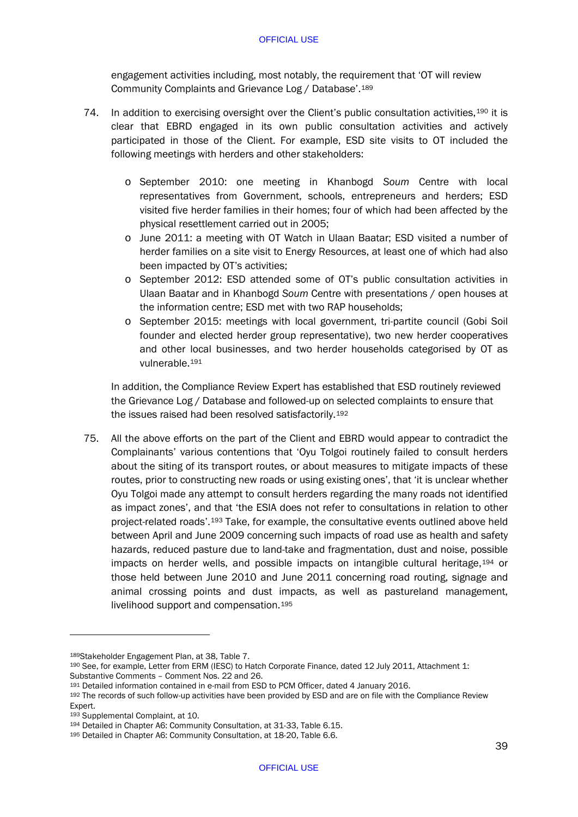engagement activities including, most notably, the requirement that 'OT will review Community Complaints and Grievance Log / Database'.[189](#page-41-0)

- 74. In addition to exercising oversight over the Client's public consultation activities, [190](#page-41-1) it is clear that EBRD engaged in its own public consultation activities and actively participated in those of the Client. For example, ESD site visits to OT included the following meetings with herders and other stakeholders:
	- o September 2010: one meeting in Khanbogd *Soum* Centre with local representatives from Government, schools, entrepreneurs and herders; ESD visited five herder families in their homes; four of which had been affected by the physical resettlement carried out in 2005;
	- o June 2011: a meeting with OT Watch in Ulaan Baatar; ESD visited a number of herder families on a site visit to Energy Resources, at least one of which had also been impacted by OT's activities;
	- o September 2012: ESD attended some of OT's public consultation activities in Ulaan Baatar and in Khanbogd *Soum* Centre with presentations / open houses at the information centre; ESD met with two RAP households;
	- o September 2015: meetings with local government, tri-partite council (Gobi Soil founder and elected herder group representative), two new herder cooperatives and other local businesses, and two herder households categorised by OT as vulnerable.[191](#page-41-2)

In addition, the Compliance Review Expert has established that ESD routinely reviewed the Grievance Log / Database and followed-up on selected complaints to ensure that the issues raised had been resolved satisfactorily.[192](#page-41-3)

<span id="page-41-7"></span>75. All the above efforts on the part of the Client and EBRD would appear to contradict the Complainants' various contentions that 'Oyu Tolgoi routinely failed to consult herders about the siting of its transport routes, or about measures to mitigate impacts of these routes, prior to constructing new roads or using existing ones', that 'it is unclear whether Oyu Tolgoi made any attempt to consult herders regarding the many roads not identified as impact zones', and that 'the ESIA does not refer to consultations in relation to other project-related roads'.[193](#page-41-4) Take, for example, the consultative events outlined above held between April and June 2009 concerning such impacts of road use as health and safety hazards, reduced pasture due to land-take and fragmentation, dust and noise, possible impacts on herder wells, and possible impacts on intangible cultural heritage,[194](#page-41-5) or those held between June 2010 and June 2011 concerning road routing, signage and animal crossing points and dust impacts, as well as pastureland management, livelihood support and compensation.[195](#page-41-6)

<span id="page-41-1"></span><span id="page-41-0"></span><sup>189</sup>Stakeholder Engagement Plan, at 38, Table 7.<br>190 See, for example, Letter from ERM (IESC) to Hatch Corporate Finance, dated 12 July 2011, Attachment 1:<br>Substantive Comments - Comment Nos. 22 and 26.

<span id="page-41-2"></span><sup>191</sup> Detailed information contained in e-mail from ESD to PCM Officer, dated 4 January 2016.

<span id="page-41-3"></span><sup>192</sup> The records of such follow-up activities have been provided by ESD and are on file with the Compliance Review Expert.

<span id="page-41-4"></span><sup>193</sup> Supplemental Complaint, at 10.

<span id="page-41-5"></span><sup>194</sup> Detailed in Chapter A6: Community Consultation, at 31-33, Table 6.15.

<span id="page-41-6"></span><sup>195</sup> Detailed in Chapter A6: Community Consultation, at 18-20, Table 6.6.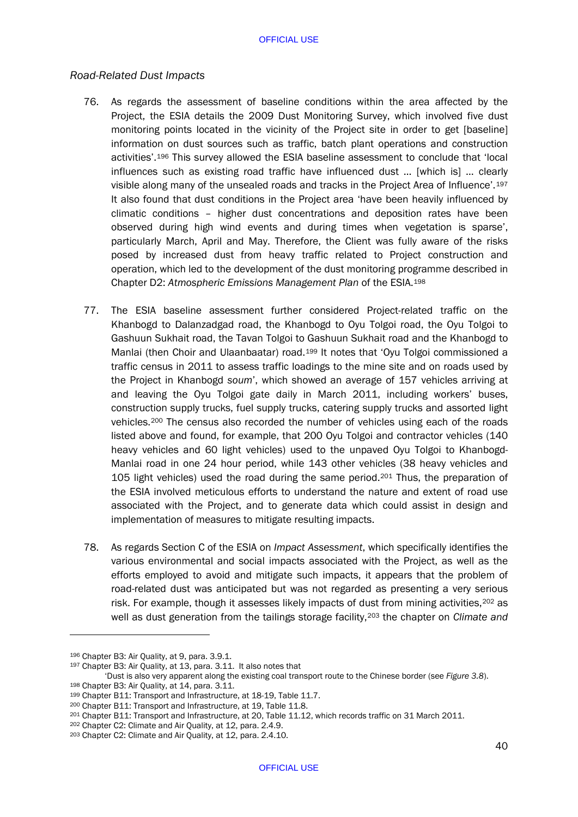# *Road-Related Dust Impacts*

- 76. As regards the assessment of baseline conditions within the area affected by the Project, the ESIA details the 2009 Dust Monitoring Survey, which involved five dust monitoring points located in the vicinity of the Project site in order to get [baseline] information on dust sources such as traffic, batch plant operations and construction activities'.[196](#page-42-0) This survey allowed the ESIA baseline assessment to conclude that 'local influences such as existing road traffic have influenced dust … [which is] … clearly visible along many of the unsealed roads and tracks in the Project Area of Influence'.[197](#page-42-1) It also found that dust conditions in the Project area 'have been heavily influenced by climatic conditions – higher dust concentrations and deposition rates have been observed during high wind events and during times when vegetation is sparse', particularly March, April and May. Therefore, the Client was fully aware of the risks posed by increased dust from heavy traffic related to Project construction and operation, which led to the development of the dust monitoring programme described in Chapter D2: *Atmospheric Emissions Management Plan* of the ESIA.[198](#page-42-2)
- 77. The ESIA baseline assessment further considered Project-related traffic on the Khanbogd to Dalanzadgad road, the Khanbogd to Oyu Tolgoi road, the Oyu Tolgoi to Gashuun Sukhait road, the Tavan Tolgoi to Gashuun Sukhait road and the Khanbogd to Manlai (then Choir and Ulaanbaatar) road.[199](#page-42-3) It notes that 'Oyu Tolgoi commissioned a traffic census in 2011 to assess traffic loadings to the mine site and on roads used by the Project in Khanbogd *soum*', which showed an average of 157 vehicles arriving at and leaving the Oyu Tolgoi gate daily in March 2011, including workers' buses, construction supply trucks, fuel supply trucks, catering supply trucks and assorted light vehicles.[200](#page-42-4) The census also recorded the number of vehicles using each of the roads listed above and found, for example, that 200 Oyu Tolgoi and contractor vehicles (140 heavy vehicles and 60 light vehicles) used to the unpaved Oyu Tolgoi to Khanbogd-Manlai road in one 24 hour period, while 143 other vehicles (38 heavy vehicles and 105 light vehicles) used the road during the same period.[201](#page-42-5) Thus, the preparation of the ESIA involved meticulous efforts to understand the nature and extent of road use associated with the Project, and to generate data which could assist in design and implementation of measures to mitigate resulting impacts.
- 78. As regards Section C of the ESIA on *Impact Assessment*, which specifically identifies the various environmental and social impacts associated with the Project, as well as the efforts employed to avoid and mitigate such impacts, it appears that the problem of road-related dust was anticipated but was not regarded as presenting a very serious risk. For example, though it assesses likely impacts of dust from mining activities, $202$  as well as dust generation from the tailings storage facility,[203](#page-42-7) the chapter on *Climate and*

<span id="page-42-0"></span><sup>196</sup> Chapter B3: Air Quality, at 9, para. 3.9.1.

<span id="page-42-1"></span><sup>197</sup> Chapter B3: Air Quality, at 13, para. 3.11. It also notes that

<sup>&#</sup>x27;Dust is also very apparent along the existing coal transport route to the Chinese border (see *Figure 3.8*).

<span id="page-42-2"></span><sup>198</sup> Chapter B3: Air Quality, at 14, para. 3.11.

<span id="page-42-3"></span><sup>199</sup> Chapter B11: Transport and Infrastructure, at 18-19, Table 11.7.

<span id="page-42-4"></span><sup>200</sup> Chapter B11: Transport and Infrastructure, at 19, Table 11.8.

<span id="page-42-6"></span><span id="page-42-5"></span><sup>&</sup>lt;sup>201</sup> Chapter B11: Transport and Infrastructure, at 20, Table 11.12, which records traffic on 31 March 2011.<br><sup>202</sup> Chapter C2: Climate and Air Quality, at 12, para. 2.4.9.

<span id="page-42-7"></span><sup>203</sup> Chapter C2: Climate and Air Quality, at 12, para. 2.4.10.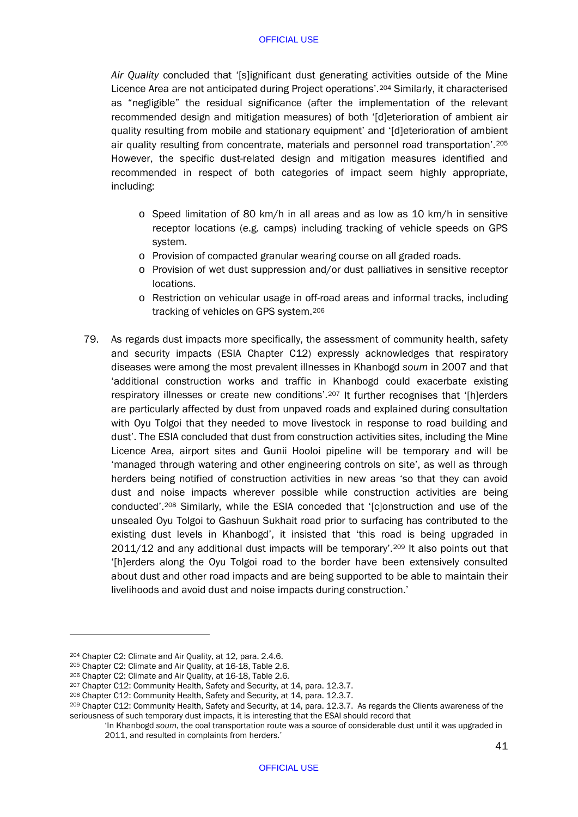*Air Quality* concluded that '[s]ignificant dust generating activities outside of the Mine Licence Area are not anticipated during Project operations'.[204](#page-43-0) Similarly, it characterised as "negligible" the residual significance (after the implementation of the relevant recommended design and mitigation measures) of both '[d]eterioration of ambient air quality resulting from mobile and stationary equipment' and '[d]eterioration of ambient air quality resulting from concentrate, materials and personnel road transportation'.[205](#page-43-1) However, the specific dust-related design and mitigation measures identified and recommended in respect of both categories of impact seem highly appropriate, including:

- o Speed limitation of 80 km/h in all areas and as low as 10 km/h in sensitive receptor locations (e.g. camps) including tracking of vehicle speeds on GPS system.
- o Provision of compacted granular wearing course on all graded roads.
- o Provision of wet dust suppression and/or dust palliatives in sensitive receptor locations.
- o Restriction on vehicular usage in off-road areas and informal tracks, including tracking of vehicles on GPS system.[206](#page-43-2)
- 79. As regards dust impacts more specifically, the assessment of community health, safety and security impacts (ESIA Chapter C12) expressly acknowledges that respiratory diseases were among the most prevalent illnesses in Khanbogd *soum* in 2007 and that 'additional construction works and traffic in Khanbogd could exacerbate existing respiratory illnesses or create new conditions'.[207](#page-43-3) It further recognises that '[h]erders are particularly affected by dust from unpaved roads and explained during consultation with Oyu Tolgoi that they needed to move livestock in response to road building and dust'. The ESIA concluded that dust from construction activities sites, including the Mine Licence Area, airport sites and Gunii Hooloi pipeline will be temporary and will be 'managed through watering and other engineering controls on site', as well as through herders being notified of construction activities in new areas 'so that they can avoid dust and noise impacts wherever possible while construction activities are being conducted'[.208](#page-43-4) Similarly, while the ESIA conceded that '[c]onstruction and use of the unsealed Oyu Tolgoi to Gashuun Sukhait road prior to surfacing has contributed to the existing dust levels in Khanbogd', it insisted that 'this road is being upgraded in 2011/12 and any additional dust impacts will be temporary'.[209](#page-43-5) It also points out that '[h]erders along the Oyu Tolgoi road to the border have been extensively consulted about dust and other road impacts and are being supported to be able to maintain their livelihoods and avoid dust and noise impacts during construction.'

<span id="page-43-0"></span><sup>204</sup> Chapter C2: Climate and Air Quality, at 12, para. 2.4.6.

<span id="page-43-1"></span><sup>205</sup> Chapter C2: Climate and Air Quality, at 16-18, Table 2.6.

<span id="page-43-2"></span><sup>206</sup> Chapter C2: Climate and Air Quality, at 16-18, Table 2.6.

<span id="page-43-3"></span><sup>207</sup> Chapter C12: Community Health, Safety and Security, at 14, para. 12.3.7.

<span id="page-43-4"></span><sup>208</sup> Chapter C12: Community Health, Safety and Security, at 14, para. 12.3.7.

<span id="page-43-5"></span><sup>209</sup> Chapter C12: Community Health, Safety and Security, at 14, para. 12.3.7. As regards the Clients awareness of the seriousness of such temporary dust impacts, it is interesting that the ESAI should record that

<sup>&#</sup>x27;In Khanbogd *soum*, the coal transportation route was a source of considerable dust until it was upgraded in 2011, and resulted in complaints from herders.'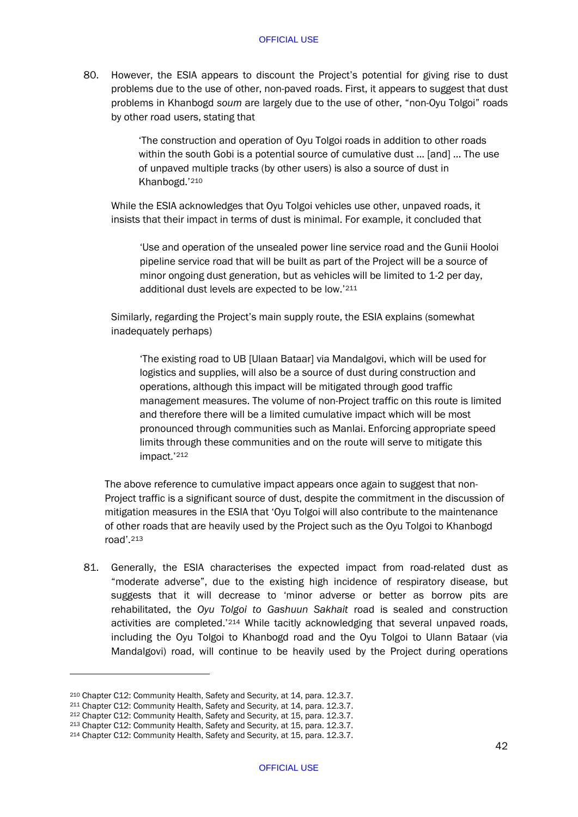80. However, the ESIA appears to discount the Project's potential for giving rise to dust problems due to the use of other, non-paved roads. First, it appears to suggest that dust problems in Khanbogd *soum* are largely due to the use of other, "non-Oyu Tolgoi" roads by other road users, stating that

> 'The construction and operation of Oyu Tolgoi roads in addition to other roads within the south Gobi is a potential source of cumulative dust ... [and] ... The use of unpaved multiple tracks (by other users) is also a source of dust in Khanbogd.'[210](#page-44-0)

While the ESIA acknowledges that Oyu Tolgoi vehicles use other, unpaved roads, it insists that their impact in terms of dust is minimal. For example, it concluded that

'Use and operation of the unsealed power line service road and the Gunii Hooloi pipeline service road that will be built as part of the Project will be a source of minor ongoing dust generation, but as vehicles will be limited to 1-2 per day, additional dust levels are expected to be low.'[211](#page-44-1)

Similarly, regarding the Project's main supply route, the ESIA explains (somewhat inadequately perhaps)

'The existing road to UB [Ulaan Bataar] via Mandalgovi, which will be used for logistics and supplies, will also be a source of dust during construction and operations, although this impact will be mitigated through good traffic management measures. The volume of non-Project traffic on this route is limited and therefore there will be a limited cumulative impact which will be most pronounced through communities such as Manlai. Enforcing appropriate speed limits through these communities and on the route will serve to mitigate this impact.'[212](#page-44-2)

The above reference to cumulative impact appears once again to suggest that non-Project traffic is a significant source of dust, despite the commitment in the discussion of mitigation measures in the ESIA that 'Oyu Tolgoi will also contribute to the maintenance of other roads that are heavily used by the Project such as the Oyu Tolgoi to Khanbogd road'.[213](#page-44-3)

81. Generally, the ESIA characterises the expected impact from road-related dust as "moderate adverse", due to the existing high incidence of respiratory disease, but suggests that it will decrease to 'minor adverse or better as borrow pits are rehabilitated, the *Oyu Tolgoi to Gashuun Sakhait* road is sealed and construction activities are completed.'[214](#page-44-4) While tacitly acknowledging that several unpaved roads, including the Oyu Tolgoi to Khanbogd road and the Oyu Tolgoi to Ulann Bataar (via Mandalgovi) road, will continue to be heavily used by the Project during operations

<span id="page-44-0"></span><sup>210</sup> Chapter C12: Community Health, Safety and Security, at 14, para. 12.3.7.

<span id="page-44-1"></span><sup>211</sup> Chapter C12: Community Health, Safety and Security, at 14, para. 12.3.7.

<span id="page-44-2"></span><sup>212</sup> Chapter C12: Community Health, Safety and Security, at 15, para. 12.3.7.

<span id="page-44-3"></span><sup>213</sup> Chapter C12: Community Health, Safety and Security, at 15, para. 12.3.7.

<span id="page-44-4"></span><sup>214</sup> Chapter C12: Community Health, Safety and Security, at 15, para. 12.3.7.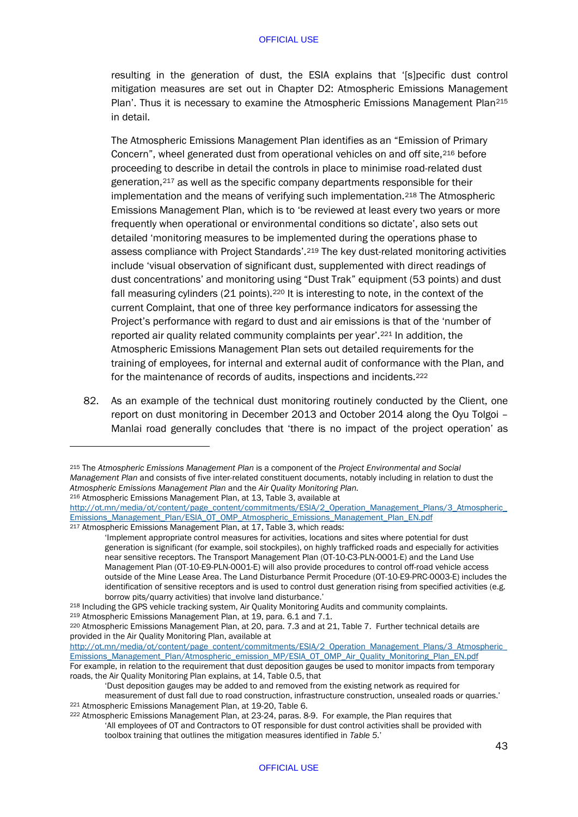resulting in the generation of dust, the ESIA explains that '[s]pecific dust control mitigation measures are set out in Chapter D2: Atmospheric Emissions Management Plan'. Thus it is necessary to examine the Atmospheric Emissions Management Plan<sup>[215](#page-45-0)</sup> in detail.

The Atmospheric Emissions Management Plan identifies as an "Emission of Primary Concern", wheel generated dust from operational vehicles on and off site, [216](#page-45-1) before proceeding to describe in detail the controls in place to minimise road-related dust generation,[217](#page-45-2) as well as the specific company departments responsible for their implementation and the means of verifying such implementation.[218](#page-45-3) The Atmospheric Emissions Management Plan, which is to 'be reviewed at least every two years or more frequently when operational or environmental conditions so dictate', also sets out detailed 'monitoring measures to be implemented during the operations phase to assess compliance with Project Standards'.[219](#page-45-4) The key dust-related monitoring activities include 'visual observation of significant dust, supplemented with direct readings of dust concentrations' and monitoring using "Dust Trak" equipment (53 points) and dust fall measuring cylinders (21 points).<sup>[220](#page-45-5)</sup> It is interesting to note, in the context of the current Complaint, that one of three key performance indicators for assessing the Project's performance with regard to dust and air emissions is that of the 'number of reported air quality related community complaints per year'.[221](#page-45-6) In addition, the Atmospheric Emissions Management Plan sets out detailed requirements for the training of employees, for internal and external audit of conformance with the Plan, and for the maintenance of records of audits, inspections and incidents.[222](#page-45-7)

82. As an example of the technical dust monitoring routinely conducted by the Client, one report on dust monitoring in December 2013 and October 2014 along the Oyu Tolgoi – Manlai road generally concludes that 'there is no impact of the project operation' as

-

<span id="page-45-3"></span><sup>219</sup> Atmospheric Emissions Management Plan, at 19, para. 6.1 and 7.1.

<span id="page-45-0"></span><sup>215</sup> The *Atmospheric Emissions Management Plan* is a component of the *Project Environmental and Social Management Plan* and consists of five inter-related constituent documents, notably including in relation to dust the <sup>216</sup> Atmospheric Emissions Management Plan, at 13, Table 3, available at

<span id="page-45-1"></span>[http://ot.mn/media/ot/content/page\\_content/commitments/ESIA/2\\_Operation\\_Management\\_Plans/3\\_Atmospheric\\_](http://ot.mn/media/ot/content/page_content/commitments/ESIA/2_Operation_Management_Plans/3_Atmospheric_Emissions_Management_Plan/ESIA_OT_OMP_Atmospheric_Emissions_Management_Plan_EN.pdf) [Emissions\\_Management\\_Plan/ESIA\\_OT\\_OMP\\_Atmospheric\\_Emissions\\_Management\\_Plan\\_EN.pdf](http://ot.mn/media/ot/content/page_content/commitments/ESIA/2_Operation_Management_Plans/3_Atmospheric_Emissions_Management_Plan/ESIA_OT_OMP_Atmospheric_Emissions_Management_Plan_EN.pdf) 217 Atmospheric Emissions Management Plan, at 17, Table 3, which reads:

<span id="page-45-2"></span><sup>&#</sup>x27;Implement appropriate control measures for activities, locations and sites where potential for dust generation is significant (for example, soil stockpiles), on highly trafficked roads and especially for activities near sensitive receptors. The Transport Management Plan (OT-10-C3-PLN-0001-E) and the Land Use Management Plan (OT-10-E9-PLN-0001-E) will also provide procedures to control off-road vehicle access outside of the Mine Lease Area. The Land Disturbance Permit Procedure (OT-10-E9-PRC-0003-E) includes the identification of sensitive receptors and is used to control dust generation rising from specified activities (e.g. borrow pits/quarry activities) that involve land disturbance.' <br><sup>218</sup> Including the GPS vehicle tracking system, Air Quality Monitoring Audits and community complaints.

<span id="page-45-5"></span><span id="page-45-4"></span><sup>220</sup> Atmospheric Emissions Management Plan, at 20, para. 7.3 and at 21, Table 7. Further technical details are provided in the Air Quality Monitoring Plan, available at

[http://ot.mn/media/ot/content/page\\_content/commitments/ESIA/2\\_Operation\\_Management\\_Plans/3\\_Atmospheric\\_](http://ot.mn/media/ot/content/page_content/commitments/ESIA/2_Operation_Management_Plans/3_Atmospheric_Emissions_Management_Plan/Atmospheric_emission_MP/ESIA_OT_OMP_Air_Quality_Monitoring_Plan_EN.pdf) [Emissions\\_Management\\_Plan/Atmospheric\\_emission\\_MP/ESIA\\_OT\\_OMP\\_Air\\_Quality\\_Monitoring\\_Plan\\_EN.pdf](http://ot.mn/media/ot/content/page_content/commitments/ESIA/2_Operation_Management_Plans/3_Atmospheric_Emissions_Management_Plan/Atmospheric_emission_MP/ESIA_OT_OMP_Air_Quality_Monitoring_Plan_EN.pdf) For example, in relation to the requirement that dust deposition gauges be used to monitor impacts from temporary roads, the Air Quality Monitoring Plan explains, at 14, Table 0.5, that

<sup>&#</sup>x27;Dust deposition gauges may be added to and removed from the existing network as required for measurement of dust fall due to road construction, infrastructure construction, unsealed roads or quarries.' <sup>221</sup> Atmospheric Emissions Management Plan, at 19-20, Table 6.

<span id="page-45-7"></span><span id="page-45-6"></span><sup>222</sup> Atmospheric Emissions Management Plan, at 23-24, paras. 8-9. For example, the Plan requires that 'All employees of OT and Contractors to OT responsible for dust control activities shall be provided with toolbox training that outlines the mitigation measures identified in *Table 5*.'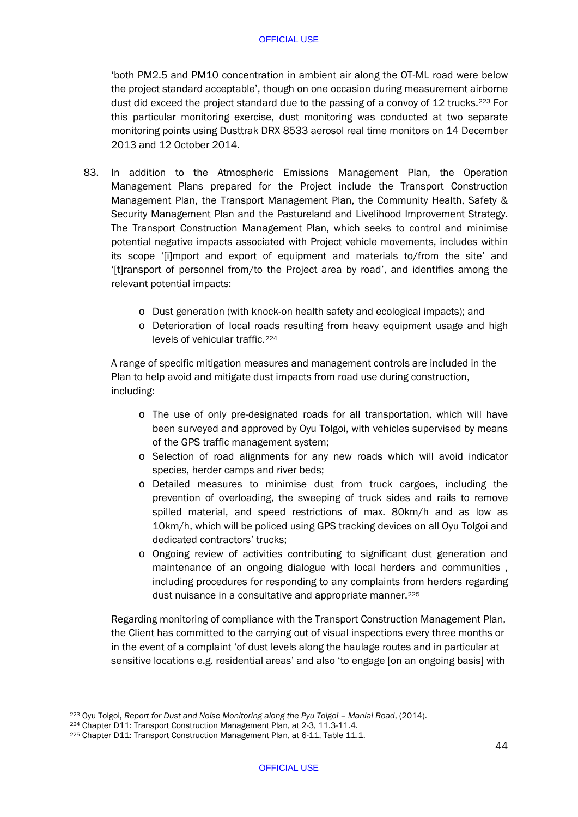'both PM2.5 and PM10 concentration in ambient air along the OT-ML road were below the project standard acceptable', though on one occasion during measurement airborne dust did exceed the project standard due to the passing of a convoy of 12 trucks.[223](#page-46-0) For this particular monitoring exercise, dust monitoring was conducted at two separate monitoring points using Dusttrak DRX 8533 aerosol real time monitors on 14 December 2013 and 12 October 2014.

- 83. In addition to the Atmospheric Emissions Management Plan, the Operation Management Plans prepared for the Project include the Transport Construction Management Plan, the Transport Management Plan, the Community Health, Safety & Security Management Plan and the Pastureland and Livelihood Improvement Strategy. The Transport Construction Management Plan, which seeks to control and minimise potential negative impacts associated with Project vehicle movements, includes within its scope '[i]mport and export of equipment and materials to/from the site' and '[t]ransport of personnel from/to the Project area by road', and identifies among the relevant potential impacts:
	- o Dust generation (with knock-on health safety and ecological impacts); and
	- o Deterioration of local roads resulting from heavy equipment usage and high levels of vehicular traffic.[224](#page-46-1)

A range of specific mitigation measures and management controls are included in the Plan to help avoid and mitigate dust impacts from road use during construction, including:

- o The use of only pre-designated roads for all transportation, which will have been surveyed and approved by Oyu Tolgoi, with vehicles supervised by means of the GPS traffic management system;
- o Selection of road alignments for any new roads which will avoid indicator species, herder camps and river beds;
- o Detailed measures to minimise dust from truck cargoes, including the prevention of overloading, the sweeping of truck sides and rails to remove spilled material, and speed restrictions of max. 80km/h and as low as 10km/h, which will be policed using GPS tracking devices on all Oyu Tolgoi and dedicated contractors' trucks;
- o Ongoing review of activities contributing to significant dust generation and maintenance of an ongoing dialogue with local herders and communities , including procedures for responding to any complaints from herders regarding dust nuisance in a consultative and appropriate manner.<sup>[225](#page-46-2)</sup>

Regarding monitoring of compliance with the Transport Construction Management Plan, the Client has committed to the carrying out of visual inspections every three months or in the event of a complaint 'of dust levels along the haulage routes and in particular at sensitive locations e.g. residential areas' and also 'to engage [on an ongoing basis] with

<span id="page-46-0"></span><sup>223</sup> Oyu Tolgoi, *Report for Dust and Noise Monitoring along the Pyu Tolgoi – Manlai Road*, (2014).

<span id="page-46-2"></span><span id="page-46-1"></span><sup>&</sup>lt;sup>225</sup> Chapter D11: Transport Construction Management Plan, at 6-11, Table 11.1.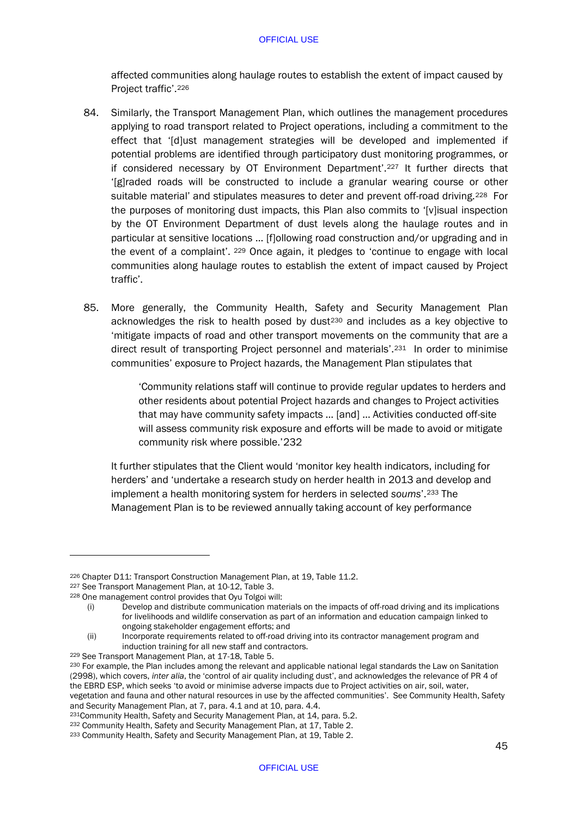affected communities along haulage routes to establish the extent of impact caused by Project traffic'.[226](#page-47-0)

- 84. Similarly, the Transport Management Plan, which outlines the management procedures applying to road transport related to Project operations, including a commitment to the effect that '[d]ust management strategies will be developed and implemented if potential problems are identified through participatory dust monitoring programmes, or if considered necessary by OT Environment Department'.[227](#page-47-1) It further directs that '[g]raded roads will be constructed to include a granular wearing course or other suitable material' and stipulates measures to deter and prevent off-road driving.<sup>[228](#page-47-2)</sup> For the purposes of monitoring dust impacts, this Plan also commits to '[v]isual inspection by the OT Environment Department of dust levels along the haulage routes and in particular at sensitive locations … [f]ollowing road construction and/or upgrading and in the event of a complaint'. [229](#page-47-3) Once again, it pledges to 'continue to engage with local communities along haulage routes to establish the extent of impact caused by Project traffic'.
- 85. More generally, the Community Health, Safety and Security Management Plan acknowledges the risk to health posed by dust $230$  and includes as a key objective to 'mitigate impacts of road and other transport movements on the community that are a direct result of transporting Project personnel and materials'.[231](#page-47-5) In order to minimise communities' exposure to Project hazards, the Management Plan stipulates that

'Community relations staff will continue to provide regular updates to herders and other residents about potential Project hazards and changes to Project activities that may have community safety impacts … [and] … Activities conducted off-site will assess community risk exposure and efforts will be made to avoid or mitigate community risk where possible.'[232](#page-47-6)

It further stipulates that the Client would 'monitor key health indicators, including for herders' and 'undertake a research study on herder health in 2013 and develop and implement a health monitoring system for herders in selected *soums*'.[233](#page-47-7) The Management Plan is to be reviewed annually taking account of key performance

<span id="page-47-0"></span><sup>226</sup> Chapter D11: Transport Construction Management Plan, at 19, Table 11.2.

<span id="page-47-1"></span><sup>227</sup> See Transport Management Plan, at 10-12, Table 3.

<span id="page-47-2"></span><sup>228</sup> One management control provides that Oyu Tolgoi will:

<sup>(</sup>i) Develop and distribute communication materials on the impacts of off-road driving and its implications for livelihoods and wildlife conservation as part of an information and education campaign linked to ongoing stakeholder engagement efforts; and

<sup>(</sup>ii) Incorporate requirements related to off-road driving into its contractor management program and induction training for all new staff and contractors.

<span id="page-47-3"></span><sup>&</sup>lt;sup>229</sup> See Transport Management Plan, at 17-18, Table 5.

<span id="page-47-4"></span><sup>230</sup> For example, the Plan includes among the relevant and applicable national legal standards the Law on Sanitation (2998), which covers, *inter alia*, the 'control of air quality including dust', and acknowledges the relevance of PR 4 of the EBRD ESP, which seeks 'to avoid or minimise adverse impacts due to Project activities on air, soil, water, vegetation and fauna and other natural resources in use by the affected communities'. See Community Health, Safety

and Security Management Plan, at 7, para. 4.1 and at 10, para. 4.4.<br><sup>231</sup>Community Health, Safety and Security Management Plan, at 14, para. 5.2.

<span id="page-47-6"></span><span id="page-47-5"></span><sup>&</sup>lt;sup>232</sup> Community Health, Safety and Security Management Plan, at 17, Table 2.

<span id="page-47-7"></span><sup>233</sup> Community Health, Safety and Security Management Plan, at 19, Table 2.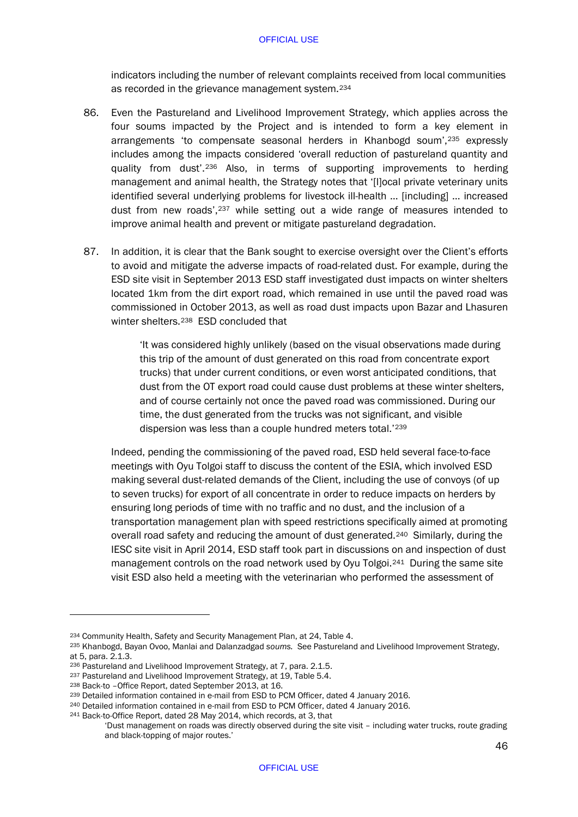indicators including the number of relevant complaints received from local communities as recorded in the grievance management system.[234](#page-48-0)

- 86. Even the Pastureland and Livelihood Improvement Strategy, which applies across the four soums impacted by the Project and is intended to form a key element in arrangements 'to compensate seasonal herders in Khanbogd soum',[235](#page-48-1) expressly includes among the impacts considered 'overall reduction of pastureland quantity and quality from dust'.[236](#page-48-2) Also, in terms of supporting improvements to herding management and animal health, the Strategy notes that '[l]ocal private veterinary units identified several underlying problems for livestock ill-health … [including] … increased dust from new roads',[237](#page-48-3) while setting out a wide range of measures intended to improve animal health and prevent or mitigate pastureland degradation.
- 87. In addition, it is clear that the Bank sought to exercise oversight over the Client's efforts to avoid and mitigate the adverse impacts of road-related dust. For example, during the ESD site visit in September 2013 ESD staff investigated dust impacts on winter shelters located 1km from the dirt export road, which remained in use until the paved road was commissioned in October 2013, as well as road dust impacts upon Bazar and Lhasuren winter shelters.[238](#page-48-4) ESD concluded that

'It was considered highly unlikely (based on the visual observations made during this trip of the amount of dust generated on this road from concentrate export trucks) that under current conditions, or even worst anticipated conditions, that dust from the OT export road could cause dust problems at these winter shelters, and of course certainly not once the paved road was commissioned. During our time, the dust generated from the trucks was not significant, and visible dispersion was less than a couple hundred meters total.'[239](#page-48-5)

Indeed, pending the commissioning of the paved road, ESD held several face-to-face meetings with Oyu Tolgoi staff to discuss the content of the ESIA, which involved ESD making several dust-related demands of the Client, including the use of convoys (of up to seven trucks) for export of all concentrate in order to reduce impacts on herders by ensuring long periods of time with no traffic and no dust, and the inclusion of a transportation management plan with speed restrictions specifically aimed at promoting overall road safety and reducing the amount of dust generated.<sup>[240](#page-48-6)</sup> Similarly, during the IESC site visit in April 2014, ESD staff took part in discussions on and inspection of dust management controls on the road network used by Oyu Tolgoi.[241](#page-48-7) During the same site visit ESD also held a meeting with the veterinarian who performed the assessment of

<span id="page-48-0"></span><sup>234</sup> Community Health, Safety and Security Management Plan, at 24, Table 4.

<span id="page-48-1"></span><sup>235</sup> Khanbogd, Bayan Ovoo, Manlai and Dalanzadgad *soums.* See Pastureland and Livelihood Improvement Strategy, at 5, para. 2.1.3.

<span id="page-48-2"></span><sup>236</sup> Pastureland and Livelihood Improvement Strategy, at 7, para. 2.1.5.

<span id="page-48-3"></span><sup>237</sup> Pastureland and Livelihood Improvement Strategy, at 19. Table 5.4.

<span id="page-48-4"></span><sup>238</sup> Back-to –Office Report, dated September 2013, at 16.

<span id="page-48-5"></span><sup>239</sup> Detailed information contained in e-mail from ESD to PCM Officer, dated 4 January 2016.

<span id="page-48-6"></span><sup>240</sup> Detailed information contained in e-mail from ESD to PCM Officer, dated 4 January 2016.

<span id="page-48-7"></span><sup>241</sup> Back-to-Office Report, dated 28 May 2014, which records, at 3, that

<sup>&#</sup>x27;Dust management on roads was directly observed during the site visit – including water trucks, route grading and black-topping of major routes.'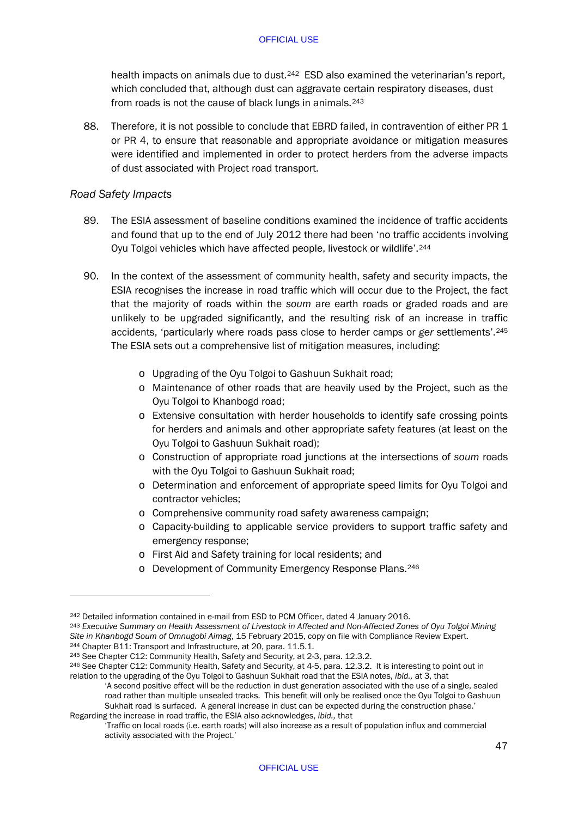health impacts on animals due to dust.<sup>[242](#page-49-0)</sup> ESD also examined the veterinarian's report, which concluded that, although dust can aggravate certain respiratory diseases, dust from roads is not the cause of black lungs in animals.[243](#page-49-1)

88. Therefore, it is not possible to conclude that EBRD failed, in contravention of either PR 1 or PR 4, to ensure that reasonable and appropriate avoidance or mitigation measures were identified and implemented in order to protect herders from the adverse impacts of dust associated with Project road transport.

# *Road Safety Impacts*

- 89. The ESIA assessment of baseline conditions examined the incidence of traffic accidents and found that up to the end of July 2012 there had been 'no traffic accidents involving Oyu Tolgoi vehicles which have affected people, livestock or wildlife'.[244](#page-49-2)
- 90. In the context of the assessment of community health, safety and security impacts, the ESIA recognises the increase in road traffic which will occur due to the Project, the fact that the majority of roads within the *soum* are earth roads or graded roads and are unlikely to be upgraded significantly, and the resulting risk of an increase in traffic accidents, 'particularly where roads pass close to herder camps or *ger* settlements'.[245](#page-49-3) The ESIA sets out a comprehensive list of mitigation measures, including:
	- o Upgrading of the Oyu Tolgoi to Gashuun Sukhait road;
	- o Maintenance of other roads that are heavily used by the Project, such as the Oyu Tolgoi to Khanbogd road;
	- o Extensive consultation with herder households to identify safe crossing points for herders and animals and other appropriate safety features (at least on the Oyu Tolgoi to Gashuun Sukhait road);
	- o Construction of appropriate road junctions at the intersections of *soum* roads with the Oyu Tolgoi to Gashuun Sukhait road;
	- o Determination and enforcement of appropriate speed limits for Oyu Tolgoi and contractor vehicles;
	- o Comprehensive community road safety awareness campaign;
	- o Capacity-building to applicable service providers to support traffic safety and emergency response;
	- o First Aid and Safety training for local residents; and
	- o Development of Community Emergency Response Plans.[246](#page-49-4)

<span id="page-49-0"></span><sup>242</sup> Detailed information contained in e-mail from ESD to PCM Officer, dated 4 January 2016.

<span id="page-49-1"></span><sup>243</sup> *Executive Summary on Health Assessment of Livestock in Affected and Non-Affected Zones of Oyu Tolgoi Mining Site in Khanbogd Soum of Omnugobi Aimag*, 15 February 2015, copy on file with Compliance Review Expert. <sup>244</sup> Chapter B11: Transport and Infrastructure, at 20, para. 11.5.1.

<span id="page-49-3"></span><span id="page-49-2"></span><sup>245</sup> See Chapter C12: Community Health, Safety and Security, at 2-3, para. 12.3.2.

<span id="page-49-4"></span><sup>246</sup> See Chapter C12: Community Health, Safety and Security, at 4-5, para. 12.3.2. It is interesting to point out in relation to the upgrading of the Oyu Tolgoi to Gashuun Sukhait road that the ESIA notes, *ibid.,* at 3, that

<sup>&#</sup>x27;A second positive effect will be the reduction in dust generation associated with the use of a single, sealed road rather than multiple unsealed tracks. This benefit will only be realised once the Oyu Tolgoi to Gashuun Sukhait road is surfaced. A general increase in dust can be expected during the construction phase.' Regarding the increase in road traffic, the ESIA also acknowledges, *ibid.,* that

<sup>&#</sup>x27;Traffic on local roads (i.e. earth roads) will also increase as a result of population influx and commercial activity associated with the Project.'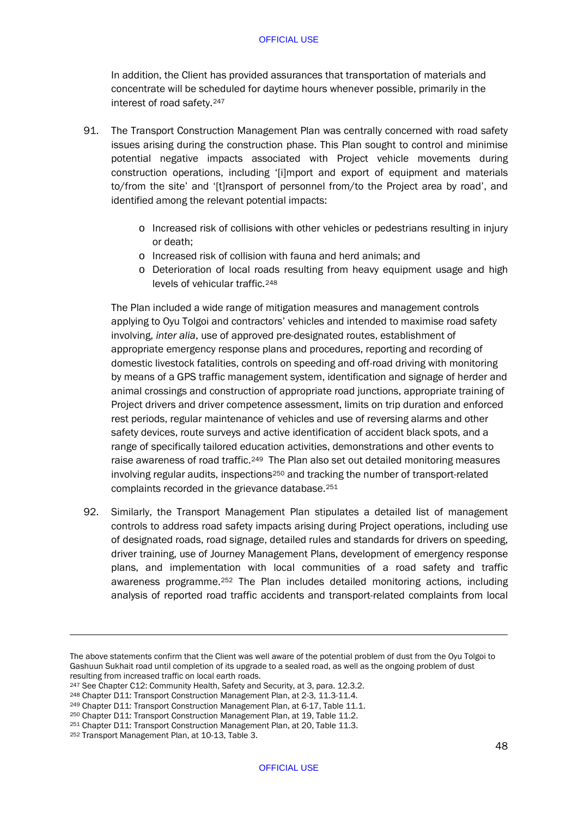In addition, the Client has provided assurances that transportation of materials and concentrate will be scheduled for daytime hours whenever possible, primarily in the interest of road safety[.247](#page-50-0)

- 91. The Transport Construction Management Plan was centrally concerned with road safety issues arising during the construction phase. This Plan sought to control and minimise potential negative impacts associated with Project vehicle movements during construction operations, including '[i]mport and export of equipment and materials to/from the site' and '[t]ransport of personnel from/to the Project area by road', and identified among the relevant potential impacts:
	- o Increased risk of collisions with other vehicles or pedestrians resulting in injury or death;
	- o Increased risk of collision with fauna and herd animals; and
	- o Deterioration of local roads resulting from heavy equipment usage and high levels of vehicular traffic.[248](#page-50-1)

The Plan included a wide range of mitigation measures and management controls applying to Oyu Tolgoi and contractors' vehicles and intended to maximise road safety involving, *inter alia*, use of approved pre-designated routes, establishment of appropriate emergency response plans and procedures, reporting and recording of domestic livestock fatalities, controls on speeding and off-road driving with monitoring by means of a GPS traffic management system, identification and signage of herder and animal crossings and construction of appropriate road junctions, appropriate training of Project drivers and driver competence assessment, limits on trip duration and enforced rest periods, regular maintenance of vehicles and use of reversing alarms and other safety devices, route surveys and active identification of accident black spots, and a range of specifically tailored education activities, demonstrations and other events to raise awareness of road traffic.<sup>[249](#page-50-2)</sup> The Plan also set out detailed monitoring measures involving regular audits, inspections $250$  and tracking the number of transport-related complaints recorded in the grievance database.[251](#page-50-4)

92. Similarly, the Transport Management Plan stipulates a detailed list of management controls to address road safety impacts arising during Project operations, including use of designated roads, road signage, detailed rules and standards for drivers on speeding, driver training, use of Journey Management Plans, development of emergency response plans, and implementation with local communities of a road safety and traffic awareness programme.[252](#page-50-5) The Plan includes detailed monitoring actions, including analysis of reported road traffic accidents and transport-related complaints from local

The above statements confirm that the Client was well aware of the potential problem of dust from the Oyu Tolgoi to Gashuun Sukhait road until completion of its upgrade to a sealed road, as well as the ongoing problem of dust resulting from increased traffic on local earth roads.

<span id="page-50-0"></span><sup>&</sup>lt;sup>247</sup> See Chapter C12: Community Health, Safety and Security, at 3, para. 12.3.2.

<span id="page-50-1"></span><sup>&</sup>lt;sup>248</sup> Chapter D11: Transport Construction Management Plan, at 2-3, 11.3-11.4.<br><sup>249</sup> Chapter D11: Transport Construction Management Plan, at 6-17, Table 11.1.

<span id="page-50-3"></span><span id="page-50-2"></span><sup>250</sup> Chapter D11: Transport Construction Management Plan, at 19, Table 11.2.

<span id="page-50-4"></span><sup>251</sup> Chapter D11: Transport Construction Management Plan, at 20, Table 11.3.

<span id="page-50-5"></span><sup>252</sup> Transport Management Plan, at 10-13, Table 3.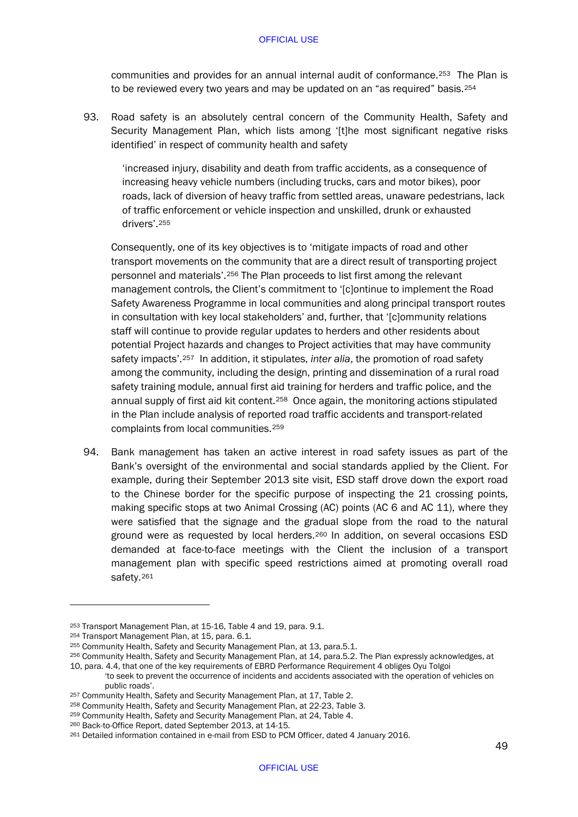communities and provides for an annual internal audit of conformance.[253](#page-51-0) The Plan is to be reviewed every two years and may be updated on an "as required" basis.<sup>[254](#page-51-1)</sup>

93. Road safety is an absolutely central concern of the Community Health, Safety and Security Management Plan, which lists among '[t]he most significant negative risks identified' in respect of community health and safety

'increased injury, disability and death from traffic accidents, as a consequence of increasing heavy vehicle numbers (including trucks, cars and motor bikes), poor roads, lack of diversion of heavy traffic from settled areas, unaware pedestrians, lack of traffic enforcement or vehicle inspection and unskilled, drunk or exhausted drivers'[.255](#page-51-2)

Consequently, one of its key objectives is to 'mitigate impacts of road and other transport movements on the community that are a direct result of transporting project personnel and materials'.[256](#page-51-3) The Plan proceeds to list first among the relevant management controls, the Client's commitment to '[c]ontinue to implement the Road Safety Awareness Programme in local communities and along principal transport routes in consultation with key local stakeholders' and, further, that '[c]ommunity relations staff will continue to provide regular updates to herders and other residents about potential Project hazards and changes to Project activities that may have community safety impacts'.[257](#page-51-4) In addition, it stipulates, *inter alia*, the promotion of road safety among the community, including the design, printing and dissemination of a rural road safety training module, annual first aid training for herders and traffic police, and the annual supply of first aid kit content.[258](#page-51-5) Once again, the monitoring actions stipulated in the Plan include analysis of reported road traffic accidents and transport-related complaints from local communities.[259](#page-51-6)

94. Bank management has taken an active interest in road safety issues as part of the Bank's oversight of the environmental and social standards applied by the Client. For example, during their September 2013 site visit, ESD staff drove down the export road to the Chinese border for the specific purpose of inspecting the 21 crossing points, making specific stops at two Animal Crossing (AC) points (AC 6 and AC 11), where they were satisfied that the signage and the gradual slope from the road to the natural ground were as requested by local herders.[260](#page-51-7) In addition, on several occasions ESD demanded at face-to-face meetings with the Client the inclusion of a transport management plan with specific speed restrictions aimed at promoting overall road safety.<sup>[261](#page-51-8)</sup>

<span id="page-51-0"></span><sup>253</sup> Transport Management Plan, at 15-16, Table 4 and 19, para. 9.1.

<span id="page-51-1"></span><sup>&</sup>lt;sup>254</sup> Transport Management Plan, at 15, para. 6.1.<br><sup>255</sup> Community Health, Safety and Security Management Plan, at 13, para.5.1.

<span id="page-51-3"></span><span id="page-51-2"></span><sup>256</sup> Community Health, Safety and Security Management Plan, at 14, para.5.2. The Plan expressly acknowledges, at 10, para. 4.4, that one of the key requirements of EBRD Performance Requirement 4 obliges Oyu Tolgoi

<sup>&#</sup>x27;to seek to prevent the occurrence of incidents and accidents associated with the operation of vehicles on

public roads'. 257 Community Health, Safety and Security Management Plan, at 17, Table 2.

<span id="page-51-5"></span><span id="page-51-4"></span><sup>258</sup> Community Health, Safety and Security Management Plan, at 22-23, Table 3.

<span id="page-51-6"></span><sup>259</sup> Community Health, Safety and Security Management Plan, at 24, Table 4.

<span id="page-51-7"></span><sup>260</sup> Back-to-Office Report, dated September 2013, at 14-15.

<span id="page-51-8"></span><sup>261</sup> Detailed information contained in e-mail from ESD to PCM Officer, dated 4 January 2016.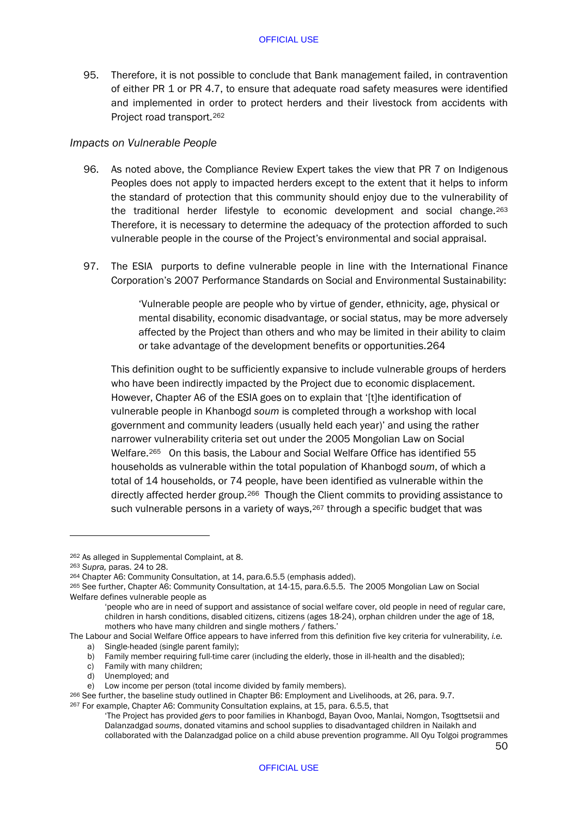95. Therefore, it is not possible to conclude that Bank management failed, in contravention of either PR 1 or PR 4.7, to ensure that adequate road safety measures were identified and implemented in order to protect herders and their livestock from accidents with Project road transport.[262](#page-52-0)

## *Impacts on Vulnerable People*

- 96. As noted above, the Compliance Review Expert takes the view that PR 7 on Indigenous Peoples does not apply to impacted herders except to the extent that it helps to inform the standard of protection that this community should enjoy due to the vulnerability of the traditional herder lifestyle to economic development and social change.[263](#page-52-1) Therefore, it is necessary to determine the adequacy of the protection afforded to such vulnerable people in the course of the Project's environmental and social appraisal.
- 97. The ESIA purports to define vulnerable people in line with the International Finance Corporation's 2007 Performance Standards on Social and Environmental Sustainability:

'Vulnerable people are people who by virtue of gender, ethnicity, age, physical or mental disability, economic disadvantage, or social status, may be more adversely affected by the Project than others and who may be limited in their ability to claim or take advantage of the development benefits or opportunities.[264](#page-52-2)

This definition ought to be sufficiently expansive to include vulnerable groups of herders who have been indirectly impacted by the Project due to economic displacement. However, Chapter A6 of the ESIA goes on to explain that '[t]he identification of vulnerable people in Khanbogd *soum* is completed through a workshop with local government and community leaders (usually held each year)' and using the rather narrower vulnerability criteria set out under the 2005 Mongolian Law on Social Welfare.<sup>265</sup> On this basis, the Labour and Social Welfare Office has identified 55 households as vulnerable within the total population of Khanbogd *soum*, of which a total of 14 households, or 74 people, have been identified as vulnerable within the directly affected herder group.[266](#page-52-4) Though the Client commits to providing assistance to such vulnerable persons in a variety of ways, <sup>[267](#page-52-5)</sup> through a specific budget that was

-

c) Family with many children;<br>d) Unemployed: and

<span id="page-52-0"></span><sup>262</sup> As alleged in Supplemental Complaint, at 8.

<span id="page-52-1"></span><sup>263</sup> *Supra,* paras. [24](#page-16-7) t[o 28.](#page-19-3)

<span id="page-52-2"></span><sup>264</sup> Chapter A6: Community Consultation, at 14, para.6.5.5 (emphasis added).

<span id="page-52-3"></span><sup>265</sup> See further, Chapter A6: Community Consultation, at 14-15, para.6.5.5. The 2005 Mongolian Law on Social Welfare defines vulnerable people as

<sup>&#</sup>x27;people who are in need of support and assistance of social welfare cover, old people in need of regular care, children in harsh conditions, disabled citizens, citizens (ages 18-24), orphan children under the age of 18, mothers who have many children and single mothers / fathers.'

The Labour and Social Welfare Office appears to have inferred from this definition five key criteria for vulnerability, *i.e.*

a) Single-headed (single parent family);

b) Family member requiring full-time carer (including the elderly, those in ill-health and the disabled);

Unemployed; and

e) Low income per person (total income divided by family members).

<span id="page-52-5"></span><span id="page-52-4"></span><sup>&</sup>lt;sup>266</sup> See further, the baseline study outlined in Chapter B6: Employment and Livelihoods, at 26, para. 9.7. <sup>267</sup> For example, Chapter A6: Community Consultation explains, at 15, para. 6.5.5, that

<sup>&#</sup>x27;The Project has provided *gers* to poor families in Khanbogd, Bayan Ovoo, Manlai, Nomgon, Tsogttsetsii and Dalanzadgad *soums*, donated vitamins and school supplies to disadvantaged children in Nailakh and collaborated with the Dalanzadgad police on a child abuse prevention programme. All Oyu Tolgoi programmes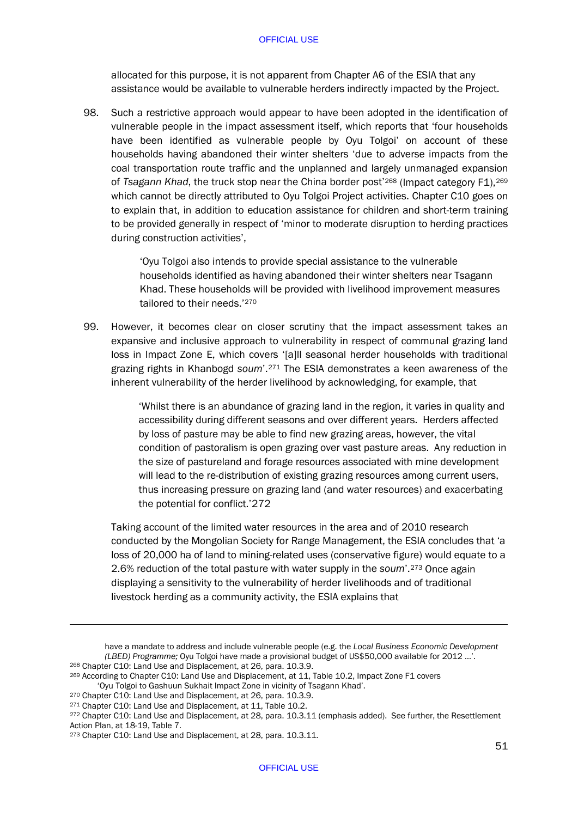allocated for this purpose, it is not apparent from Chapter A6 of the ESIA that any assistance would be available to vulnerable herders indirectly impacted by the Project.

98. Such a restrictive approach would appear to have been adopted in the identification of vulnerable people in the impact assessment itself, which reports that 'four households have been identified as vulnerable people by Oyu Tolgoi' on account of these households having abandoned their winter shelters 'due to adverse impacts from the coal transportation route traffic and the unplanned and largely unmanaged expansion of *Tsagann Khad*, the truck stop near the China border post'[268](#page-53-0) (Impact category F1),[269](#page-53-1) which cannot be directly attributed to Oyu Tolgoi Project activities. Chapter C10 goes on to explain that, in addition to education assistance for children and short-term training to be provided generally in respect of 'minor to moderate disruption to herding practices during construction activities',

> 'Oyu Tolgoi also intends to provide special assistance to the vulnerable households identified as having abandoned their winter shelters near Tsagann Khad. These households will be provided with livelihood improvement measures tailored to their needs.'[270](#page-53-2)

99. However, it becomes clear on closer scrutiny that the impact assessment takes an expansive and inclusive approach to vulnerability in respect of communal grazing land loss in Impact Zone E, which covers '[a]ll seasonal herder households with traditional grazing rights in Khanbogd *soum*'[.271](#page-53-3) The ESIA demonstrates a keen awareness of the inherent vulnerability of the herder livelihood by acknowledging, for example, that

> 'Whilst there is an abundance of grazing land in the region, it varies in quality and accessibility during different seasons and over different years. Herders affected by loss of pasture may be able to find new grazing areas, however, the vital condition of pastoralism is open grazing over vast pasture areas. Any reduction in the size of pastureland and forage resources associated with mine development will lead to the re-distribution of existing grazing resources among current users, thus increasing pressure on grazing land (and water resources) and exacerbating the potential for conflict.['272](#page-53-4)

Taking account of the limited water resources in the area and of 2010 research conducted by the Mongolian Society for Range Management, the ESIA concludes that 'a loss of 20,000 ha of land to mining-related uses (conservative figure) would equate to a 2.6% reduction of the total pasture with water supply in the *soum*'.[273](#page-53-5) Once again displaying a sensitivity to the vulnerability of herder livelihoods and of traditional livestock herding as a community activity, the ESIA explains that

-

<span id="page-53-2"></span><sup>270</sup> Chapter C10: Land Use and Displacement, at 26, para. 10.3.9.

have a mandate to address and include vulnerable people (e.g. the *Local Business Economic Development (LBED) Programme;* Oyu Tolgoi have made a provisional budget of US\$50,000 available for 2012 …'. 268 Chapter C10: Land Use and Displacement, at 26, para. 10.3.9.

<span id="page-53-0"></span>

<span id="page-53-1"></span><sup>&</sup>lt;sup>269</sup> According to Chapter C10: Land Use and Displacement, at 11, Table 10.2, Impact Zone F1 covers<br>'Oyu Tolgoi to Gashuun Sukhait Impact Zone in vicinity of Tsagann Khad'.

<span id="page-53-3"></span><sup>271</sup> Chapter C10: Land Use and Displacement, at 11, Table 10.2.

<span id="page-53-4"></span><sup>272</sup> Chapter C10: Land Use and Displacement, at 28, para. 10.3.11 (emphasis added). See further, the Resettlement Action Plan, at 18-19, Table 7.

<span id="page-53-5"></span><sup>273</sup> Chapter C10: Land Use and Displacement, at 28, para. 10.3.11.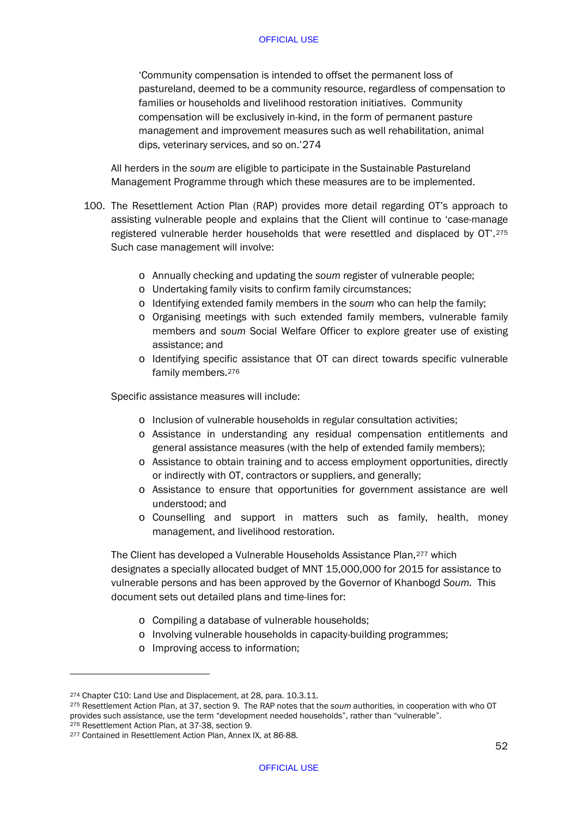'Community compensation is intended to offset the permanent loss of pastureland, deemed to be a community resource, regardless of compensation to families or households and livelihood restoration initiatives. Community compensation will be exclusively in-kind, in the form of permanent pasture management and improvement measures such as well rehabilitation, animal dips, veterinary services, and so on.'[274](#page-54-0)

All herders in the *soum* are eligible to participate in the Sustainable Pastureland Management Programme through which these measures are to be implemented.

- 100. The Resettlement Action Plan (RAP) provides more detail regarding OT's approach to assisting vulnerable people and explains that the Client will continue to 'case-manage registered vulnerable herder households that were resettled and displaced by OT'.[275](#page-54-1) Such case management will involve:
	- o Annually checking and updating the *soum* register of vulnerable people;
	- o Undertaking family visits to confirm family circumstances;
	- o Identifying extended family members in the *soum* who can help the family;
	- o Organising meetings with such extended family members, vulnerable family members and *soum* Social Welfare Officer to explore greater use of existing assistance; and
	- o Identifying specific assistance that OT can direct towards specific vulnerable family members.[276](#page-54-2)

Specific assistance measures will include:

- o Inclusion of vulnerable households in regular consultation activities;
- o Assistance in understanding any residual compensation entitlements and general assistance measures (with the help of extended family members);
- o Assistance to obtain training and to access employment opportunities, directly or indirectly with OT, contractors or suppliers, and generally;
- o Assistance to ensure that opportunities for government assistance are well understood; and
- o Counselling and support in matters such as family, health, money management, and livelihood restoration.

The Client has developed a Vulnerable Households Assistance Plan,[277](#page-54-3) which designates a specially allocated budget of MNT 15,000,000 for 2015 for assistance to vulnerable persons and has been approved by the Governor of Khanbogd *Soum.* This document sets out detailed plans and time-lines for:

- o Compiling a database of vulnerable households;
- o Involving vulnerable households in capacity-building programmes;
- o Improving access to information;

<span id="page-54-0"></span><sup>274</sup> Chapter C10: Land Use and Displacement, at 28, para. 10.3.11.

<span id="page-54-1"></span><sup>275</sup> Resettlement Action Plan, at 37, section 9. The RAP notes that the *soum* authorities, in cooperation with who OT provides such assistance, use the term "development needed households", rather than "vulnerable".<br><sup>276</sup> Resettlement Action Plan, at 37-38, section 9.

<span id="page-54-3"></span><span id="page-54-2"></span><sup>&</sup>lt;sup>277</sup> Contained in Resettlement Action Plan, Annex IX, at 86-88.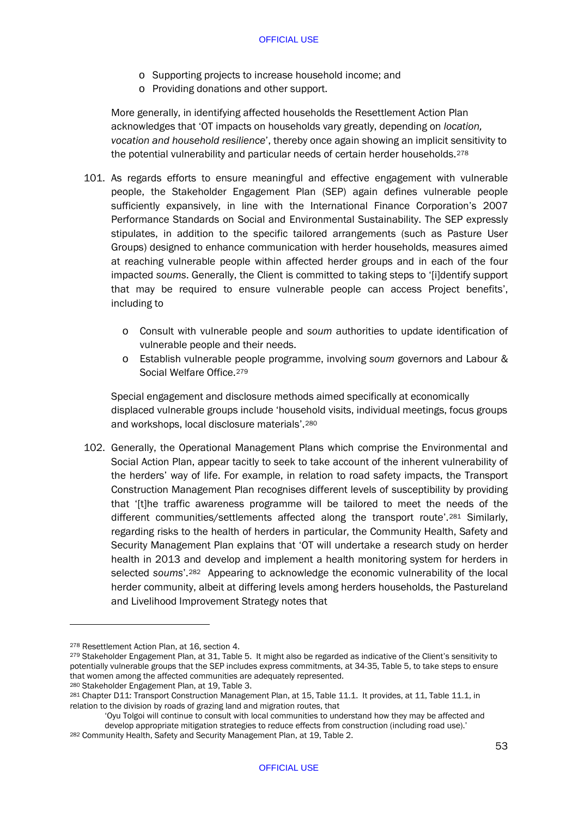- o Supporting projects to increase household income; and
- o Providing donations and other support.

More generally, in identifying affected households the Resettlement Action Plan acknowledges that 'OT impacts on households vary greatly, depending on *location, vocation and household resilience*', thereby once again showing an implicit sensitivity to the potential vulnerability and particular needs of certain herder households.<sup>[278](#page-55-0)</sup>

- 101. As regards efforts to ensure meaningful and effective engagement with vulnerable people, the Stakeholder Engagement Plan (SEP) again defines vulnerable people sufficiently expansively, in line with the International Finance Corporation's 2007 Performance Standards on Social and Environmental Sustainability. The SEP expressly stipulates, in addition to the specific tailored arrangements (such as Pasture User Groups) designed to enhance communication with herder households, measures aimed at reaching vulnerable people within affected herder groups and in each of the four impacted *soums*. Generally, the Client is committed to taking steps to '[i]dentify support that may be required to ensure vulnerable people can access Project benefits', including to
	- o Consult with vulnerable people and *soum* authorities to update identification of vulnerable people and their needs.
	- o Establish vulnerable people programme, involving *soum* governors and Labour & Social Welfare Office.[279](#page-55-1)

Special engagement and disclosure methods aimed specifically at economically displaced vulnerable groups include 'household visits, individual meetings, focus groups and workshops, local disclosure materials'.[280](#page-55-2) 

102. Generally, the Operational Management Plans which comprise the Environmental and Social Action Plan, appear tacitly to seek to take account of the inherent vulnerability of the herders' way of life. For example, in relation to road safety impacts, the Transport Construction Management Plan recognises different levels of susceptibility by providing that '[t]he traffic awareness programme will be tailored to meet the needs of the different communities/settlements affected along the transport route'.[281](#page-55-3) Similarly, regarding risks to the health of herders in particular, the Community Health, Safety and Security Management Plan explains that 'OT will undertake a research study on herder health in 2013 and develop and implement a health monitoring system for herders in selected *soums*'.[282](#page-55-4) Appearing to acknowledge the economic vulnerability of the local herder community, albeit at differing levels among herders households, the Pastureland and Livelihood Improvement Strategy notes that

<span id="page-55-1"></span><span id="page-55-0"></span><sup>&</sup>lt;sup>278</sup> Resettlement Action Plan, at 16, section 4.<br><sup>279</sup> Stakeholder Engagement Plan, at 31, Table 5. It might also be regarded as indicative of the Client's sensitivity to potentially vulnerable groups that the SEP includes express commitments, at 34-35, Table 5, to take steps to ensure that women among the affected communities are adequately represented.<br><sup>280</sup> Stakeholder Engagement Plan, at 19, Table 3.

<span id="page-55-2"></span>

<span id="page-55-3"></span><sup>281</sup> Chapter D11: Transport Construction Management Plan, at 15, Table 11.1. It provides, at 11, Table 11.1, in relation to the division by roads of grazing land and migration routes, that

<sup>&#</sup>x27;Oyu Tolgoi will continue to consult with local communities to understand how they may be affected and develop appropriate mitigation strategies to reduce effects from construction (including road use).' 282 Community Health, Safety and Security Management Plan, at 19, Table 2.

<span id="page-55-4"></span>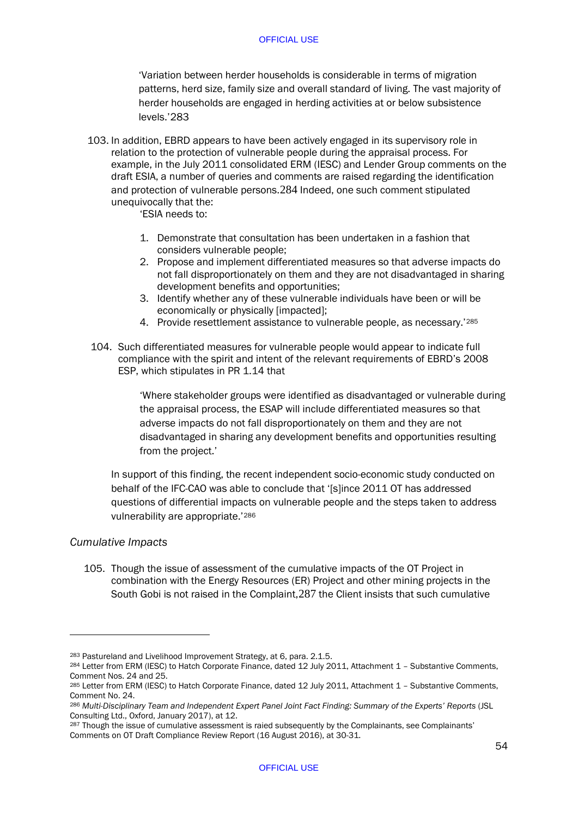'Variation between herder households is considerable in terms of migration patterns, herd size, family size and overall standard of living. The vast majority of herder households are engaged in herding activities at or below subsistence levels.['283](#page-56-0)

103. In addition, EBRD appears to have been actively engaged in its supervisory role in relation to the protection of vulnerable people during the appraisal process. For example, in the July 2011 consolidated ERM (IESC) and Lender Group comments on the draft ESIA, a number of queries and comments are raised regarding the identification and protection of vulnerable persons.[284](#page-56-1) Indeed, one such comment stipulated unequivocally that the:

'ESIA needs to:

- 1. Demonstrate that consultation has been undertaken in a fashion that considers vulnerable people;
- 2. Propose and implement differentiated measures so that adverse impacts do not fall disproportionately on them and they are not disadvantaged in sharing development benefits and opportunities;
- 3. Identify whether any of these vulnerable individuals have been or will be economically or physically [impacted];
- 4. Provide resettlement assistance to vulnerable people, as necessary.'[285](#page-56-2)
- 104. Such differentiated measures for vulnerable people would appear to indicate full compliance with the spirit and intent of the relevant requirements of EBRD's 2008 ESP, which stipulates in PR 1.14 that

'Where stakeholder groups were identified as disadvantaged or vulnerable during the appraisal process, the ESAP will include differentiated measures so that adverse impacts do not fall disproportionately on them and they are not disadvantaged in sharing any development benefits and opportunities resulting from the project.'

In support of this finding, the recent independent socio-economic study conducted on behalf of the IFC-CAO was able to conclude that '[s]ince 2011 OT has addressed questions of differential impacts on vulnerable people and the steps taken to address vulnerability are appropriate.'[286](#page-56-3)

# *Cumulative Impacts*

-

105. Though the issue of assessment of the cumulative impacts of the OT Project in combination with the Energy Resources (ER) Project and other mining projects in the South Gobi is not raised in the Complaint,[287](#page-56-4) the Client insists that such cumulative

<span id="page-56-0"></span><sup>283</sup> Pastureland and Livelihood Improvement Strategy, at 6, para. 2.1.5.

<span id="page-56-1"></span><sup>284</sup> Letter from ERM (IESC) to Hatch Corporate Finance, dated 12 July 2011, Attachment 1 – Substantive Comments, Comment Nos. 24 and 25.

<span id="page-56-2"></span><sup>285</sup> Letter from ERM (IESC) to Hatch Corporate Finance, dated 12 July 2011, Attachment 1 - Substantive Comments, Comment No. 24.

<span id="page-56-3"></span><sup>286</sup> *Multi-Disciplinary Team and Independent Expert Panel Joint Fact Finding: Summary of the Experts' Reports* (JSL Consulting Ltd., Oxford, January 2017), at 12.

<span id="page-56-4"></span><sup>&</sup>lt;sup>287</sup> Though the issue of cumulative assessment is raied subsequently by the Complainants, see Complainants' Comments on OT Draft Compliance Review Report (16 August 2016), at 30-31.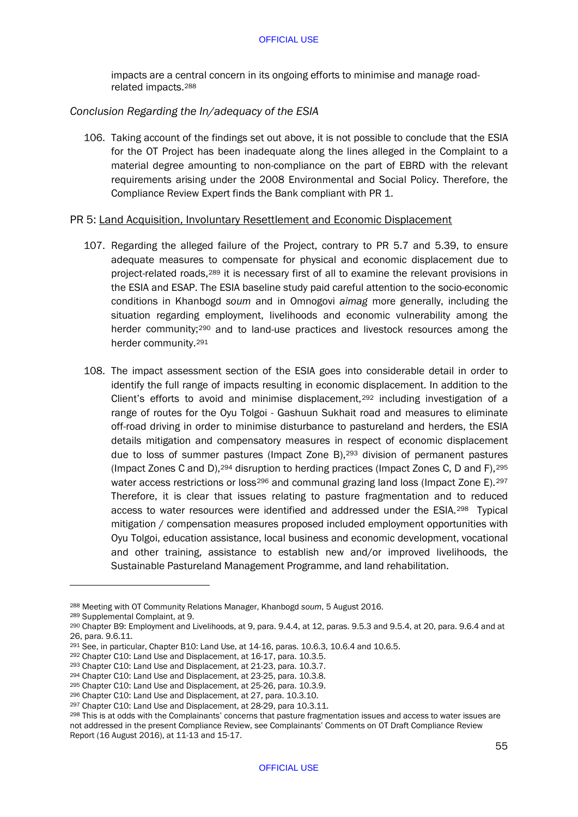impacts are a central concern in its ongoing efforts to minimise and manage roadrelated impacts.[288](#page-57-0)

## *Conclusion Regarding the In/adequacy of the ESIA*

106. Taking account of the findings set out above, it is not possible to conclude that the ESIA for the OT Project has been inadequate along the lines alleged in the Complaint to a material degree amounting to non-compliance on the part of EBRD with the relevant requirements arising under the 2008 Environmental and Social Policy. Therefore, the Compliance Review Expert finds the Bank compliant with PR 1.

## PR 5: Land Acquisition, Involuntary Resettlement and Economic Displacement

- 107. Regarding the alleged failure of the Project, contrary to PR 5.7 and 5.39, to ensure adequate measures to compensate for physical and economic displacement due to project-related roads,[289](#page-57-1) it is necessary first of all to examine the relevant provisions in the ESIA and ESAP. The ESIA baseline study paid careful attention to the socio-economic conditions in Khanbogd *soum* and in Omnogovi *aimag* more generally, including the situation regarding employment, livelihoods and economic vulnerability among the herder community;<sup>[290](#page-57-2)</sup> and to land-use practices and livestock resources among the herder community.[291](#page-57-3)
- 108. The impact assessment section of the ESIA goes into considerable detail in order to identify the full range of impacts resulting in economic displacement. In addition to the Client's efforts to avoid and minimise displacement,[292](#page-57-4) including investigation of a range of routes for the Oyu Tolgoi - Gashuun Sukhait road and measures to eliminate off-road driving in order to minimise disturbance to pastureland and herders, the ESIA details mitigation and compensatory measures in respect of economic displacement due to loss of summer pastures (Impact Zone B),[293](#page-57-5) division of permanent pastures (Impact Zones C and D),  $294$  disruption to herding practices (Impact Zones C, D and F),  $295$ water access restrictions or loss<sup>[296](#page-57-8)</sup> and communal grazing land loss (Impact Zone E).<sup>[297](#page-57-9)</sup> Therefore, it is clear that issues relating to pasture fragmentation and to reduced access to water resources were identified and addressed under the ESIA.[298](#page-57-10) Typical mitigation / compensation measures proposed included employment opportunities with Oyu Tolgoi, education assistance, local business and economic development, vocational and other training, assistance to establish new and/or improved livelihoods, the Sustainable Pastureland Management Programme, and land rehabilitation.

<span id="page-57-0"></span><sup>288</sup> Meeting with OT Community Relations Manager, Khanbogd *soum*, 5 August 2016.

<span id="page-57-1"></span><sup>289</sup> Supplemental Complaint, at 9.

<span id="page-57-2"></span> $290$  Chapter B9: Employment and Livelihoods, at 9, para,  $9.4.4$ , at 12, paras,  $9.5.3$  and  $9.5.4$ , at 20, para,  $9.6.4$  and at 26, para. 9.6.11.

<span id="page-57-3"></span><sup>&</sup>lt;sup>291</sup> See, in particular, Chapter B10: Land Use, at  $14-16$ , paras.  $10.6.3$ ,  $10.6.4$  and  $10.6.5$ .<br><sup>292</sup> Chapter C10: Land Use and Displacement, at 16-17, para. 10.3.5.

<span id="page-57-5"></span><span id="page-57-4"></span><sup>293</sup> Chapter C10: Land Use and Displacement, at 21-23, para. 10.3.7.

<span id="page-57-6"></span> $294$  Chapter C10: Land Use and Displacement, at 23-25, para. 10.3.8.<br> $295$  Chapter C10: Land Use and Displacement, at 25-26, para. 10.3.9.

<span id="page-57-8"></span><span id="page-57-7"></span><sup>&</sup>lt;sup>296</sup> Chapter C10: Land Use and Displacement, at 27, para. 10.3.10.

<span id="page-57-9"></span><sup>297</sup> Chapter C10: Land Use and Displacement, at 28-29, para 10.3.11.

<span id="page-57-10"></span><sup>298</sup> This is at odds with the Complainants' concerns that pasture fragmentation issues and access to water issues are not addressed in the present Compliance Review, see Complainants' Comments on OT Draft Compliance Review Report (16 August 2016), at 11-13 and 15-17.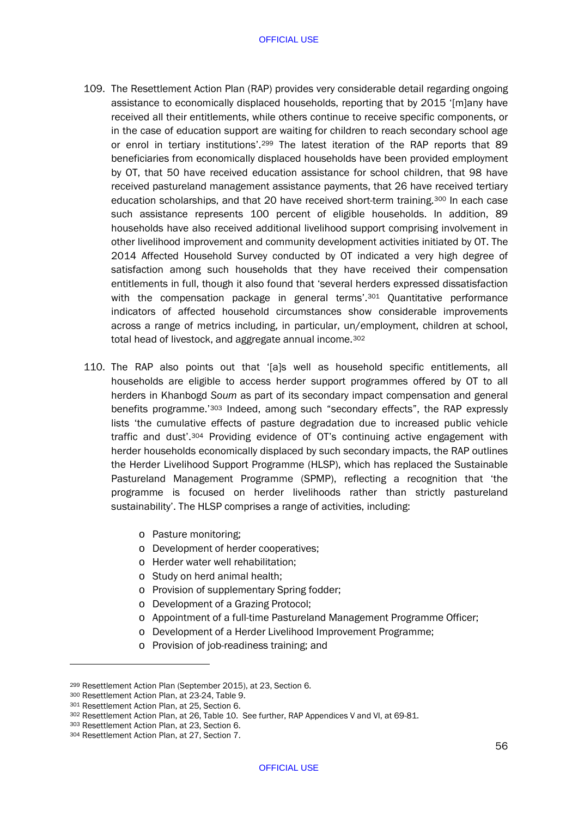- 109. The Resettlement Action Plan (RAP) provides very considerable detail regarding ongoing assistance to economically displaced households, reporting that by 2015 '[m]any have received all their entitlements, while others continue to receive specific components, or in the case of education support are waiting for children to reach secondary school age or enrol in tertiary institutions'.[299](#page-58-1) The latest iteration of the RAP reports that 89 beneficiaries from economically displaced households have been provided employment by OT, that 50 have received education assistance for school children, that 98 have received pastureland management assistance payments, that 26 have received tertiary education scholarships, and that 20 have received short-term training[.300](#page-58-2) In each case such assistance represents 100 percent of eligible households. In addition, 89 households have also received additional livelihood support comprising involvement in other livelihood improvement and community development activities initiated by OT. The 2014 Affected Household Survey conducted by OT indicated a very high degree of satisfaction among such households that they have received their compensation entitlements in full, though it also found that 'several herders expressed dissatisfaction with the compensation package in general terms'.<sup>[301](#page-58-3)</sup> Quantitative performance indicators of affected household circumstances show considerable improvements across a range of metrics including, in particular, un/employment, children at school, total head of livestock, and aggregate annual income.[302](#page-58-4)
- <span id="page-58-0"></span>110. The RAP also points out that '[a]s well as household specific entitlements, all households are eligible to access herder support programmes offered by OT to all herders in Khanbogd *Soum* as part of its secondary impact compensation and general benefits programme.'[303](#page-58-5) Indeed, among such "secondary effects", the RAP expressly lists 'the cumulative effects of pasture degradation due to increased public vehicle traffic and dust'[.304](#page-58-6) Providing evidence of OT's continuing active engagement with herder households economically displaced by such secondary impacts, the RAP outlines the Herder Livelihood Support Programme (HLSP), which has replaced the Sustainable Pastureland Management Programme (SPMP), reflecting a recognition that 'the programme is focused on herder livelihoods rather than strictly pastureland sustainability'. The HLSP comprises a range of activities, including:
	- o Pasture monitoring;
	- o Development of herder cooperatives;
	- o Herder water well rehabilitation;
	- o Study on herd animal health;
	- o Provision of supplementary Spring fodder;
	- o Development of a Grazing Protocol;
	- o Appointment of a full-time Pastureland Management Programme Officer;
	- o Development of a Herder Livelihood Improvement Programme;
	- o Provision of job-readiness training; and

<span id="page-58-1"></span><sup>299</sup> Resettlement Action Plan (September 2015), at 23, Section 6.

<span id="page-58-2"></span><sup>300</sup> Resettlement Action Plan, at 23-24, Table 9.<br>301 Resettlement Action Plan, at 25, Section 6.

<span id="page-58-4"></span><span id="page-58-3"></span><sup>302</sup> Resettlement Action Plan, at 26, Table 10. See further, RAP Appendices V and VI, at 69-81.

<span id="page-58-5"></span><sup>303</sup> Resettlement Action Plan, at 23, Section 6.

<span id="page-58-6"></span><sup>304</sup> Resettlement Action Plan, at 27, Section 7.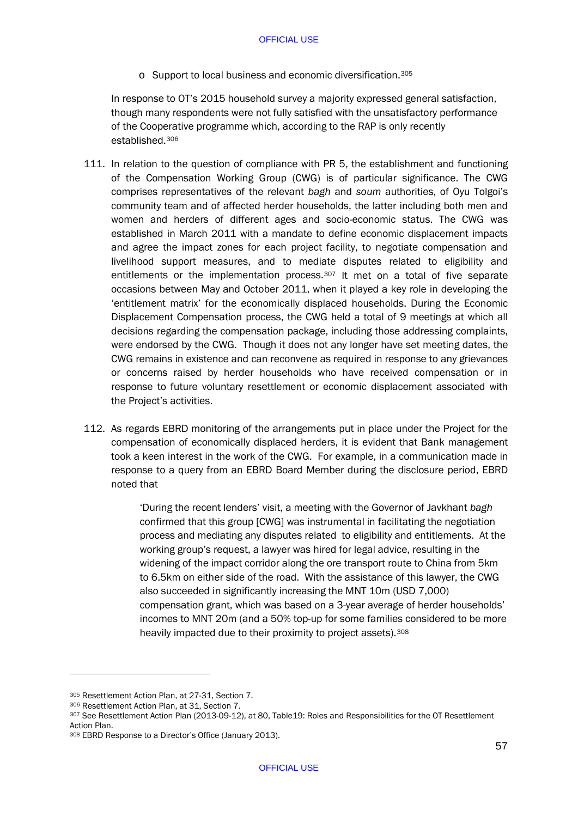o Support to local business and economic diversification.[305](#page-59-0)

In response to OT's 2015 household survey a majority expressed general satisfaction, though many respondents were not fully satisfied with the unsatisfactory performance of the Cooperative programme which, according to the RAP is only recently established.[306](#page-59-1) 

- 111. In relation to the question of compliance with PR 5, the establishment and functioning of the Compensation Working Group (CWG) is of particular significance. The CWG comprises representatives of the relevant *bagh* and *soum* authorities, of Oyu Tolgoi's community team and of affected herder households, the latter including both men and women and herders of different ages and socio-economic status. The CWG was established in March 2011 with a mandate to define economic displacement impacts and agree the impact zones for each project facility, to negotiate compensation and livelihood support measures, and to mediate disputes related to eligibility and entitlements or the implementation process.[307](#page-59-2) It met on a total of five separate occasions between May and October 2011, when it played a key role in developing the 'entitlement matrix' for the economically displaced households. During the Economic Displacement Compensation process, the CWG held a total of 9 meetings at which all decisions regarding the compensation package, including those addressing complaints, were endorsed by the CWG. Though it does not any longer have set meeting dates, the CWG remains in existence and can reconvene as required in response to any grievances or concerns raised by herder households who have received compensation or in response to future voluntary resettlement or economic displacement associated with the Project's activities.
- 112. As regards EBRD monitoring of the arrangements put in place under the Project for the compensation of economically displaced herders, it is evident that Bank management took a keen interest in the work of the CWG. For example, in a communication made in response to a query from an EBRD Board Member during the disclosure period, EBRD noted that

'During the recent lenders' visit, a meeting with the Governor of Javkhant *bagh* confirmed that this group [CWG] was instrumental in facilitating the negotiation process and mediating any disputes related to eligibility and entitlements. At the working group's request, a lawyer was hired for legal advice, resulting in the widening of the impact corridor along the ore transport route to China from 5km to 6.5km on either side of the road. With the assistance of this lawyer, the CWG also succeeded in significantly increasing the MNT 10m (USD 7,000) compensation grant, which was based on a 3-year average of herder households' incomes to MNT 20m (and a 50% top-up for some families considered to be more heavily impacted due to their proximity to project assets).<sup>[308](#page-59-3)</sup>

<span id="page-59-0"></span><sup>305</sup> Resettlement Action Plan, at 27-31, Section 7.

<span id="page-59-1"></span><sup>306</sup> Resettlement Action Plan, at 31, Section 7.

<span id="page-59-2"></span><sup>307</sup> See Resettlement Action Plan (2013-09-12), at 80, Table19: Roles and Responsibilities for the OT Resettlement Action Plan.

<span id="page-59-3"></span><sup>308</sup> EBRD Response to a Director's Office (January 2013).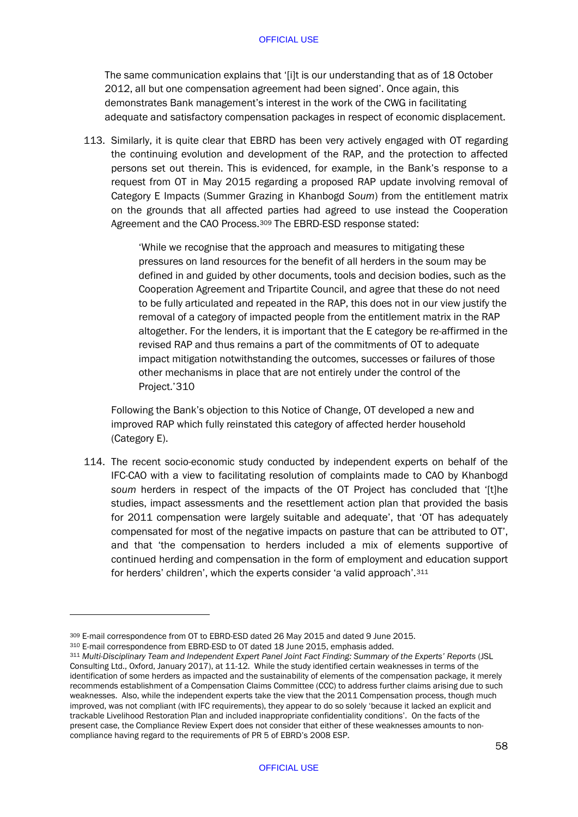The same communication explains that '[i]t is our understanding that as of 18 October 2012, all but one compensation agreement had been signed'. Once again, this demonstrates Bank management's interest in the work of the CWG in facilitating adequate and satisfactory compensation packages in respect of economic displacement.

113. Similarly, it is quite clear that EBRD has been very actively engaged with OT regarding the continuing evolution and development of the RAP, and the protection to affected persons set out therein. This is evidenced, for example, in the Bank's response to a request from OT in May 2015 regarding a proposed RAP update involving removal of Category E Impacts (Summer Grazing in Khanbogd *Soum*) from the entitlement matrix on the grounds that all affected parties had agreed to use instead the Cooperation Agreement and the CAO Process.<sup>[309](#page-60-0)</sup> The EBRD-ESD response stated:

> 'While we recognise that the approach and measures to mitigating these pressures on land resources for the benefit of all herders in the soum may be defined in and guided by other documents, tools and decision bodies, such as the Cooperation Agreement and Tripartite Council, and agree that these do not need to be fully articulated and repeated in the RAP, this does not in our view justify the removal of a category of impacted people from the entitlement matrix in the RAP altogether. For the lenders, it is important that the E category be re-affirmed in the revised RAP and thus remains a part of the commitments of OT to adequate impact mitigation notwithstanding the outcomes, successes or failures of those other mechanisms in place that are not entirely under the control of the Project.'[310](#page-60-1)

Following the Bank's objection to this Notice of Change, OT developed a new and improved RAP which fully reinstated this category of affected herder household (Category E).

114. The recent socio-economic study conducted by independent experts on behalf of the IFC-CAO with a view to facilitating resolution of complaints made to CAO by Khanbogd *soum* herders in respect of the impacts of the OT Project has concluded that '[t]he studies, impact assessments and the resettlement action plan that provided the basis for 2011 compensation were largely suitable and adequate', that 'OT has adequately compensated for most of the negative impacts on pasture that can be attributed to OT', and that 'the compensation to herders included a mix of elements supportive of continued herding and compensation in the form of employment and education support for herders' children', which the experts consider 'a valid approach'.[311](#page-60-2)

<span id="page-60-0"></span><sup>309</sup> E-mail correspondence from OT to EBRD-ESD dated 26 May 2015 and dated 9 June 2015.

<span id="page-60-1"></span><sup>310</sup> E-mail correspondence from EBRD-ESD to OT dated 18 June 2015, emphasis added.

<span id="page-60-2"></span><sup>311</sup> *Multi-Disciplinary Team and Independent Expert Panel Joint Fact Finding: Summary of the Experts' Reports* (JSL Consulting Ltd., Oxford, January 2017), at 11-12. While the study identified certain weaknesses in terms of the identification of some herders as impacted and the sustainability of elements of the compensation package, it merely recommends establishment of a Compensation Claims Committee (CCC) to address further claims arising due to such weaknesses. Also, while the independent experts take the view that the 2011 Compensation process, though much improved, was not compliant (with IFC requirements), they appear to do so solely 'because it lacked an explicit and trackable Livelihood Restoration Plan and included inappropriate confidentiality conditions'. On the facts of the present case, the Compliance Review Expert does not consider that either of these weaknesses amounts to noncompliance having regard to the requirements of PR 5 of EBRD's 2008 ESP.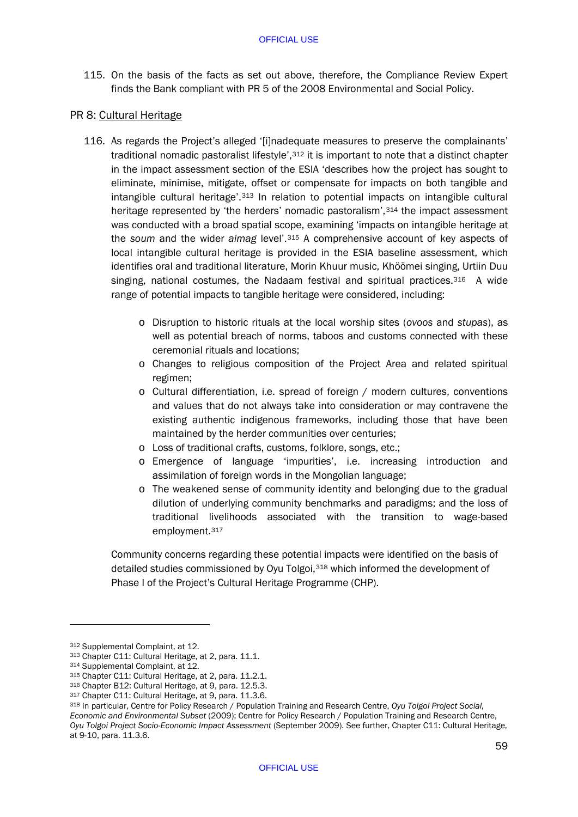115. On the basis of the facts as set out above, therefore, the Compliance Review Expert finds the Bank compliant with PR 5 of the 2008 Environmental and Social Policy.

## PR 8: Cultural Heritage

- 116. As regards the Project's alleged '[i]nadequate measures to preserve the complainants' traditional nomadic pastoralist lifestyle',[312](#page-61-0) it is important to note that a distinct chapter in the impact assessment section of the ESIA 'describes how the project has sought to eliminate, minimise, mitigate, offset or compensate for impacts on both tangible and intangible cultural heritage'.[313](#page-61-1) In relation to potential impacts on intangible cultural heritage represented by 'the herders' nomadic pastoralism',<sup>[314](#page-61-2)</sup> the impact assessment was conducted with a broad spatial scope, examining 'impacts on intangible heritage at the *soum* and the wider *aimag* level'.[315](#page-61-3) A comprehensive account of key aspects of local intangible cultural heritage is provided in the ESIA baseline assessment, which identifies oral and traditional literature, Morin Khuur music, Khöömei singing, Urtiin Duu singing, national costumes, the Nadaam festival and spiritual practices.<sup>316</sup> A wide range of potential impacts to tangible heritage were considered, including:
	- o Disruption to historic rituals at the local worship sites (*ovoos* and *stupas*), as well as potential breach of norms, taboos and customs connected with these ceremonial rituals and locations;
	- o Changes to religious composition of the Project Area and related spiritual regimen;
	- o Cultural differentiation, i.e. spread of foreign / modern cultures, conventions and values that do not always take into consideration or may contravene the existing authentic indigenous frameworks, including those that have been maintained by the herder communities over centuries;
	- o Loss of traditional crafts, customs, folklore, songs, etc.;
	- o Emergence of language 'impurities', i.e. increasing introduction and assimilation of foreign words in the Mongolian language;
	- o The weakened sense of community identity and belonging due to the gradual dilution of underlying community benchmarks and paradigms; and the loss of traditional livelihoods associated with the transition to wage-based employment.[317](#page-61-5)

Community concerns regarding these potential impacts were identified on the basis of detailed studies commissioned by Oyu Tolgoi,[318](#page-61-6) which informed the development of Phase I of the Project's Cultural Heritage Programme (CHP).

<span id="page-61-0"></span><sup>312</sup> Supplemental Complaint, at 12.

<span id="page-61-1"></span><sup>313</sup> Chapter C11: Cultural Heritage, at 2, para. 11.1.

<span id="page-61-2"></span><sup>314</sup> Supplemental Complaint, at 12.

<span id="page-61-3"></span><sup>315</sup> Chapter C11: Cultural Heritage, at 2, para. 11.2.1.

<span id="page-61-4"></span><sup>316</sup> Chapter B12: Cultural Heritage, at 9, para. 12.5.3.

<span id="page-61-5"></span><sup>317</sup> Chapter C11: Cultural Heritage, at 9, para. 11.3.6.

<span id="page-61-6"></span><sup>318</sup> In particular, Centre for Policy Research / Population Training and Research Centre, *Oyu Tolgoi Project Social, Economic and Environmental Subset* (2009); Centre for Policy Research / Population Training and Research Centre, *Oyu Tolgoi Project Socio-Economic Impact Assessment* (September 2009). See further, Chapter C11: Cultural Heritage, at 9-10, para. 11.3.6.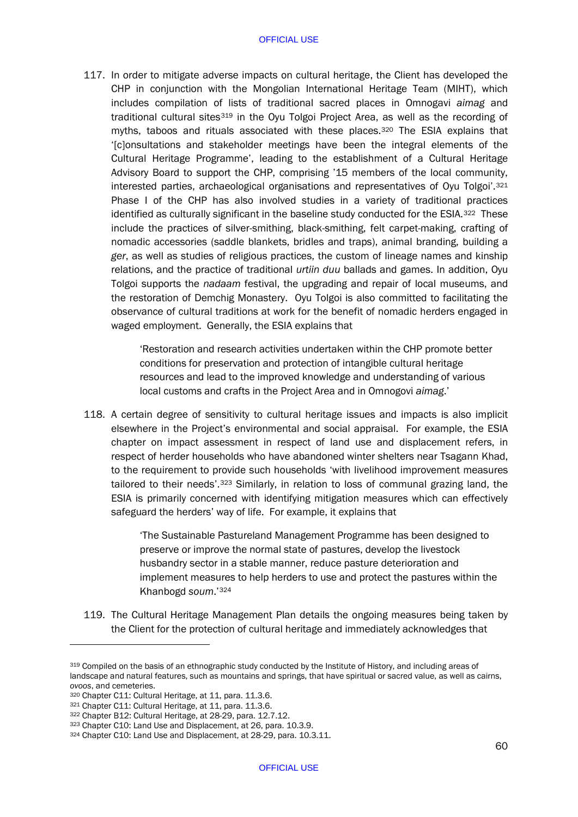117. In order to mitigate adverse impacts on cultural heritage, the Client has developed the CHP in conjunction with the Mongolian International Heritage Team (MIHT), which includes compilation of lists of traditional sacred places in Omnogavi *aimag* and traditional cultural sites<sup>[319](#page-62-0)</sup> in the Oyu Tolgoi Project Area, as well as the recording of myths, taboos and rituals associated with these places.<sup>[320](#page-62-1)</sup> The ESIA explains that '[c]onsultations and stakeholder meetings have been the integral elements of the Cultural Heritage Programme', leading to the establishment of a Cultural Heritage Advisory Board to support the CHP, comprising '15 members of the local community, interested parties, archaeological organisations and representatives of Oyu Tolgoi'.[321](#page-62-2) Phase I of the CHP has also involved studies in a variety of traditional practices identified as culturally significant in the baseline study conducted for the ESIA.<sup>322</sup> These include the practices of silver-smithing, black-smithing, felt carpet-making, crafting of nomadic accessories (saddle blankets, bridles and traps), animal branding, building a *ger*, as well as studies of religious practices, the custom of lineage names and kinship relations, and the practice of traditional *urtiin duu* ballads and games. In addition, Oyu Tolgoi supports the *nadaam* festival, the upgrading and repair of local museums, and the restoration of Demchig Monastery. Oyu Tolgoi is also committed to facilitating the observance of cultural traditions at work for the benefit of nomadic herders engaged in waged employment. Generally, the ESIA explains that

> 'Restoration and research activities undertaken within the CHP promote better conditions for preservation and protection of intangible cultural heritage resources and lead to the improved knowledge and understanding of various local customs and crafts in the Project Area and in Omnogovi *aimag*.'

118. A certain degree of sensitivity to cultural heritage issues and impacts is also implicit elsewhere in the Project's environmental and social appraisal. For example, the ESIA chapter on impact assessment in respect of land use and displacement refers, in respect of herder households who have abandoned winter shelters near Tsagann Khad, to the requirement to provide such households 'with livelihood improvement measures tailored to their needs'.[323](#page-62-4) Similarly, in relation to loss of communal grazing land, the ESIA is primarily concerned with identifying mitigation measures which can effectively safeguard the herders' way of life. For example, it explains that

> 'The Sustainable Pastureland Management Programme has been designed to preserve or improve the normal state of pastures, develop the livestock husbandry sector in a stable manner, reduce pasture deterioration and implement measures to help herders to use and protect the pastures within the Khanbogd *soum*.'[324](#page-62-5)

119. The Cultural Heritage Management Plan details the ongoing measures being taken by the Client for the protection of cultural heritage and immediately acknowledges that

<span id="page-62-0"></span><sup>319</sup> Compiled on the basis of an ethnographic study conducted by the Institute of History, and including areas of landscape and natural features, such as mountains and springs, that have spiritual or sacred value, as well as cairns, *ovoos*, and cemeteries. 320 Chapter C11: Cultural Heritage, at 11, para. 11.3.6.

<span id="page-62-2"></span><span id="page-62-1"></span><sup>321</sup> Chapter C11: Cultural Heritage, at 11, para. 11.3.6.

<span id="page-62-4"></span><span id="page-62-3"></span><sup>322</sup> Chapter B12: Cultural Heritage, at 28-29, para. 12.7.12.<br><sup>323</sup> Chapter C10: Land Use and Displacement, at 26, para. 10.3.9.

<span id="page-62-5"></span><sup>324</sup> Chapter C10: Land Use and Displacement, at 28-29, para. 10.3.11.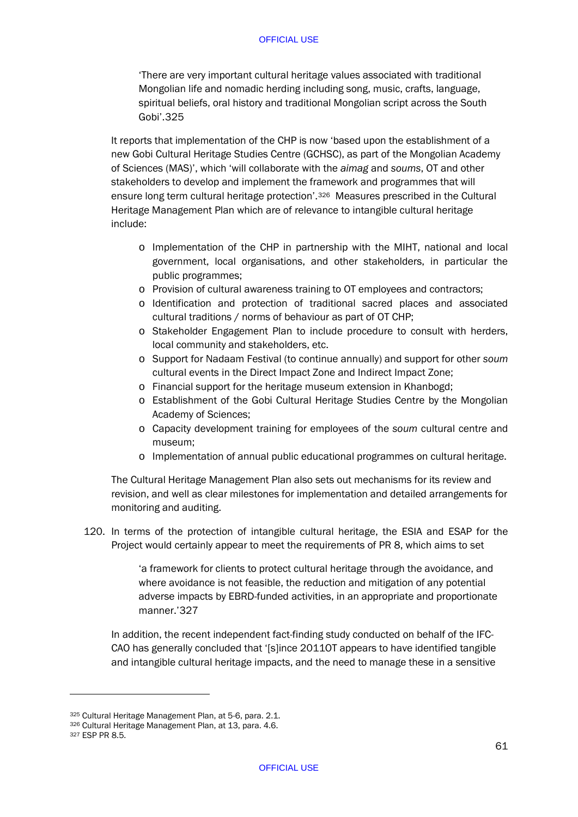'There are very important cultural heritage values associated with traditional Mongolian life and nomadic herding including song, music, crafts, language, spiritual beliefs, oral history and traditional Mongolian script across the South Gobi'.[325](#page-63-0)

It reports that implementation of the CHP is now 'based upon the establishment of a new Gobi Cultural Heritage Studies Centre (GCHSC), as part of the Mongolian Academy of Sciences (MAS)', which 'will collaborate with the *aimag* and *soums*, OT and other stakeholders to develop and implement the framework and programmes that will ensure long term cultural heritage protection'.[326](#page-63-1) Measures prescribed in the Cultural Heritage Management Plan which are of relevance to intangible cultural heritage include:

- o Implementation of the CHP in partnership with the MIHT, national and local government, local organisations, and other stakeholders, in particular the public programmes;
- o Provision of cultural awareness training to OT employees and contractors;
- o Identification and protection of traditional sacred places and associated cultural traditions / norms of behaviour as part of OT CHP;
- o Stakeholder Engagement Plan to include procedure to consult with herders, local community and stakeholders, etc.
- o Support for Nadaam Festival (to continue annually) and support for other *soum* cultural events in the Direct Impact Zone and Indirect Impact Zone;
- o Financial support for the heritage museum extension in Khanbogd;
- o Establishment of the Gobi Cultural Heritage Studies Centre by the Mongolian Academy of Sciences;
- o Capacity development training for employees of the *soum* cultural centre and museum;
- o Implementation of annual public educational programmes on cultural heritage.

The Cultural Heritage Management Plan also sets out mechanisms for its review and revision, and well as clear milestones for implementation and detailed arrangements for monitoring and auditing.

120. In terms of the protection of intangible cultural heritage, the ESIA and ESAP for the Project would certainly appear to meet the requirements of PR 8, which aims to set

> 'a framework for clients to protect cultural heritage through the avoidance, and where avoidance is not feasible, the reduction and mitigation of any potential adverse impacts by EBRD-funded activities, in an appropriate and proportionate manner.'[327](#page-63-2)

In addition, the recent independent fact-finding study conducted on behalf of the IFC-CAO has generally concluded that '[s]ince 2011OT appears to have identified tangible and intangible cultural heritage impacts, and the need to manage these in a sensitive

<span id="page-63-0"></span><sup>325</sup> Cultural Heritage Management Plan, at 5-6, para. 2.1.

<span id="page-63-1"></span><sup>326</sup> Cultural Heritage Management Plan, at 13, para. 4.6.

<span id="page-63-2"></span><sup>327</sup> ESP PR 8.5.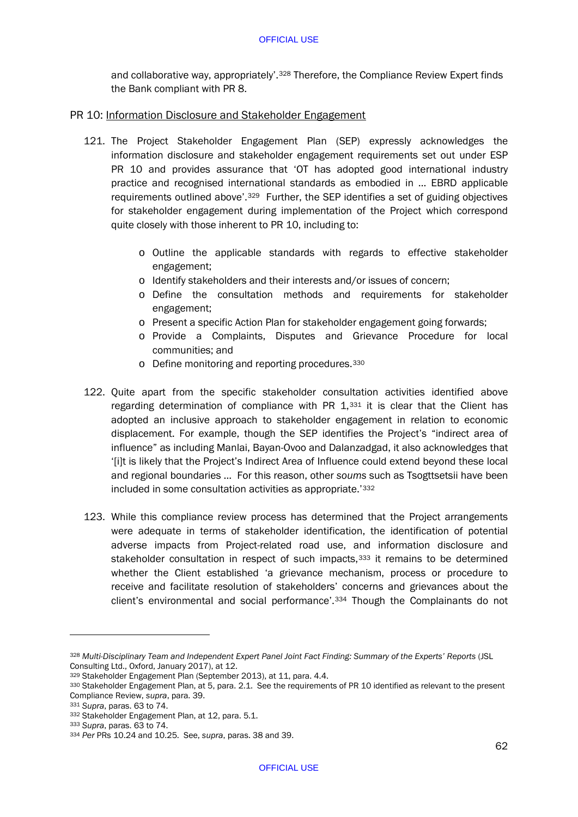and collaborative way, appropriately'.<sup>[328](#page-64-0)</sup> Therefore, the Compliance Review Expert finds the Bank compliant with PR 8.

# PR 10: Information Disclosure and Stakeholder Engagement

- 121. The Project Stakeholder Engagement Plan (SEP) expressly acknowledges the information disclosure and stakeholder engagement requirements set out under ESP PR 10 and provides assurance that 'OT has adopted good international industry practice and recognised international standards as embodied in … EBRD applicable requirements outlined above'.[329](#page-64-1) Further, the SEP identifies a set of guiding objectives for stakeholder engagement during implementation of the Project which correspond quite closely with those inherent to PR 10, including to:
	- o Outline the applicable standards with regards to effective stakeholder engagement;
	- o Identify stakeholders and their interests and/or issues of concern;
	- o Define the consultation methods and requirements for stakeholder engagement;
	- o Present a specific Action Plan for stakeholder engagement going forwards;
	- o Provide a Complaints, Disputes and Grievance Procedure for local communities; and
	- o Define monitoring and reporting procedures.[330](#page-64-2)
- 122. Quite apart from the specific stakeholder consultation activities identified above regarding determination of compliance with PR  $1,331$  $1,331$  it is clear that the Client has adopted an inclusive approach to stakeholder engagement in relation to economic displacement. For example, though the SEP identifies the Project's "indirect area of influence" as including Manlai, Bayan-Ovoo and Dalanzadgad, it also acknowledges that '[i]t is likely that the Project's Indirect Area of Influence could extend beyond these local and regional boundaries … For this reason, other *soums* such as Tsogttsetsii have been included in some consultation activities as appropriate.'[332](#page-64-4)
- 123. While this compliance review process has determined that the Project arrangements were adequate in terms of stakeholder identification, the identification of potential adverse impacts from Project-related road use, and information disclosure and stakeholder consultation in respect of such impacts,<sup>[333](#page-64-5)</sup> it remains to be determined whether the Client established 'a grievance mechanism, process or procedure to receive and facilitate resolution of stakeholders' concerns and grievances about the client's environmental and social performance'.[334](#page-64-6) Though the Complainants do not

<span id="page-64-0"></span><sup>328</sup> *Multi-Disciplinary Team and Independent Expert Panel Joint Fact Finding: Summary of the Experts' Reports* (JSL Consulting Ltd., Oxford, January 2017), at 12.

<span id="page-64-1"></span><sup>329</sup> Stakeholder Engagement Plan (September 2013), at 11, para. 4.4.

<span id="page-64-2"></span><sup>330</sup> Stakeholder Engagement Plan, at 5, para. 2.1. See the requirements of PR 10 identified as relevant to the present Compliance Review, *supra*, para[. 39.](#page-23-5)

<sup>331</sup> *Supra*, paras. [63](#page-35-7) t[o 74.](#page-41-7)

<span id="page-64-4"></span><span id="page-64-3"></span><sup>332</sup> Stakeholder Engagement Plan, at 12, para. 5.1.

<span id="page-64-5"></span><sup>333</sup> *Supra*, paras. [63](#page-35-7) t[o 74.](#page-41-7)

<span id="page-64-6"></span><sup>334</sup> *Per* PRs 10.24 and 10.25. See, *supra*, paras[. 38](#page-23-6) and [39.](#page-23-5)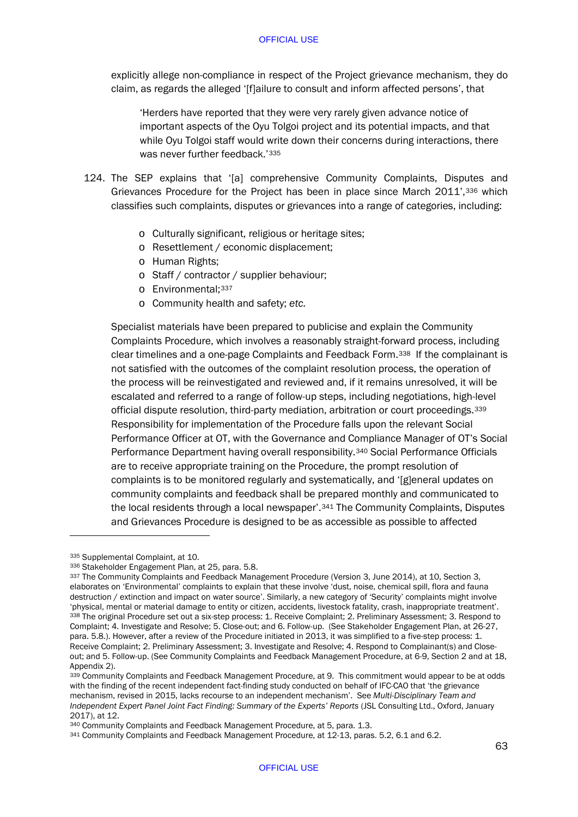explicitly allege non-compliance in respect of the Project grievance mechanism, they do claim, as regards the alleged '[f]ailure to consult and inform affected persons', that

'Herders have reported that they were very rarely given advance notice of important aspects of the Oyu Tolgoi project and its potential impacts, and that while Oyu Tolgoi staff would write down their concerns during interactions, there was never further feedback.'[335](#page-65-0)

- 124. The SEP explains that '[a] comprehensive Community Complaints, Disputes and Grievances Procedure for the Project has been in place since March 2011',[336](#page-65-1) which classifies such complaints, disputes or grievances into a range of categories, including:
	- o Culturally significant, religious or heritage sites;
	- o Resettlement / economic displacement;
	- o Human Rights;
	- o Staff / contractor / supplier behaviour;
	- o Environmental;[337](#page-65-2)
	- o Community health and safety; *etc.*

Specialist materials have been prepared to publicise and explain the Community Complaints Procedure, which involves a reasonably straight-forward process, including clear timelines and a one-page Complaints and Feedback Form.[338](#page-65-3) If the complainant is not satisfied with the outcomes of the complaint resolution process, the operation of the process will be reinvestigated and reviewed and, if it remains unresolved, it will be escalated and referred to a range of follow-up steps, including negotiations, high-level official dispute resolution, third-party mediation, arbitration or court proceedings.[339](#page-65-4) Responsibility for implementation of the Procedure falls upon the relevant Social Performance Officer at OT, with the Governance and Compliance Manager of OT's Social Performance Department having overall responsibility.[340](#page-65-5) Social Performance Officials are to receive appropriate training on the Procedure, the prompt resolution of complaints is to be monitored regularly and systematically, and '[g]eneral updates on community complaints and feedback shall be prepared monthly and communicated to the local residents through a local newspaper'[.341](#page-65-6) The Community Complaints, Disputes and Grievances Procedure is designed to be as accessible as possible to affected

<span id="page-65-0"></span><sup>335</sup> Supplemental Complaint, at 10.

<span id="page-65-1"></span><sup>336</sup> Stakeholder Engagement Plan, at 25, para. 5.8.

<span id="page-65-3"></span><span id="page-65-2"></span><sup>337</sup> The Community Complaints and Feedback Management Procedure (Version 3, June 2014), at 10, Section 3, elaborates on 'Environmental' complaints to explain that these involve 'dust, noise, chemical spill, flora and fauna destruction / extinction and impact on water source'. Similarly, a new category of 'Security' complaints might involve 'physical, mental or material damage to entity or citizen, accidents, livestock fatality, crash, inappropriate treatment'. 338 The original Procedure set out a six-step process: 1. Receive Complaint; 2. Preliminary Assessment; 3. Respond to Complaint; 4. Investigate and Resolve; 5. Close-out; and 6. Follow-up. (See Stakeholder Engagement Plan, at 26-27, para. 5.8.). However, after a review of the Procedure initiated in 2013, it was simplified to a five-step process: 1. Receive Complaint; 2. Preliminary Assessment; 3. Investigate and Resolve; 4. Respond to Complainant(s) and Closeout; and 5. Follow-up. (See Community Complaints and Feedback Management Procedure, at 6-9, Section 2 and at 18, Appendix 2).

<span id="page-65-4"></span><sup>339</sup> Community Complaints and Feedback Management Procedure, at 9. This commitment would appear to be at odds with the finding of the recent independent fact-finding study conducted on behalf of IFC-CAO that 'the grievance mechanism, revised in 2015, lacks recourse to an independent mechanism'. See *Multi-Disciplinary Team and Independent Expert Panel Joint Fact Finding: Summary of the Experts' Reports* (JSL Consulting Ltd., Oxford, January 2017), at 12.

<span id="page-65-5"></span><sup>340</sup> Community Complaints and Feedback Management Procedure, at 5, para. 1.3.

<span id="page-65-6"></span><sup>341</sup> Community Complaints and Feedback Management Procedure, at 12-13, paras. 5.2, 6.1 and 6.2.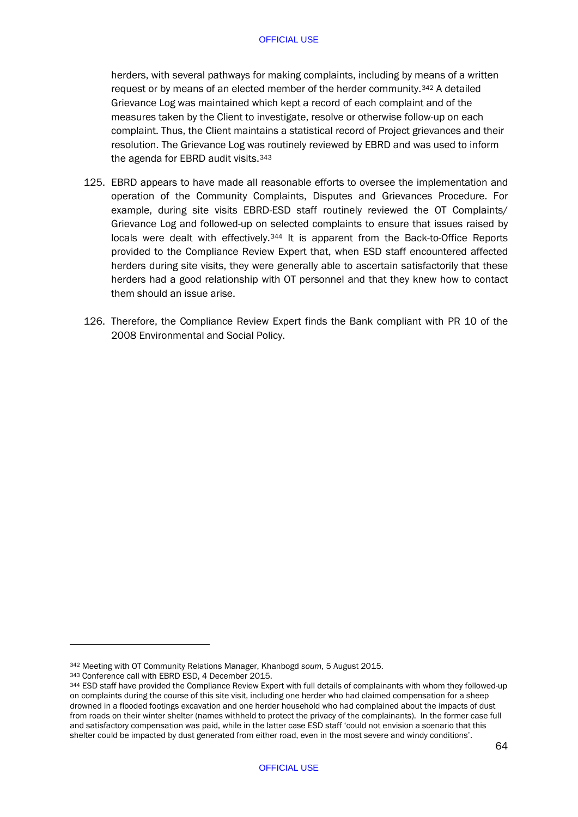herders, with several pathways for making complaints, including by means of a written request or by means of an elected member of the herder community.<sup>[342](#page-66-0)</sup> A detailed Grievance Log was maintained which kept a record of each complaint and of the measures taken by the Client to investigate, resolve or otherwise follow-up on each complaint. Thus, the Client maintains a statistical record of Project grievances and their resolution. The Grievance Log was routinely reviewed by EBRD and was used to inform the agenda for EBRD audit visits.<sup>[343](#page-66-1)</sup>

- 125. EBRD appears to have made all reasonable efforts to oversee the implementation and operation of the Community Complaints, Disputes and Grievances Procedure. For example, during site visits EBRD-ESD staff routinely reviewed the OT Complaints/ Grievance Log and followed-up on selected complaints to ensure that issues raised by locals were dealt with effectively.<sup>[344](#page-66-2)</sup> It is apparent from the Back-to-Office Reports provided to the Compliance Review Expert that, when ESD staff encountered affected herders during site visits, they were generally able to ascertain satisfactorily that these herders had a good relationship with OT personnel and that they knew how to contact them should an issue arise.
- 126. Therefore, the Compliance Review Expert finds the Bank compliant with PR 10 of the 2008 Environmental and Social Policy.

<span id="page-66-0"></span><sup>342</sup> Meeting with OT Community Relations Manager, Khanbogd *soum*, 5 August 2015.

<span id="page-66-1"></span><sup>343</sup> Conference call with EBRD ESD, 4 December 2015.

<span id="page-66-2"></span><sup>344</sup> ESD staff have provided the Compliance Review Expert with full details of complainants with whom they followed-up on complaints during the course of this site visit, including one herder who had claimed compensation for a sheep drowned in a flooded footings excavation and one herder household who had complained about the impacts of dust from roads on their winter shelter (names withheld to protect the privacy of the complainants). In the former case full and satisfactory compensation was paid, while in the latter case ESD staff 'could not envision a scenario that this shelter could be impacted by dust generated from either road, even in the most severe and windy conditions'.